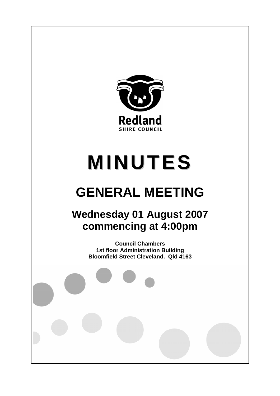

# **MINUTES**

# **GENERAL MEETING**

## **Wednesday 01 August 2007 commencing at 4:00pm**

**Council Chambers 1st floor Administration Building Bloomfield Street Cleveland. Qld 4163**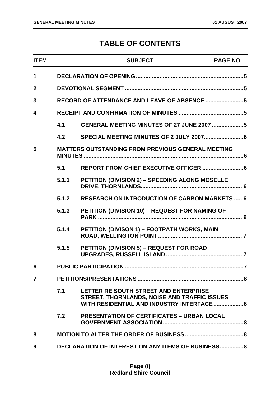### **TABLE OF CONTENTS**

| <b>ITEM</b>    |       | <b>SUBJECT</b>                                                                                                                     | <b>PAGE NO</b>          |
|----------------|-------|------------------------------------------------------------------------------------------------------------------------------------|-------------------------|
| $\mathbf 1$    |       |                                                                                                                                    |                         |
| $\mathbf{2}$   |       |                                                                                                                                    |                         |
| 3              |       | RECORD OF ATTENDANCE AND LEAVE OF ABSENCE 5                                                                                        |                         |
| 4              |       |                                                                                                                                    |                         |
|                | 4.1   | GENERAL MEETING MINUTES OF 27 JUNE 2007 5                                                                                          |                         |
|                | 4.2   |                                                                                                                                    |                         |
| 5              |       | <b>MATTERS OUTSTANDING FROM PREVIOUS GENERAL MEETING</b>                                                                           |                         |
|                | 5.1   |                                                                                                                                    |                         |
|                | 5.1.1 | PETITION (DIVISION 2) - SPEEDING ALONG MOSELLE                                                                                     |                         |
|                | 5.1.2 | <b>RESEARCH ON INTRODUCTION OF CARBON MARKETS  6</b>                                                                               |                         |
|                | 5.1.3 | PETITION (DIVISION 10) - REQUEST FOR NAMING OF                                                                                     |                         |
|                | 5.1.4 | PETITION (DIVISON 1) - FOOTPATH WORKS, MAIN                                                                                        |                         |
|                | 5.1.5 | <b>PETITION (DIVISION 5) - REQUEST FOR ROAD</b>                                                                                    |                         |
| 6              |       |                                                                                                                                    | $\overline{\mathbf{z}}$ |
| $\overline{7}$ |       |                                                                                                                                    |                         |
|                | 7.1   | LETTER RE SOUTH STREET AND ENTERPRISE<br>STREET, THORNLANDS, NOISE AND TRAFFIC ISSUES<br>WITH RESIDENTIAL AND INDUSTRY INTERFACE 8 |                         |
|                | 7.2   | <b>PRESENTATION OF CERTIFICATES - URBAN LOCAL</b>                                                                                  |                         |
| 8              |       |                                                                                                                                    |                         |
| 9              |       | <b>DECLARATION OF INTEREST ON ANY ITEMS OF BUSINESS 8</b>                                                                          |                         |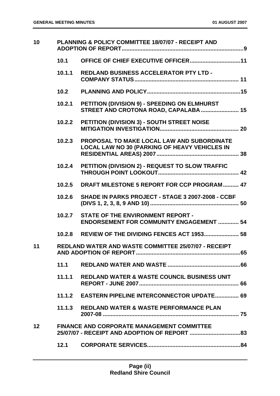| PLANNING & POLICY COMMITTEE 18/07/07 - RECEIPT AND<br>10 |                                                                                             |
|----------------------------------------------------------|---------------------------------------------------------------------------------------------|
| 10.1                                                     |                                                                                             |
| 10.1.1                                                   | <b>REDLAND BUSINESS ACCELERATOR PTY LTD -</b>                                               |
| 10.2                                                     |                                                                                             |
| 10.2.1                                                   | PETITION (DIVISION 9) - SPEEDING ON ELMHURST<br>STREET AND CROTONA ROAD, CAPALABA  15       |
| 10.2.2                                                   | PETITION (DIVISION 3) - SOUTH STREET NOISE                                                  |
| 10.2.3                                                   | PROPOSAL TO MAKE LOCAL LAW AND SUBORDINATE<br>LOCAL LAW NO 30 (PARKING OF HEAVY VEHICLES IN |
| 10.2.4                                                   | PETITION (DIVISION 2) - REQUEST TO SLOW TRAFFIC                                             |
| 10.2.5                                                   | DRAFT MILESTONE 5 REPORT FOR CCP PROGRAM 47                                                 |
| 10.2.6                                                   | SHADE IN PARKS PROJECT - STAGE 3 2007-2008 - CCBF                                           |
| 10.2.7                                                   | <b>STATE OF THE ENVIRONMENT REPORT -</b><br><b>ENDORSEMENT FOR COMMUNITY ENGAGEMENT  54</b> |
| 10.2.8                                                   | REVIEW OF THE DIVIDING FENCES ACT 1953 58                                                   |
|                                                          | REDLAND WATER AND WASTE COMMITTEE 25/07/07 - RECEIPT                                        |
| 11.1                                                     |                                                                                             |
| 11.1.1                                                   | <b>REDLAND WATER &amp; WASTE COUNCIL BUSINESS UNIT</b>                                      |
| 11.1.2                                                   | <b>EASTERN PIPELINE INTERCONNECTOR UPDATE 69</b>                                            |
|                                                          | 11.1.3 REDLAND WATER & WASTE PERFORMANCE PLAN                                               |
|                                                          | <b>FINANCE AND CORPORATE MANAGEMENT COMMITTEE</b>                                           |
| 12.1                                                     |                                                                                             |
|                                                          |                                                                                             |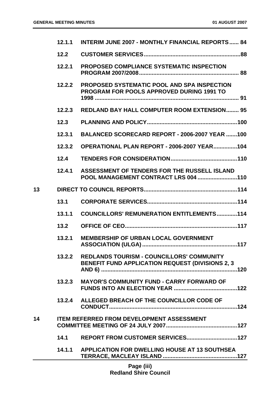|    | 12.1.1 | <b>INTERIM JUNE 2007 - MONTHLY FINANCIAL REPORTS 84</b>                                                      |
|----|--------|--------------------------------------------------------------------------------------------------------------|
|    | 12.2   |                                                                                                              |
|    | 12.2.1 | <b>PROPOSED COMPLIANCE SYSTEMATIC INSPECTION</b>                                                             |
|    | 12.2.2 | <b>PROPOSED SYSTEMATIC POOL AND SPA INSPECTION</b><br><b>PROGRAM FOR POOLS APPROVED DURING 1991 TO</b>       |
|    | 12.2.3 | <b>REDLAND BAY HALL COMPUTER ROOM EXTENSION 95</b>                                                           |
|    | 12.3   |                                                                                                              |
|    | 12.3.1 | BALANCED SCORECARD REPORT - 2006-2007 YEAR 100                                                               |
|    | 12.3.2 | <b>OPERATIONAL PLAN REPORT - 2006-2007 YEAR104</b>                                                           |
|    | 12.4   |                                                                                                              |
|    | 12.4.1 | ASSESSMENT OF TENDERS FOR THE RUSSELL ISLAND<br>POOL MANAGEMENT CONTRACT LRS 004 110                         |
| 13 |        |                                                                                                              |
|    | 13.1   |                                                                                                              |
|    | 13.1.1 | <b>COUNCILLORS' REMUNERATION ENTITLEMENTS114</b>                                                             |
|    | 13.2   |                                                                                                              |
|    | 13.2.1 | <b>MEMBERSHIP OF URBAN LOCAL GOVERNMENT</b>                                                                  |
|    | 13.2.2 | <b>REDLANDS TOURISM - COUNCILLORS' COMMUNITY</b><br><b>BENEFIT FUND APPLICATION REQUEST (DIVISIONS 2, 3)</b> |
|    | 13.2.3 | <b>MAYOR'S COMMUNITY FUND - CARRY FORWARD OF</b>                                                             |
|    |        | 13.2.4 ALLEGED BREACH OF THE COUNCILLOR CODE OF                                                              |
| 14 |        | <b>ITEM REFERRED FROM DEVELOPMENT ASSESSMENT</b>                                                             |
|    | 14.1   |                                                                                                              |
|    | 14.1.1 | APPLICATION FOR DWELLING HOUSE AT 13 SOUTHSEA                                                                |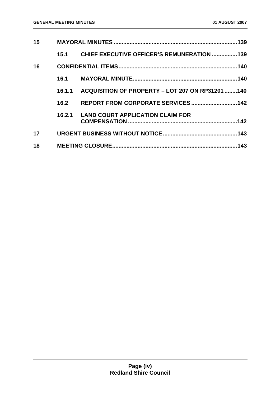| 15 |        |                                                   |      |
|----|--------|---------------------------------------------------|------|
|    | 15.1   | <b>CHIEF EXECUTIVE OFFICER'S REMUNERATION 139</b> |      |
| 16 |        |                                                   |      |
|    | 16.1   |                                                   |      |
|    | 16.1.1 | ACQUISITION OF PROPERTY - LOT 207 ON RP31201 140  |      |
|    | 16.2   |                                                   |      |
|    | 16.2.1 | <b>LAND COURT APPLICATION CLAIM FOR</b>           |      |
| 17 |        |                                                   |      |
| 18 |        |                                                   | .143 |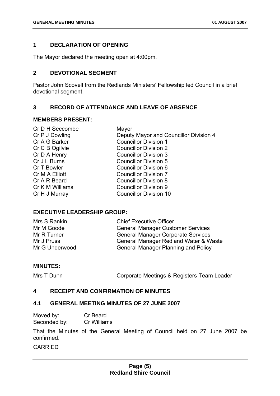#### <span id="page-5-0"></span>**1 DECLARATION OF OPENING**

The Mayor declared the meeting open at 4:00pm.

#### **2 DEVOTIONAL SEGMENT**

Pastor John Scovell from the Redlands Ministers' Fellowship led Council in a brief devotional segment.

#### **3 RECORD OF ATTENDANCE AND LEAVE OF ABSENCE**

#### **MEMBERS PRESENT:**

| Cr D H Seccombe | Mayor                                  |
|-----------------|----------------------------------------|
| Cr P J Dowling  | Deputy Mayor and Councillor Division 4 |
| Cr A G Barker   | <b>Councillor Division 1</b>           |
| Cr C B Ogilvie  | <b>Councillor Division 2</b>           |
| Cr D A Henry    | <b>Councillor Division 3</b>           |
| Cr J L Burns    | <b>Councillor Division 5</b>           |
| Cr T Bowler     | Councillor Division 6                  |
| Cr M A Elliott  | <b>Councillor Division 7</b>           |
| Cr A R Beard    | <b>Councillor Division 8</b>           |
| Cr K M Williams | <b>Councillor Division 9</b>           |
| Cr H J Murray   | <b>Councillor Division 10</b>          |
|                 |                                        |

#### **EXECUTIVE LEADERSHIP GROUP:**

| Mrs S Rankin   | <b>Chief Executive Officer</b>             |
|----------------|--------------------------------------------|
| Mr M Goode     | <b>General Manager Customer Services</b>   |
| Mr R Turner    | <b>General Manager Corporate Services</b>  |
| Mr J Pruss     | General Manager Redland Water & Waste      |
| Mr G Underwood | <b>General Manager Planning and Policy</b> |

#### **MINUTES:**

Mrs T Dunn **Corporate Meetings & Registers Team Leader** 

#### **4 RECEIPT AND CONFIRMATION OF MINUTES**

#### **4.1 GENERAL MEETING MINUTES OF 27 JUNE 2007**

| Moved by:    | Cr Beard    |
|--------------|-------------|
| Seconded by: | Cr Williams |

That the Minutes of the General Meeting of Council held on 27 June 2007 be confirmed.

CARRIED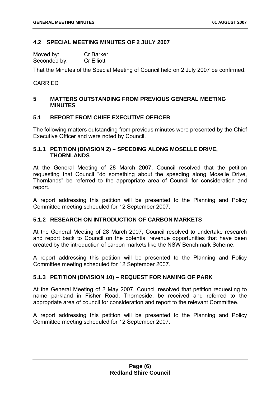#### <span id="page-6-0"></span>**4.2 SPECIAL MEETING MINUTES OF 2 JULY 2007**

| Moved by:    | <b>Cr Barker</b>  |
|--------------|-------------------|
| Seconded by: | <b>Cr Elliott</b> |

That the Minutes of the Special Meeting of Council held on 2 July 2007 be confirmed.

#### **CARRIED**

#### **5 MATTERS OUTSTANDING FROM PREVIOUS GENERAL MEETING MINUTES**

#### **5.1 REPORT FROM CHIEF EXECUTIVE OFFICER**

The following matters outstanding from previous minutes were presented by the Chief Executive Officer and were noted by Council.

#### **5.1.1 PETITION (DIVISION 2) – SPEEDING ALONG MOSELLE DRIVE, THORNLANDS**

At the General Meeting of 28 March 2007, Council resolved that the petition requesting that Council "do something about the speeding along Moselle Drive, Thornlands" be referred to the appropriate area of Council for consideration and report.

A report addressing this petition will be presented to the Planning and Policy Committee meeting scheduled for 12 September 2007.

#### **5.1.2 RESEARCH ON INTRODUCTION OF CARBON MARKETS**

At the General Meeting of 28 March 2007, Council resolved to undertake research and report back to Council on the potential revenue opportunities that have been created by the introduction of carbon markets like the NSW Benchmark Scheme.

A report addressing this petition will be presented to the Planning and Policy Committee meeting scheduled for 12 September 2007.

#### **5.1.3 PETITION (DIVISION 10) – REQUEST FOR NAMING OF PARK**

At the General Meeting of 2 May 2007, Council resolved that petition requesting to name parkland in Fisher Road, Thorneside, be received and referred to the appropriate area of council for consideration and report to the relevant Committee.

A report addressing this petition will be presented to the Planning and Policy Committee meeting scheduled for 12 September 2007.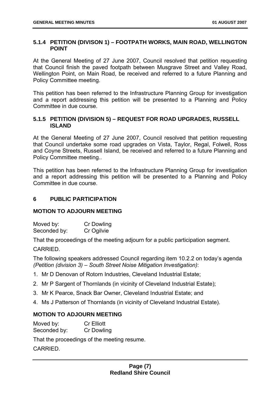#### <span id="page-7-0"></span>**5.1.4 PETITION (DIVISON 1) – FOOTPATH WORKS, MAIN ROAD, WELLINGTON POINT**

At the General Meeting of 27 June 2007, Council resolved that petition requesting that Council finish the paved footpath between Musgrave Street and Valley Road, Wellington Point, on Main Road, be received and referred to a future Planning and Policy Committee meeting.

This petition has been referred to the Infrastructure Planning Group for investigation and a report addressing this petition will be presented to a Planning and Policy Committee in due course.

#### **5.1.5 PETITION (DIVISION 5) – REQUEST FOR ROAD UPGRADES, RUSSELL ISLAND**

At the General Meeting of 27 June 2007, Council resolved that petition requesting that Council undertake some road upgrades on Vista, Taylor, Regal, Folwell, Ross and Coyne Streets, Russell Island, be received and referred to a future Planning and Policy Committee meeting..

This petition has been referred to the Infrastructure Planning Group for investigation and a report addressing this petition will be presented to a Planning and Policy Committee in due course.

#### **6 PUBLIC PARTICIPATION**

#### **MOTION TO ADJOURN MEETING**

Moved by: Cr Dowling Seconded by: Cr Ogilvie

That the proceedings of the meeting adjourn for a public participation segment.

CARRIED.

The following speakers addressed Council regarding item 10.2.2 on today's agenda *(Petition (division 3) – South Street Noise Mitigation Investigation)*:

- 1. Mr D Denovan of Rotorn Industries, Cleveland Industrial Estate;
- 2. Mr P Sargent of Thornlands (in vicinity of Cleveland Industrial Estate);
- 3. Mr K Pearce, Snack Bar Owner, Cleveland Industrial Estate; and
- 4. Ms J Patterson of Thornlands (in vicinity of Cleveland Industrial Estate).

#### **MOTION TO ADJOURN MEETING**

Moved by: Cr Elliott Seconded by: Cr Dowling

That the proceedings of the meeting resume.

**CARRIED.**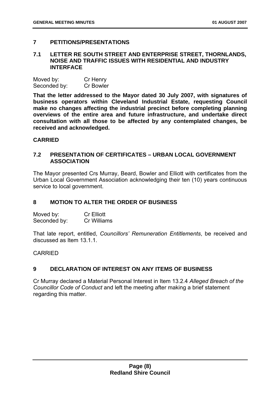#### <span id="page-8-0"></span>**7 PETITIONS/PRESENTATIONS**

#### **7.1 LETTER RE SOUTH STREET AND ENTERPRISE STREET, THORNLANDS, NOISE AND TRAFFIC ISSUES WITH RESIDENTIAL AND INDUSTRY INTERFACE**

| Moved by:    | Cr Henry         |
|--------------|------------------|
| Seconded by: | <b>Cr Bowler</b> |

**That the letter addressed to the Mayor dated 30 July 2007, with signatures of business operators within Cleveland Industrial Estate, requesting Council make no changes affecting the industrial precinct before completing planning overviews of the entire area and future infrastructure, and undertake direct consultation with all those to be affected by any contemplated changes, be received and acknowledged.** 

#### **CARRIED**

#### **7.2 PRESENTATION OF CERTIFICATES – URBAN LOCAL GOVERNMENT ASSOCIATION**

The Mayor presented Crs Murray, Beard, Bowler and Elliott with certificates from the Urban Local Government Association acknowledging their ten (10) years continuous service to local government.

#### **8 MOTION TO ALTER THE ORDER OF BUSINESS**

Moved by: Cr Elliott Seconded by: Cr Williams

That late report, entitled, *Councillors' Remuneration Entitlements*, be received and discussed as Item 13.1.1.

#### CARRIED

#### **9 DECLARATION OF INTEREST ON ANY ITEMS OF BUSINESS**

Cr Murray declared a Material Personal Interest in Item 13.2.4 *Alleged Breach of the Councillor Code of Conduct* and left the meeting after making a brief statement regarding this matter.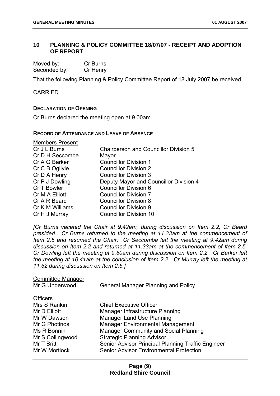#### <span id="page-9-0"></span>**10 PLANNING & POLICY COMMITTEE 18/07/07 - RECEIPT AND ADOPTION OF REPORT**

| Moved by:    | Cr Burns |
|--------------|----------|
| Seconded by: | Cr Henry |

That the following Planning & Policy Committee Report of 18 July 2007 be received.

CARRIED

#### **DECLARATION OF OPENING**

Cr Burns declared the meeting open at 9.00am.

#### **RECORD OF ATTENDANCE AND LEAVE OF ABSENCE**

| <b>Members Present</b> |                                              |
|------------------------|----------------------------------------------|
| Cr J L Burns           | <b>Chairperson and Councillor Division 5</b> |
| Cr D H Seccombe        | Mayor                                        |
| Cr A G Barker          | <b>Councillor Division 1</b>                 |
| Cr C B Ogilvie         | <b>Councillor Division 2</b>                 |
| Cr D A Henry           | <b>Councillor Division 3</b>                 |
| Cr P J Dowling         | Deputy Mayor and Councillor Division 4       |
| Cr T Bowler            | Councillor Division 6                        |
| Cr M A Elliott         | <b>Councillor Division 7</b>                 |
| Cr A R Beard           | <b>Councillor Division 8</b>                 |
| Cr K M Williams        | <b>Councillor Division 9</b>                 |
| Cr H J Murray          | <b>Councillor Division 10</b>                |

*[Cr Burns vacated the Chair at 9.42am, during discussion on Item 2.2, Cr Beard presided. Cr Burns returned to the meeting at 11.33am at the commencement of Item 2.5 and resumed the Chair. Cr Seccombe left the meeting at 9.42am during discussion on Item 2.2 and returned at 11.33am at the commencement of Item 2.5. Cr Dowling left the meeting at 9.50am during discussion on Item 2.2. Cr Barker left the meeting at 10.41am at the conclusion of Item 2.2. Cr Murray left the meeting at 11.52 during discussion on Item 2.5.]* 

| <b>Committee Manager</b> |                                                    |
|--------------------------|----------------------------------------------------|
| Mr G Underwood           | <b>General Manager Planning and Policy</b>         |
| <b>Officers</b>          |                                                    |
| Mrs S Rankin             | <b>Chief Executive Officer</b>                     |
| Mr D Elliott             | Manager Infrastructure Planning                    |
| Mr W Dawson              | <b>Manager Land Use Planning</b>                   |
| Mr G Photinos            | <b>Manager Environmental Management</b>            |
| Ms R Bonnin              | <b>Manager Community and Social Planning</b>       |
| Mr S Collingwood         | <b>Strategic Planning Advisor</b>                  |
| Mr T Britt               | Senior Advisor Principal Planning Traffic Engineer |
| Mr W Mortlock            | Senior Advisor Environmental Protection            |
|                          |                                                    |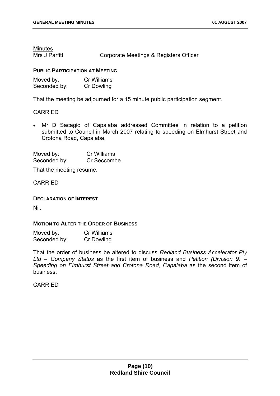Minutes

Mrs J Parfitt **Corporate Meetings & Registers Officer** 

#### **PUBLIC PARTICIPATION AT MEETING**

| Moved by:    | <b>Cr Williams</b> |
|--------------|--------------------|
| Seconded by: | Cr Dowling         |

That the meeting be adjourned for a 15 minute public participation segment.

#### CARRIED

• Mr D Sacagio of Capalaba addressed Committee in relation to a petition submitted to Council in March 2007 relating to speeding on Elmhurst Street and Crotona Road, Capalaba.

| Moved by:    | Cr Williams |
|--------------|-------------|
| Seconded by: | Cr Seccombe |

That the meeting resume.

CARRIED

**DECLARATION OF INTEREST**

Nil.

#### **MOTION TO ALTER THE ORDER OF BUSINESS**

| Moved by:    | <b>Cr Williams</b> |
|--------------|--------------------|
| Seconded by: | Cr Dowling         |

That the order of business be altered to discuss *Redland Business Accelerator Pty Ltd – Company Status* as the first item of business and *Petition (Division 9) – Speeding on Elmhurst Street and Crotona Road, Capalaba* as the second item of business.

CARRIED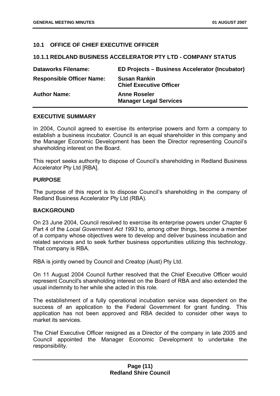#### <span id="page-11-0"></span>**10.1 OFFICE OF CHIEF EXECUTIVE OFFICER**

#### **10.1.1 REDLAND BUSINESS ACCELERATOR PTY LTD - COMPANY STATUS**

| <b>Dataworks Filename:</b>       | ED Projects – Business Accelerator (Incubator)        |
|----------------------------------|-------------------------------------------------------|
| <b>Responsible Officer Name:</b> | <b>Susan Rankin</b><br><b>Chief Executive Officer</b> |
| <b>Author Name:</b>              | <b>Anne Roseler</b><br><b>Manager Legal Services</b>  |

#### **EXECUTIVE SUMMARY**

In 2004, Council agreed to exercise its enterprise powers and form a company to establish a business incubator. Council is an equal shareholder in this company and the Manager Economic Development has been the Director representing Council's shareholding interest on the Board.

This report seeks authority to dispose of Council's shareholding in Redland Business Accelerator Pty Ltd [RBA].

#### **PURPOSE**

The purpose of this report is to dispose Council's shareholding in the company of Redland Business Accelerator Pty Ltd (RBA).

#### **BACKGROUND**

On 23 June 2004, Council resolved to exercise its enterprise powers under Chapter 6 Part 4 of the *Local Government Act 1993* to, among other things, become a member of a company whose objectives were to develop and deliver business incubation and related services and to seek further business opportunities utilizing this technology. That company is RBA.

RBA is jointly owned by Council and Creatop (Aust) Pty Ltd.

On 11 August 2004 Council further resolved that the Chief Executive Officer would represent Council's shareholding interest on the Board of RBA and also extended the usual indemnity to her while she acted in this role.

The establishment of a fully operational incubation service was dependent on the success of an application to the Federal Government for grant funding. This application has not been approved and RBA decided to consider other ways to market its services.

The Chief Executive Officer resigned as a Director of the company in late 2005 and Council appointed the Manager Economic Development to undertake the responsibility.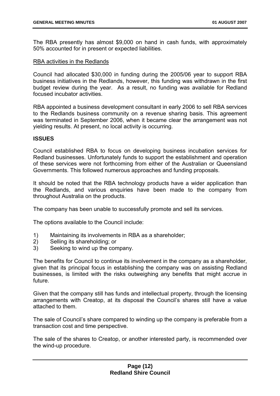The RBA presently has almost \$9,000 on hand in cash funds, with approximately 50% accounted for in present or expected liabilities.

#### RBA activities in the Redlands

Council had allocated \$30,000 in funding during the 2005/06 year to support RBA business initiatives in the Redlands, however, this funding was withdrawn in the first budget review during the year. As a result, no funding was available for Redland focused incubator activities.

RBA appointed a business development consultant in early 2006 to sell RBA services to the Redlands business community on a revenue sharing basis. This agreement was terminated in September 2006, when it became clear the arrangement was not yielding results. At present, no local activity is occurring.

#### **ISSUES**

Council established RBA to focus on developing business incubation services for Redland businesses. Unfortunately funds to support the establishment and operation of these services were not forthcoming from either of the Australian or Queensland Governments. This followed numerous approaches and funding proposals.

It should be noted that the RBA technology products have a wider application than the Redlands, and various enquiries have been made to the company from throughout Australia on the products.

The company has been unable to successfully promote and sell its services.

The options available to the Council include:

- 1) Maintaining its involvements in RBA as a shareholder;
- 2) Selling its shareholding; or
- 3) Seeking to wind up the company.

The benefits for Council to continue its involvement in the company as a shareholder, given that its principal focus in establishing the company was on assisting Redland businesses, is limited with the risks outweighing any benefits that might accrue in future.

Given that the company still has funds and intellectual property, through the licensing arrangements with Creatop, at its disposal the Council's shares still have a value attached to them.

The sale of Council's share compared to winding up the company is preferable from a transaction cost and time perspective.

The sale of the shares to Creatop, or another interested party, is recommended over the wind-up procedure.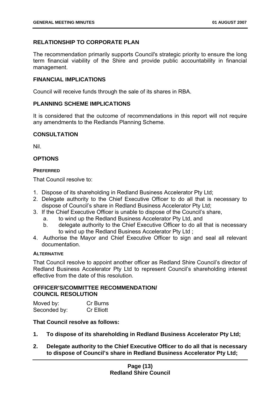#### **RELATIONSHIP TO CORPORATE PLAN**

The recommendation primarily supports Council's strategic priority to ensure the long term financial viability of the Shire and provide public accountability in financial management.

#### **FINANCIAL IMPLICATIONS**

Council will receive funds through the sale of its shares in RBA.

#### **PLANNING SCHEME IMPLICATIONS**

It is considered that the outcome of recommendations in this report will not require any amendments to the Redlands Planning Scheme.

#### **CONSULTATION**

Nil.

#### **OPTIONS**

#### **PREFERRED**

That Council resolve to:

- 1. Dispose of its shareholding in Redland Business Accelerator Pty Ltd;
- 2. Delegate authority to the Chief Executive Officer to do all that is necessary to dispose of Council's share in Redland Business Accelerator Pty Ltd;
- 3. If the Chief Executive Officer is unable to dispose of the Council's share,
	- a. to wind up the Redland Business Accelerator Pty Ltd, and
	- b. delegate authority to the Chief Executive Officer to do all that is necessary to wind up the Redland Business Accelerator Pty Ltd ;
- 4. Authorise the Mayor and Chief Executive Officer to sign and seal all relevant documentation.

#### **ALTERNATIVE**

That Council resolve to appoint another officer as Redland Shire Council's director of Redland Business Accelerator Pty Ltd to represent Council's shareholding interest effective from the date of this resolution.

#### **OFFICER'S/COMMITTEE RECOMMENDATION/ COUNCIL RESOLUTION**

| Moved by:    | Cr Burns          |
|--------------|-------------------|
| Seconded by: | <b>Cr Elliott</b> |

#### **That Council resolve as follows:**

- **1. To dispose of its shareholding in Redland Business Accelerator Pty Ltd;**
- **2. Delegate authority to the Chief Executive Officer to do all that is necessary to dispose of Council's share in Redland Business Accelerator Pty Ltd;**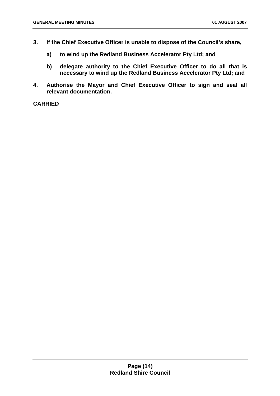- **3. If the Chief Executive Officer is unable to dispose of the Council's share,** 
	- **a) to wind up the Redland Business Accelerator Pty Ltd; and**
	- **b) delegate authority to the Chief Executive Officer to do all that is necessary to wind up the Redland Business Accelerator Pty Ltd; and**
- **4. Authorise the Mayor and Chief Executive Officer to sign and seal all relevant documentation.**

**CARRIED**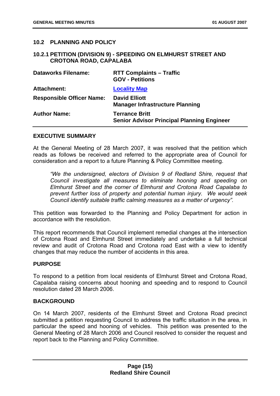#### <span id="page-15-0"></span>**10.2 PLANNING AND POLICY**

#### **10.2.1 PETITION (DIVISION 9) - SPEEDING ON ELMHURST STREET AND CROTONA ROAD, CAPALABA**

| <b>Dataworks Filename:</b>       | <b>RTT Complaints - Traffic</b><br><b>GOV - Petitions</b>                  |
|----------------------------------|----------------------------------------------------------------------------|
| <b>Attachment:</b>               | <b>Locality Map</b>                                                        |
| <b>Responsible Officer Name:</b> | <b>David Elliott</b><br><b>Manager Infrastructure Planning</b>             |
| <b>Author Name:</b>              | <b>Terrance Britt</b><br><b>Senior Advisor Principal Planning Engineer</b> |

#### **EXECUTIVE SUMMARY**

At the General Meeting of 28 March 2007, it was resolved that the petition which reads as follows be received and referred to the appropriate area of Council for consideration and a report to a future Planning & Policy Committee meeting.

*"We the undersigned, electors of Division 9 of Redland Shire, request that Council investigate all measures to eliminate hooning and speeding on Elmhurst Street and the corner of Elmhurst and Crotona Road Capalaba to prevent further loss of property and potential human injury. We would seek Council identify suitable traffic calming measures as a matter of urgency".* 

This petition was forwarded to the Planning and Policy Department for action in accordance with the resolution.

This report recommends that Council implement remedial changes at the intersection of Crotona Road and Elmhurst Street immediately and undertake a full technical review and audit of Crotona Road and Crotona road East with a view to identify changes that may reduce the number of accidents in this area.

#### **PURPOSE**

To respond to a petition from local residents of Elmhurst Street and Crotona Road, Capalaba raising concerns about hooning and speeding and to respond to Council resolution dated 28 March 2006.

#### **BACKGROUND**

On 14 March 2007, residents of the Elmhurst Street and Crotona Road precinct submitted a petition requesting Council to address the traffic situation in the area, in particular the speed and hooning of vehicles. This petition was presented to the General Meeting of 28 March 2006 and Council resolved to consider the request and report back to the Planning and Policy Committee.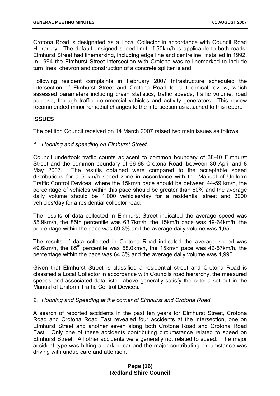Crotona Road is designated as a Local Collector in accordance with Council Road Hierarchy. The default unsigned speed limit of 50km/h is applicable to both roads. Elmhurst Street had linemarking, including edge line and centreline, installed in 1992. In 1994 the Elmhurst Street intersection with Crotona was re-linemarked to include turn lines, chevron and construction of a concrete splitter island.

Following resident complaints in February 2007 Infrastructure scheduled the intersection of Elmhurst Street and Crotona Road for a technical review, which assessed parameters including crash statistics, traffic speeds, traffic volume, road purpose, through traffic, commercial vehicles and activity generators. This review recommended minor remedial changes to the intersection as attached to this report.

#### **ISSUES**

The petition Council received on 14 March 2007 raised two main issues as follows:

*1. Hooning and speeding on Elmhurst Street.* 

Council undertook traffic counts adjacent to common boundary of 38-40 Elmhurst Street and the common boundary of 66-68 Crotona Road, between 30 April and 8 May 2007. The results obtained were compared to the acceptable speed distributions for a 50km/h speed zone in accordance with the Manual of Uniform Traffic Control Devices, where the 15km/h pace should be between 44-59 km/h, the percentage of vehicles within this pace should be greater than 60% and the average daily volume should be 1,000 vehicles/day for a residential street and 3000 vehicles/day for a residential collector road.

The results of data collected in Elmhurst Street indicated the average speed was 55.9km/h, the 85th percentile was 63.7km/h, the 15km/h pace was 49-64km/h, the percentage within the pace was 69.3% and the average daily volume was 1,650.

The results of data collected in Crotona Road indicated the average speed was 49.6km/h, the 85<sup>th</sup> percentile was 58.0km/h, the 15km/h pace was 42-57km/h, the percentage within the pace was 64.3% and the average daily volume was 1,990.

Given that Elmhurst Street is classified a residential street and Crotona Road is classified a Local Collector in accordance with Councils road hierarchy, the measured speeds and associated data listed above generally satisfy the criteria set out in the Manual of Uniform Traffic Control Devices.

*2. Hooning and Speeding at the corner of Elmhurst and Crotona Road.* 

A search of reported accidents in the past ten years for Elmhurst Street, Crotona Road and Crotona Road East revealed four accidents at the intersection, one on Elmhurst Street and another seven along both Crotona Road and Crotona Road East. Only one of these accidents contributing circumstance related to speed on Elmhurst Street. All other accidents were generally not related to speed. The major accident type was hitting a parked car and the major contributing circumstance was driving with undue care and attention.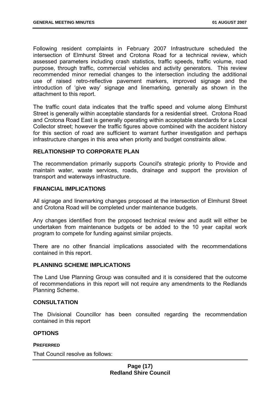Following resident complaints in February 2007 Infrastructure scheduled the intersection of Elmhurst Street and Crotona Road for a technical review, which assessed parameters including crash statistics, traffic speeds, traffic volume, road purpose, through traffic, commercial vehicles and activity generators. This review recommended minor remedial changes to the intersection including the additional use of raised retro-reflective pavement markers, improved signage and the introduction of 'give way' signage and linemarking, generally as shown in the attachment to this report.

The traffic count data indicates that the traffic speed and volume along Elmhurst Street is generally within acceptable standards for a residential street. Crotona Road and Crotona Road East is generally operating within acceptable standards for a Local Collector street; however the traffic figures above combined with the accident history for this section of road are sufficient to warrant further investigation and perhaps infrastructure changes in this area when priority and budget constraints allow.

#### **RELATIONSHIP TO CORPORATE PLAN**

The recommendation primarily supports Council's strategic priority to Provide and maintain water, waste services, roads, drainage and support the provision of transport and waterways infrastructure.

#### **FINANCIAL IMPLICATIONS**

All signage and linemarking changes proposed at the intersection of Elmhurst Street and Crotona Road will be completed under maintenance budgets.

Any changes identified from the proposed technical review and audit will either be undertaken from maintenance budgets or be added to the 10 year capital work program to compete for funding against similar projects.

There are no other financial implications associated with the recommendations contained in this report.

#### **PLANNING SCHEME IMPLICATIONS**

The Land Use Planning Group was consulted and it is considered that the outcome of recommendations in this report will not require any amendments to the Redlands Planning Scheme.

#### **CONSULTATION**

The Divisional Councillor has been consulted regarding the recommendation contained in this report

#### **OPTIONS**

#### **PREFERRED**

That Council resolve as follows: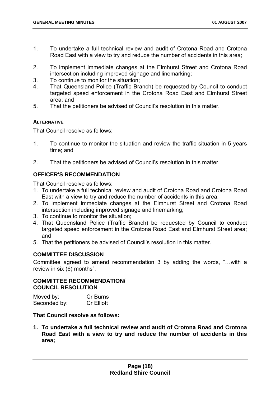- 1. To undertake a full technical review and audit of Crotona Road and Crotona Road East with a view to try and reduce the number of accidents in this area;
- 2. To implement immediate changes at the Elmhurst Street and Crotona Road intersection including improved signage and linemarking;
- 3. To continue to monitor the situation;
- 4. That Queensland Police (Traffic Branch) be requested by Council to conduct targeted speed enforcement in the Crotona Road East and Elmhurst Street area; and
- 5. That the petitioners be advised of Council's resolution in this matter.

#### **ALTERNATIVE**

That Council resolve as follows:

- 1. To continue to monitor the situation and review the traffic situation in 5 years time; and
- 2. That the petitioners be advised of Council's resolution in this matter.

#### **OFFICER'S RECOMMENDATION**

That Council resolve as follows:

- 1. To undertake a full technical review and audit of Crotona Road and Crotona Road East with a view to try and reduce the number of accidents in this area;
- 2. To implement immediate changes at the Elmhurst Street and Crotona Road intersection including improved signage and linemarking;
- 3. To continue to monitor the situation;
- 4. That Queensland Police (Traffic Branch) be requested by Council to conduct targeted speed enforcement in the Crotona Road East and Elmhurst Street area; and
- 5. That the petitioners be advised of Council's resolution in this matter.

#### **COMMITTEE DISCUSSION**

Committee agreed to amend recommendation 3 by adding the words, "…with a review in six (6) months".

#### **COMMITTEE RECOMMENDATION/ COUNCIL RESOLUTION**

| Moved by:    | Cr Burns          |
|--------------|-------------------|
| Seconded by: | <b>Cr Elliott</b> |

#### **That Council resolve as follows:**

**1. To undertake a full technical review and audit of Crotona Road and Crotona Road East with a view to try and reduce the number of accidents in this area;**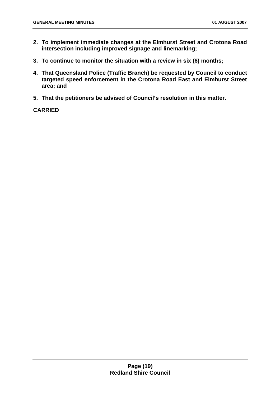- **2. To implement immediate changes at the Elmhurst Street and Crotona Road intersection including improved signage and linemarking;**
- **3. To continue to monitor the situation with a review in six (6) months;**
- **4. That Queensland Police (Traffic Branch) be requested by Council to conduct targeted speed enforcement in the Crotona Road East and Elmhurst Street area; and**
- **5. That the petitioners be advised of Council's resolution in this matter.**

**CARRIED**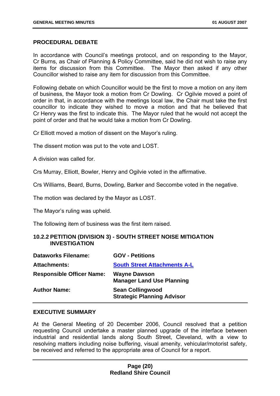#### <span id="page-20-0"></span>**PROCEDURAL DEBATE**

In accordance with Council's meetings protocol, and on responding to the Mayor, Cr Burns, as Chair of Planning & Policy Committee, said he did not wish to raise any items for discussion from this Committee. The Mayor then asked if any other Councillor wished to raise any item for discussion from this Committee.

Following debate on which Councillor would be the first to move a motion on any item of business, the Mayor took a motion from Cr Dowling. Cr Ogilvie moved a point of order in that, in accordance with the meetings local law, the Chair must take the first councillor to indicate they wished to move a motion and that he believed that Cr Henry was the first to indicate this. The Mayor ruled that he would not accept the point of order and that he would take a motion from Cr Dowling.

Cr Elliott moved a motion of dissent on the Mayor's ruling.

The dissent motion was put to the vote and LOST.

A division was called for.

Crs Murray, Elliott, Bowler, Henry and Ogilvie voted in the affirmative.

Crs Williams, Beard, Burns, Dowling, Barker and Seccombe voted in the negative.

The motion was declared by the Mayor as LOST.

The Mayor's ruling was upheld.

The following item of business was the first item raised.

#### **10.2.2 PETITION (DIVISION 3) - SOUTH STREET NOISE MITIGATION INVESTIGATION**

| <b>Dataworks Filename:</b>       | <b>GOV - Petitions</b>                                       |
|----------------------------------|--------------------------------------------------------------|
| <b>Attachments:</b>              | <b>South Street Attachments A-L</b>                          |
| <b>Responsible Officer Name:</b> | <b>Wayne Dawson</b><br><b>Manager Land Use Planning</b>      |
| <b>Author Name:</b>              | <b>Sean Collingwood</b><br><b>Strategic Planning Advisor</b> |

#### **EXECUTIVE SUMMARY**

At the General Meeting of 20 December 2006, Council resolved that a petition requesting Council undertake a master planned upgrade of the interface between industrial and residential lands along South Street, Cleveland, with a view to resolving matters including noise buffering, visual amenity, vehicular/motorist safety, be received and referred to the appropriate area of Council for a report.

#### **Page (20) Redland Shire Council**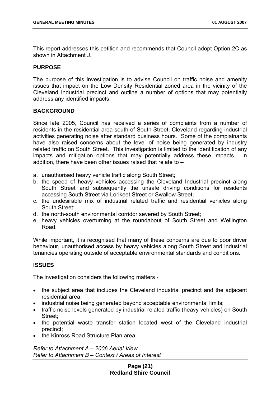This report addresses this petition and recommends that Council adopt Option 2C as shown in Attachment J.

#### **PURPOSE**

The purpose of this investigation is to advise Council on traffic noise and amenity issues that impact on the Low Density Residential zoned area in the vicinity of the Cleveland Industrial precinct and outline a number of options that may potentially address any identified impacts.

#### **BACKGROUND**

Since late 2005, Council has received a series of complaints from a number of residents in the residential area south of South Street, Cleveland regarding industrial activities generating noise after standard business hours. Some of the complainants have also raised concerns about the level of noise being generated by industry related traffic on South Street. This investigation is limited to the identification of any impacts and mitigation options that may potentially address these impacts. In addition, there have been other issues raised that relate to –

- a. unauthorised heavy vehicle traffic along South Street;
- b. the speed of heavy vehicles accessing the Cleveland Industrial precinct along South Street and subsequently the unsafe driving conditions for residents accessing South Street via Lorikeet Street or Swallow Street;
- c. the undesirable mix of industrial related traffic and residential vehicles along South Street;
- d. the north-south environmental corridor severed by South Street;
- e. heavy vehicles overturning at the roundabout of South Street and Wellington Road.

While important, it is recognised that many of these concerns are due to poor driver behaviour, unauthorised access by heavy vehicles along South Street and industrial tenancies operating outside of acceptable environmental standards and conditions.

#### **ISSUES**

The investigation considers the following matters -

- the subject area that includes the Cleveland industrial precinct and the adjacent residential area;
- industrial noise being generated beyond acceptable environmental limits;
- traffic noise levels generated by industrial related traffic (heavy vehicles) on South Street;
- the potential waste transfer station located west of the Cleveland industrial precinct;
- the Kinross Road Structure Plan area.

*Refer to Attachment A – 2006 Aerial View. Refer to Attachment B – Context / Areas of Interest*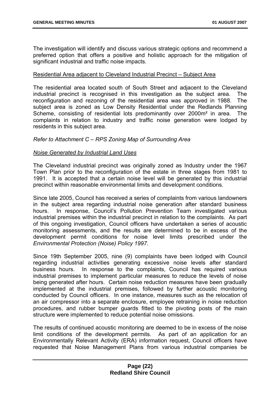The investigation will identify and discuss various strategic options and recommend a preferred option that offers a positive and holistic approach for the mitigation of significant industrial and traffic noise impacts.

#### Residential Area adjacent to Cleveland Industrial Precinct – Subject Area

The residential area located south of South Street and adjacent to the Cleveland industrial precinct is recognised in this investigation as the subject area. The reconfiguration and rezoning of the residential area was approved in 1988. The subject area is zoned as Low Density Residential under the Redlands Planning Scheme, consisting of residential lots predominantly over 2000m<sup>2</sup> in area. The complaints in relation to industry and traffic noise generation were lodged by residents in this subject area.

#### *Refer to Attachment C – RPS Zoning Map of Surrounding Area*

#### *Noise Generated by Industrial Land Uses*

The Cleveland industrial precinct was originally zoned as Industry under the 1967 Town Plan prior to the reconfiguration of the estate in three stages from 1981 to 1991. It is accepted that a certain noise level will be generated by this industrial precinct within reasonable environmental limits and development conditions.

Since late 2005, Council has received a series of complaints from various landowners in the subject area regarding industrial noise generation after standard business hours. In response, Council's Pollution Prevention Team investigated various industrial premises within the industrial precinct in relation to the complaints. As part of this ongoing investigation, Council officers have undertaken a series of acoustic monitoring assessments, and the results are determined to be in excess of the development permit conditions for noise level limits prescribed under the *Environmental Protection (Noise) Policy 1997*.

Since 19th September 2005, nine (9) complaints have been lodged with Council regarding industrial activities generating excessive noise levels after standard business hours. In response to the complaints, Council has required various industrial premises to implement particular measures to reduce the levels of noise being generated after hours. Certain noise reduction measures have been gradually implemented at the industrial premises, followed by further acoustic monitoring conducted by Council officers. In one instance, measures such as the relocation of an air compressor into a separate enclosure, employee retraining in noise reduction procedures, and rubber bumper guards fitted to the pivoting posts of the main structure were implemented to reduce potential noise omissions.

The results of continued acoustic monitoring are deemed to be in excess of the noise limit conditions of the development permits. As part of an application for an Environmentally Relevant Activity (ERA) information request, Council officers have requested that Noise Management Plans from various industrial companies be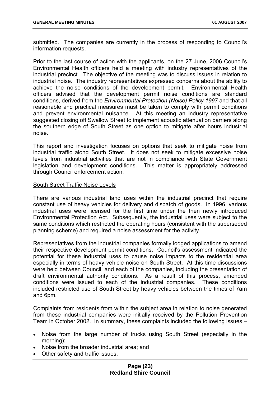submitted. The companies are currently in the process of responding to Council's information requests.

Prior to the last course of action with the applicants, on the 27 June, 2006 Council's Environmental Health officers held a meeting with industry representatives of the industrial precinct. The objective of the meeting was to discuss issues in relation to industrial noise. The industry representatives expressed concerns about the ability to achieve the noise conditions of the development permit. Environmental Health officers advised that the development permit noise conditions are standard conditions, derived from the *Environmental Protection (Noise) Policy 1997* and that all reasonable and practical measures must be taken to comply with permit conditions and prevent environmental nuisance. At this meeting an industry representative suggested closing off Swallow Street to implement acoustic attenuation barriers along the southern edge of South Street as one option to mitigate after hours industrial noise.

This report and investigation focuses on options that seek to mitigate noise from industrial traffic along South Street. It does not seek to mitigate excessive noise levels from industrial activities that are not in compliance with State Government legislation and development conditions. This matter is appropriately addressed through Council enforcement action.

#### South Street Traffic Noise Levels

There are various industrial land uses within the industrial precinct that require constant use of heavy vehicles for delivery and dispatch of goods. In 1996, various industrial uses were licensed for the first time under the then newly introduced Environmental Protection Act. Subsequently, the industrial uses were subject to the same conditions which restricted the operating hours (consistent with the superseded planning scheme) and required a noise assessment for the activity.

Representatives from the industrial companies formally lodged applications to amend their respective development permit conditions. Council's assessment indicated the potential for these industrial uses to cause noise impacts to the residential area especially in terms of heavy vehicle noise on South Street. At this time discussions were held between Council, and each of the companies, including the presentation of draft environmental authority conditions. As a result of this process, amended conditions were issued to each of the industrial companies. These conditions included restricted use of South Street by heavy vehicles between the times of 7am and 6pm.

Complaints from residents from within the subject area in relation to noise generated from these industrial companies were initially received by the Pollution Prevention Team in October 2002. In summary, these complaints included the following issues –

- Noise from the large number of trucks using South Street (especially in the morning);
- Noise from the broader industrial area; and
- Other safety and traffic issues.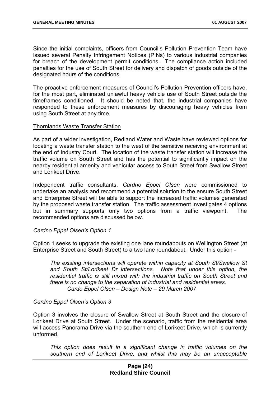Since the initial complaints, officers from Council's Pollution Prevention Team have issued several Penalty Infringement Notices (PINs) to various industrial companies for breach of the development permit conditions. The compliance action included penalties for the use of South Street for delivery and dispatch of goods outside of the designated hours of the conditions.

The proactive enforcement measures of Council's Pollution Prevention officers have, for the most part, eliminated unlawful heavy vehicle use of South Street outside the timeframes conditioned. It should be noted that, the industrial companies have responded to these enforcement measures by discouraging heavy vehicles from using South Street at any time.

#### Thornlands Waste Transfer Station

As part of a wider investigation, Redland Water and Waste have reviewed options for locating a waste transfer station to the west of the sensitive receiving environment at the end of Industry Court. The location of the waste transfer station will increase the traffic volume on South Street and has the potential to significantly impact on the nearby residential amenity and vehicular access to South Street from Swallow Street and Lorikeet Drive.

Independent traffic consultants, *Cardno Eppel Olsen* were commissioned to undertake an analysis and recommend a potential solution to the ensure South Street and Enterprise Street will be able to support the increased traffic volumes generated by the proposed waste transfer station. The traffic assessment investigates 4 options but in summary supports only two options from a traffic viewpoint. The recommended options are discussed below.

#### *Cardno Eppel Olsen's Option 1*

Option 1 seeks to upgrade the existing one lane roundabouts on Wellington Street (at Enterprise Street and South Street) to a two lane roundabout. Under this option -

*The existing intersections will operate within capacity at South St/Swallow St and South St/Lorikeet Dr intersections. Note that under this option, the residential traffic is still mixed with the industrial traffic on South Street and there is no change to the separation of industrial and residential areas. Cardo Eppel Olsen – Design Note – 29 March 2007* 

#### *Cardno Eppel Olsen's Option 3*

Option 3 involves the closure of Swallow Street at South Street and the closure of Lorikeet Drive at South Street. Under the scenario, traffic from the residential area will access Panorama Drive via the southern end of Lorikeet Drive, which is currently unformed.

*This option does result in a significant change in traffic volumes on the southern end of Lorikeet Drive, and whilst this may be an unacceptable* 

#### **Page (24) Redland Shire Council**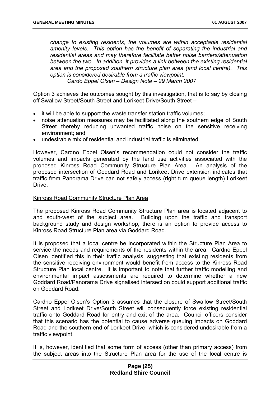*change to existing residents, the volumes are within acceptable residential amenity levels. This option has the benefit of separating the industrial and residential areas and may therefore facilitate better noise barriers/attenuation between the two. In addition, it provides a link between the existing residential area and the proposed southern structure plan area (and local centre). This option is considered desirable from a traffic viewpoint.* 

*Cardo Eppel Olsen – Design Note – 29 March 2007* 

Option 3 achieves the outcomes sought by this investigation, that is to say by closing off Swallow Street/South Street and Lorikeet Drive/South Street –

- it will be able to support the waste transfer station traffic volumes;
- noise attenuation measures may be facilitated along the southern edge of South Street thereby reducing unwanted traffic noise on the sensitive receiving environment; and
- undesirable mix of residential and industrial traffic is eliminated.

However, Cardno Eppel Olsen's recommendation could not consider the traffic volumes and impacts generated by the land use activities associated with the proposed Kinross Road Community Structure Plan Area. An analysis of the proposed intersection of Goddard Road and Lorikeet Drive extension indicates that traffic from Panorama Drive can not safely access (right turn queue length) Lorikeet **Drive.** 

#### Kinross Road Community Structure Plan Area

The proposed Kinross Road Community Structure Plan area is located adjacent to and south-west of the subject area. Building upon the traffic and transport background study and design workshop, there is an option to provide access to Kinross Road Structure Plan area via Goddard Road.

It is proposed that a local centre be incorporated within the Structure Plan Area to service the needs and requirements of the residents within the area. Cardno Eppel Olsen identified this in their traffic analysis, suggesting that existing residents from the sensitive receiving environment would benefit from access to the Kinross Road Structure Plan local centre. It is important to note that further traffic modelling and environmental impact assessments are required to determine whether a new Goddard Road/Panorama Drive signalised intersection could support additional traffic on Goddard Road.

Cardno Eppel Olsen's Option 3 assumes that the closure of Swallow Street/South Street and Lorikeet Drive/South Street will consequently force existing residential traffic onto Goddard Road for entry and exit of the area. Council officers consider that this scenario has the potential to cause adverse queuing impacts on Goddard Road and the southern end of Lorikeet Drive, which is considered undesirable from a traffic viewpoint.

It is, however, identified that some form of access (other than primary access) from the subject areas into the Structure Plan area for the use of the local centre is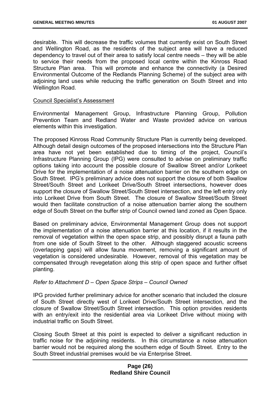desirable. This will decrease the traffic volumes that currently exist on South Street and Wellington Road, as the residents of the subject area will have a reduced dependency to travel out of their area to satisfy local centre needs – they will be able to service their needs from the proposed local centre within the Kinross Road Structure Plan area. This will promote and enhance the connectivity (a Desired Environmental Outcome of the Redlands Planning Scheme) of the subject area with adjoining land uses while reducing the traffic generation on South Street and into Wellington Road.

#### Council Specialist's Assessment

Environmental Management Group, Infrastructure Planning Group, Pollution Prevention Team and Redland Water and Waste provided advice on various elements within this investigation.

The proposed Kinross Road Community Structure Plan is currently being developed. Although detail design outcomes of the proposed intersections into the Structure Plan area have not yet been established due to timing of the project, Council's Infrastructure Planning Group (IPG) were consulted to advise on preliminary traffic options taking into account the possible closure of Swallow Street and/or Lorikeet Drive for the implementation of a noise attenuation barrier on the southern edge on South Street. IPG's preliminary advice does not support the closure of both Swallow Street/South Street and Lorikeet Drive/South Street intersections, however does support the closure of Swallow Street/South Street intersection, and the left entry only into Lorikeet Drive from South Street. The closure of Swallow Street/South Street would then facilitate construction of a noise attenuation barrier along the southern edge of South Street on the buffer strip of Council owned land zoned as Open Space.

Based on preliminary advice, Environmental Management Group does not support the implementation of a noise attenuation barrier at this location, if it results in the removal of vegetation within the open space strip, and possibly disrupt a fauna path from one side of South Street to the other. Although staggered acoustic screens (overlapping gaps) will allow fauna movement, removing a significant amount of vegetation is considered undesirable. However, removal of this vegetation may be compensated through revegetation along this strip of open space and further offset planting.

#### *Refer to Attachment D – Open Space Strips – Council Owned*

IPG provided further preliminary advice for another scenario that included the closure of South Street directly west of Lorikeet Drive/South Street intersection, and the closure of Swallow Street/South Street intersection. This option provides residents with an entry/exit into the residential area via Lorikeet Drive without mixing with industrial traffic on South Street.

Closing South Street at this point is expected to deliver a significant reduction in traffic noise for the adjoining residents. In this circumstance a noise attenuation barrier would not be required along the southern edge of South Street. Entry to the South Street industrial premises would be via Enterprise Street.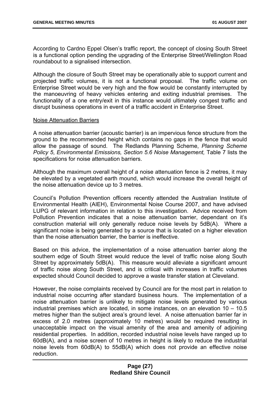According to Cardno Eppel Olsen's traffic report, the concept of closing South Street is a functional option pending the upgrading of the Enterprise Street/Wellington Road roundabout to a signalised intersection.

Although the closure of South Street may be operationally able to support current and projected traffic volumes, it is not a functional proposal. The traffic volume on Enterprise Street would be very high and the flow would be constantly interrupted by the manoeuvring of heavy vehicles entering and exiting industrial premises. The functionality of a one entry/exit in this instance would ultimately congest traffic and disrupt business operations in event of a traffic accident in Enterprise Street.

#### Noise Attenuation Barriers

A noise attenuation barrier (acoustic barrier) is an impervious fence structure from the ground to the recommended height which contains no gaps in the fence that would allow the passage of sound. The Redlands Planning Scheme, *Planning Scheme Policy 5*, *Environmental Emissions, Section 5.6 Noise Management,* Table 7 lists the specifications for noise attenuation barriers.

Although the maximum overall height of a noise attenuation fence is 2 metres, it may be elevated by a vegetated earth mound, which would increase the overall height of the noise attenuation device up to 3 metres.

Council's Pollution Prevention officers recently attended the Australian Institute of Environmental Health (AIEH), Environmental Noise Course 2007, and have advised LUPG of relevant information in relation to this investigation. Advice received from Pollution Prevention indicates that a noise attenuation barrier, dependant on it's construction material will only generally reduce noise levels by 5dB(A). Where a significant noise is being generated by a source that is located on a higher elevation than the noise attenuation barrier, the barrier is ineffective.

Based on this advice, the implementation of a noise attenuation barrier along the southern edge of South Street would reduce the level of traffic noise along South Street by approximately 5dB(A). This measure would alleviate a significant amount of traffic noise along South Street, and is critical with increases in traffic volumes expected should Council decided to approve a waste transfer station at Cleveland.

However, the noise complaints received by Council are for the most part in relation to industrial noise occurring after standard business hours. The implementation of a noise attenuation barrier is unlikely to mitigate noise levels generated by various industrial premises which are located, in some instances, on an elevation 10 – 10.5 metres higher than the subject area's ground level. A noise attenuation barrier far in excess of 2.0 metres (approximately 10 metres) would be required resulting in unacceptable impact on the visual amenity of the area and amenity of adjoining residential properties. In addition, recorded industrial noise levels have ranged up to 60dB(A), and a noise screen of 10 metres in height is likely to reduce the industrial noise levels from 60dB(A) to 55dB(A) which does not provide an effective noise reduction.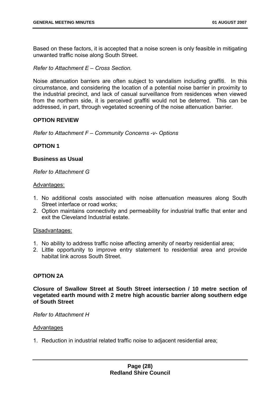Based on these factors, it is accepted that a noise screen is only feasible in mitigating unwanted traffic noise along South Street.

*Refer to Attachment E – Cross Section.* 

Noise attenuation barriers are often subject to vandalism including graffiti. In this circumstance, and considering the location of a potential noise barrier in proximity to the industrial precinct, and lack of casual surveillance from residences when viewed from the northern side, it is perceived graffiti would not be deterred. This can be addressed, in part, through vegetated screening of the noise attenuation barrier.

#### **OPTION REVIEW**

*Refer to Attachment F – Community Concerns -v- Options* 

#### **OPTION 1**

#### **Business as Usual**

*Refer to Attachment G* 

#### Advantages:

- 1. No additional costs associated with noise attenuation measures along South Street interface or road works;
- 2. Option maintains connectivity and permeability for industrial traffic that enter and exit the Cleveland Industrial estate.

#### Disadvantages:

- 1. No ability to address traffic noise affecting amenity of nearby residential area;
- 2. Little opportunity to improve entry statement to residential area and provide habitat link across South Street.

#### **OPTION 2A**

**Closure of Swallow Street at South Street intersection / 10 metre section of vegetated earth mound with 2 metre high acoustic barrier along southern edge of South Street** 

*Refer to Attachment H* 

#### Advantages

1. Reduction in industrial related traffic noise to adjacent residential area;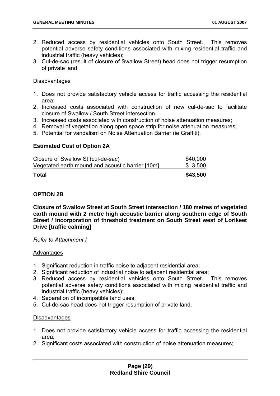- 2. Reduced access by residential vehicles onto South Street. This removes potential adverse safety conditions associated with mixing residential traffic and industrial traffic (heavy vehicles);
- 3. Cul-de-sac (result of closure of Swallow Street) head does not trigger resumption of private land.

#### **Disadvantages**

- 1. Does not provide satisfactory vehicle access for traffic accessing the residential area;
- 2. Increased costs associated with construction of new cul-de-sac to facilitate closure of Swallow / South Street intersection.
- 3. Increased costs associated with construction of noise attenuation measures;
- 4. Removal of vegetation along open space strip for noise attenuation measures;
- 5. Potential for vandalism on Noise Attenuation Barrier (ie Graffiti).

#### **Estimated Cost of Option 2A**

| Total                                            | \$43,500 |
|--------------------------------------------------|----------|
| Vegetated earth mound and acoustic barrier [10m] | \$3,500  |
| Closure of Swallow St (cul-de-sac)               | \$40,000 |

#### **OPTION 2B**

**Closure of Swallow Street at South Street intersection / 180 metres of vegetated earth mound with 2 metre high acoustic barrier along southern edge of South Street / Incorporation of threshold treatment on South Street west of Lorikeet Drive [traffic calming]** 

*Refer to Attachment I* 

#### Advantages

- 1. Significant reduction in traffic noise to adjacent residential area;
- 2. Significant reduction of industrial noise to adjacent residential area;
- 3. Reduced access by residential vehicles onto South Street. This removes potential adverse safety conditions associated with mixing residential traffic and industrial traffic (heavy vehicles);
- 4. Separation of incompatible land uses;
- 5. Cul-de-sac head does not trigger resumption of private land.

#### **Disadvantages**

- 1. Does not provide satisfactory vehicle access for traffic accessing the residential area;
- 2. Significant costs associated with construction of noise attenuation measures;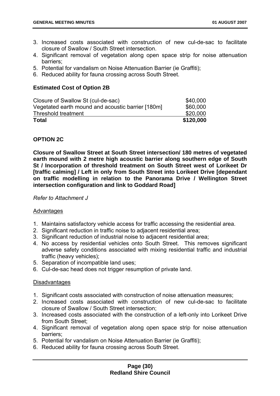- 3. Increased costs associated with construction of new cul-de-sac to facilitate closure of Swallow / South Street intersection.
- 4. Significant removal of vegetation along open space strip for noise attenuation barriers;
- 5. Potential for vandalism on Noise Attenuation Barrier (ie Graffiti);
- 6. Reduced ability for fauna crossing across South Street.

#### **Estimated Cost of Option 2B**

| Closure of Swallow St (cul-de-sac)                | \$40,000  |
|---------------------------------------------------|-----------|
| Vegetated earth mound and acoustic barrier [180m] | \$60,000  |
| Threshold treatment                               | \$20,000  |
| Total                                             | \$120,000 |

#### **OPTION 2C**

**Closure of Swallow Street at South Street intersection/ 180 metres of vegetated earth mound with 2 metre high acoustic barrier along southern edge of South St / Incorporation of threshold treatment on South Street west of Lorikeet Dr [traffic calming] / Left in only from South Street into Lorikeet Drive [dependant on traffic modelling in relation to the Panorama Drive / Wellington Street intersection configuration and link to Goddard Road]** 

*Refer to Attachment J* 

#### Advantages

- 1. Maintains satisfactory vehicle access for traffic accessing the residential area.
- 2. Significant reduction in traffic noise to adjacent residential area;
- 3. Significant reduction of industrial noise to adjacent residential area;
- 4. No access by residential vehicles onto South Street. This removes significant adverse safety conditions associated with mixing residential traffic and industrial traffic (heavy vehicles);
- 5. Separation of incompatible land uses;
- 6. Cul-de-sac head does not trigger resumption of private land.

#### Disadvantages

- 1. Significant costs associated with construction of noise attenuation measures;
- 2. Increased costs associated with construction of new cul-de-sac to facilitate closure of Swallow / South Street intersection;
- 3. Increased costs associated with the construction of a left-only into Lorikeet Drive from South Street;
- 4. Significant removal of vegetation along open space strip for noise attenuation barriers;
- 5. Potential for vandalism on Noise Attenuation Barrier (ie Graffiti);
- 6. Reduced ability for fauna crossing across South Street.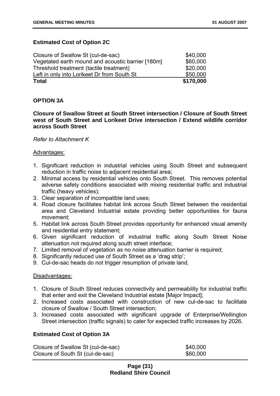#### **Estimated Cost of Option 2C**

| <b>Total</b>                                      | \$170,000 |
|---------------------------------------------------|-----------|
| Left in only into Lorikeet Dr from South St       | \$50,000  |
| Threshold treatment (tactile treatment)           | \$20,000  |
| Vegetated earth mound and acoustic barrier [180m] | \$60,000  |
| Closure of Swallow St (cul-de-sac)                | \$40,000  |

#### **OPTION 3A**

**Closure of Swallow Street at South Street intersection / Closure of South Street west of South Street and Lorikeet Drive intersection / Extend wildlife corridor across South Street** 

#### *Refer to Attachment K*

#### Advantages:

- 1. Significant reduction in industrial vehicles using South Street and subsequent reduction in traffic noise to adjacent residential area;
- 2. Minimal access by residential vehicles onto South Street. This removes potential adverse safety conditions associated with mixing residential traffic and industrial traffic (heavy vehicles);
- 3. Clear separation of incompatible land uses;
- 4. Road closure facilitates habitat link across South Street between the residential area and Cleveland Industrial estate providing better opportunities for fauna movement;
- 5. Habitat link across South Street provides opportunity for enhanced visual amenity and residential entry statement;
- 6. Given significant reduction of industrial traffic along South Street Noise attenuation not required along south street interface;
- 7. Limited removal of vegetation as no noise attenuation barrier is required;
- 8. Significantly reduced use of South Street as a 'drag strip';
- 9. Cul-de-sac heads do not trigger resumption of private land.

#### Disadvantages:

- 1. Closure of South Street reduces connectivity and permeability for industrial traffic that enter and exit the Cleveland Industrial estate [Major Impact];
- 2. Increased costs associated with construction of new cul-de-sac to facilitate closure of Swallow / South Street intersection;
- 3. Increased costs associated with significant upgrade of Enterprise/Wellington Street intersection (traffic signals) to cater for expected traffic increases by 2026.

#### **Estimated Cost of Option 3A**

| Closure of Swallow St (cul-de-sac) | \$40,000 |
|------------------------------------|----------|
| Closure of South St (cul-de-sac)   | \$60,000 |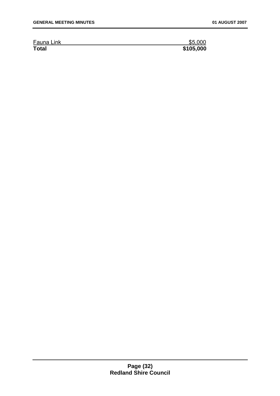| Fauna Link   | \$5,000   |
|--------------|-----------|
| <b>Total</b> | \$105,000 |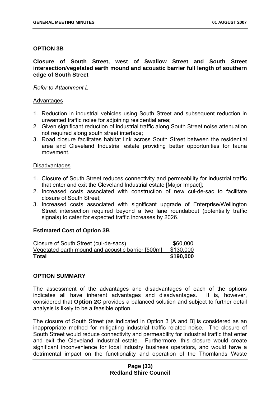#### **OPTION 3B**

#### **Closure of South Street, west of Swallow Street and South Street intersection/vegetated earth mound and acoustic barrier full length of southern edge of South Street**

#### *Refer to Attachment L*

#### Advantages

- 1. Reduction in industrial vehicles using South Street and subsequent reduction in unwanted traffic noise for adjoining residential area;
- 2. Given significant reduction of industrial traffic along South Street noise attenuation not required along south street interface;
- 3. Road closure facilitates habitat link across South Street between the residential area and Cleveland Industrial estate providing better opportunities for fauna movement.

#### **Disadvantages**

- 1. Closure of South Street reduces connectivity and permeability for industrial traffic that enter and exit the Cleveland Industrial estate [Major Impact];
- 2. Increased costs associated with construction of new cul-de-sac to facilitate closure of South Street;
- 3. Increased costs associated with significant upgrade of Enterprise/Wellington Street intersection required beyond a two lane roundabout (potentially traffic signals) to cater for expected traffic increases by 2026.

#### **Estimated Cost of Option 3B**

| Closure of South Street (cul-de-sacs)             | \$60,000  |
|---------------------------------------------------|-----------|
| Vegetated earth mound and acoustic barrier [500m] | \$130,000 |
| <b>Total</b>                                      | \$190,000 |

#### **OPTION SUMMARY**

The assessment of the advantages and disadvantages of each of the options indicates all have inherent advantages and disadvantages. It is, however, considered that **Option 2C** provides a balanced solution and subject to further detail analysis is likely to be a feasible option.

The closure of South Street (as indicated in Option 3 [A and B] is considered as an inappropriate method for mitigating industrial traffic related noise. The closure of South Street would reduce connectivity and permeability for industrial traffic that enter and exit the Cleveland Industrial estate. Furthermore, this closure would create significant inconvenience for local industry business operators, and would have a detrimental impact on the functionality and operation of the Thornlands Waste

#### **Page (33) Redland Shire Council**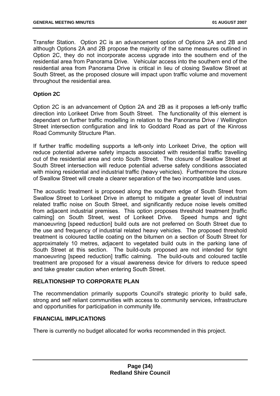Transfer Station. Option 2C is an advancement option of Options 2A and 2B and although Options 2A and 2B propose the majority of the same measures outlined in Option 2C, they do not incorporate access upgrade into the southern end of the residential area from Panorama Drive. Vehicular access into the southern end of the residential area from Panorama Drive is critical in lieu of closing Swallow Street at South Street, as the proposed closure will impact upon traffic volume and movement throughout the residential area.

#### **Option 2C**

Option 2C is an advancement of Option 2A and 2B as it proposes a left-only traffic direction into Lorikeet Drive from South Street. The functionality of this element is dependant on further traffic modelling in relation to the Panorama Drive / Wellington Street intersection configuration and link to Goddard Road as part of the Kinross Road Community Structure Plan.

If further traffic modelling supports a left-only into Lorikeet Drive, the option will reduce potential adverse safety impacts associated with residential traffic travelling out of the residential area and onto South Street. The closure of Swallow Street at South Street intersection will reduce potential adverse safety conditions associated with mixing residential and industrial traffic (heavy vehicles). Furthermore the closure of Swallow Street will create a clearer separation of the two incompatible land uses.

The acoustic treatment is proposed along the southern edge of South Street from Swallow Street to Lorikeet Drive in attempt to mitigate a greater level of industrial related traffic noise on South Street, and significantly reduce noise levels omitted from adjacent industrial premises. This option proposes threshold treatment [traffic calming] on South Street, west of Lorikeet Drive. Speed humps and tight manoeuvring [speed reduction] build outs are not preferred on South Street due to the use and frequency of industrial related heavy vehicles. The proposed threshold treatment is coloured tactile coating on the bitumen on a section of South Street for approximately 10 metres, adjacent to vegetated build outs in the parking lane of South Street at this section. The build-outs proposed are not intended for tight manoeuvring [speed reduction] traffic calming. The build-outs and coloured tactile treatment are proposed for a visual awareness device for drivers to reduce speed and take greater caution when entering South Street.

#### **RELATIONSHIP TO CORPORATE PLAN**

The recommendation primarily supports Council's strategic priority to build safe, strong and self reliant communities with access to community services, infrastructure and opportunities for participation in community life.

#### **FINANCIAL IMPLICATIONS**

There is currently no budget allocated for works recommended in this project.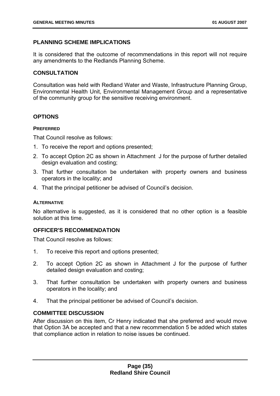#### **PLANNING SCHEME IMPLICATIONS**

It is considered that the outcome of recommendations in this report will not require any amendments to the Redlands Planning Scheme.

#### **CONSULTATION**

Consultation was held with Redland Water and Waste, Infrastructure Planning Group, Environmental Health Unit, Environmental Management Group and a representative of the community group for the sensitive receiving environment.

#### **OPTIONS**

#### **PREFERRED**

That Council resolve as follows:

- 1. To receive the report and options presented;
- 2. To accept Option 2C as shown in Attachment J for the purpose of further detailed design evaluation and costing;
- 3. That further consultation be undertaken with property owners and business operators in the locality; and
- 4. That the principal petitioner be advised of Council's decision.

#### **ALTERNATIVE**

No alternative is suggested, as it is considered that no other option is a feasible solution at this time.

#### **OFFICER'S RECOMMENDATION**

That Council resolve as follows:

- 1. To receive this report and options presented;
- 2. To accept Option 2C as shown in Attachment J for the purpose of further detailed design evaluation and costing;
- 3. That further consultation be undertaken with property owners and business operators in the locality; and
- 4. That the principal petitioner be advised of Council's decision.

#### **COMMITTEE DISCUSSION**

After discussion on this item, Cr Henry indicated that she preferred and would move that Option 3A be accepted and that a new recommendation 5 be added which states that compliance action in relation to noise issues be continued.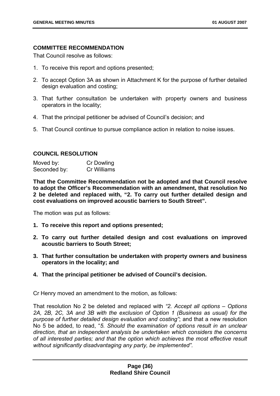### **COMMITTEE RECOMMENDATION**

That Council resolve as follows:

- 1. To receive this report and options presented;
- 2. To accept Option 3A as shown in Attachment K for the purpose of further detailed design evaluation and costing;
- 3. That further consultation be undertaken with property owners and business operators in the locality;
- 4. That the principal petitioner be advised of Council's decision; and
- 5. That Council continue to pursue compliance action in relation to noise issues.

## **COUNCIL RESOLUTION**

| Moved by:    | <b>Cr Dowling</b> |
|--------------|-------------------|
| Seconded by: | Cr Williams       |

**That the Committee Recommendation not be adopted and that Council resolve to adopt the Officer's Recommendation with an amendment, that resolution No 2 be deleted and replaced with, "2. To carry out further detailed design and cost evaluations on improved acoustic barriers to South Street".** 

The motion was put as follows:

- **1. To receive this report and options presented;**
- **2. To carry out further detailed design and cost evaluations on improved acoustic barriers to South Street;**
- **3. That further consultation be undertaken with property owners and business operators in the locality; and**
- **4. That the principal petitioner be advised of Council's decision.**

Cr Henry moved an amendment to the motion, as follows:

That resolution No 2 be deleted and replaced with *"2. Accept all options – Options 2A, 2B, 2C, 3A and 3B with the exclusion of Option 1 (Business as usual) for the purpose of further detailed design evaluation and costing"*; and that a new resolution No 5 be added, to read, "*5. Should the examination of options result in an unclear direction, that an independent analysis be undertaken which considers the concerns of all interested parties; and that the option which achieves the most effective result without significantly disadvantaging any party, be implemented".*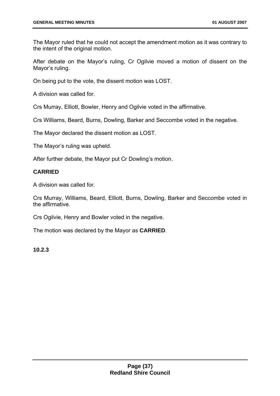The Mayor ruled that he could not accept the amendment motion as it was contrary to the intent of the original motion.

After debate on the Mayor's ruling, Cr Ogilvie moved a motion of dissent on the Mayor's ruling.

On being put to the vote, the dissent motion was LOST.

A division was called for.

Crs Murray, Elliott, Bowler, Henry and Ogilvie voted in the affirmative.

Crs Williams, Beard, Burns, Dowling, Barker and Seccombe voted in the negative.

The Mayor declared the dissent motion as LOST.

The Mayor's ruling was upheld.

After further debate, the Mayor put Cr Dowling's motion.

## **CARRIED**

A division was called for.

Crs Murray, Williams, Beard, Elliott, Burns, Dowling, Barker and Seccombe voted in the affirmative.

Crs Ogilvie, Henry and Bowler voted in the negative.

The motion was declared by the Mayor as **CARRIED**.

**10.2.3**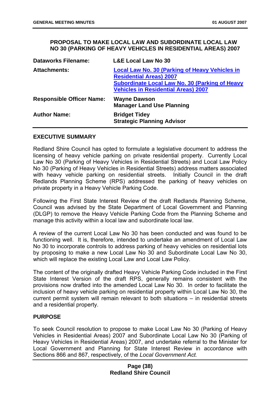#### **PROPOSAL TO MAKE LOCAL LAW AND SUBORDINATE LOCAL LAW NO 30 (PARKING OF HEAVY VEHICLES IN RESIDENTIAL AREAS) 2007**

| <b>Dataworks Filename:</b>       | <b>L&amp;E Local Law No 30</b>                                                                                                                                                                 |
|----------------------------------|------------------------------------------------------------------------------------------------------------------------------------------------------------------------------------------------|
| <b>Attachments:</b>              | <b>Local Law No. 30 (Parking of Heavy Vehicles in</b><br><b>Residential Areas) 2007</b><br><b>Subordinate Local Law No. 30 (Parking of Heavy</b><br><b>Vehicles in Residential Areas) 2007</b> |
| <b>Responsible Officer Name:</b> | <b>Wayne Dawson</b><br><b>Manager Land Use Planning</b>                                                                                                                                        |
| <b>Author Name:</b>              | <b>Bridget Tidey</b><br><b>Strategic Planning Advisor</b>                                                                                                                                      |

#### **EXECUTIVE SUMMARY**

Redland Shire Council has opted to formulate a legislative document to address the licensing of heavy vehicle parking on private residential property. Currently Local Law No 30 (Parking of Heavy Vehicles in Residential Streets) and Local Law Policy No 30 (Parking of Heavy Vehicles in Residential Streets) address matters associated with heavy vehicle parking on residential streets. Initially Council in the draft Redlands Planning Scheme (RPS) addressed the parking of heavy vehicles on private property in a Heavy Vehicle Parking Code.

Following the First State Interest Review of the draft Redlands Planning Scheme, Council was advised by the State Department of Local Government and Planning (DLGP) to remove the Heavy Vehicle Parking Code from the Planning Scheme and manage this activity within a local law and subordinate local law.

A review of the current Local Law No 30 has been conducted and was found to be functioning well. It is, therefore, intended to undertake an amendment of Local Law No 30 to incorporate controls to address parking of heavy vehicles on residential lots by proposing to make a new Local Law No 30 and Subordinate Local Law No 30, which will replace the existing Local Law and Local Law Policy.

The content of the originally drafted Heavy Vehicle Parking Code included in the First State Interest Version of the draft RPS, generally remains consistent with the provisions now drafted into the amended Local Law No 30. In order to facilitate the inclusion of heavy vehicle parking on residential property within Local Law No 30, the current permit system will remain relevant to both situations – in residential streets and a residential property.

### **PURPOSE**

To seek Council resolution to propose to make Local Law No 30 (Parking of Heavy Vehicles in Residential Areas) 2007 and Subordinate Local Law No 30 (Parking of Heavy Vehicles in Residential Areas) 2007, and undertake referral to the Minister for Local Government and Planning for State Interest Review in accordance with Sections 866 and 867, respectively, of the *Local Government Act.*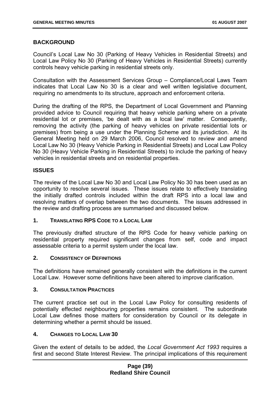## **BACKGROUND**

Council's Local Law No 30 (Parking of Heavy Vehicles in Residential Streets) and Local Law Policy No 30 (Parking of Heavy Vehicles in Residential Streets) currently controls heavy vehicle parking in residential streets only.

Consultation with the Assessment Services Group – Compliance/Local Laws Team indicates that Local Law No 30 is a clear and well written legislative document, requiring no amendments to its structure, approach and enforcement criteria.

During the drafting of the RPS, the Department of Local Government and Planning provided advice to Council requiring that heavy vehicle parking where on a private residential lot or premises, 'be dealt with as a local law' matter. Consequently, removing the activity (the parking of heavy vehicles on private residential lots or premises) from being a use under the Planning Scheme and its jurisdiction. At its General Meeting held on 29 March 2006, Council resolved to review and amend Local Law No 30 (Heavy Vehicle Parking in Residential Streets) and Local Law Policy No 30 (Heavy Vehicle Parking in Residential Streets) to include the parking of heavy vehicles in residential streets and on residential properties.

## **ISSUES**

The review of the Local Law No 30 and Local Law Policy No 30 has been used as an opportunity to resolve several issues. These issues relate to effectively translating the initially drafted controls included within the draft RPS into a local law and resolving matters of overlap between the two documents. The issues addressed in the review and drafting process are summarised and discussed below.

### **1. TRANSLATING RPS CODE TO A LOCAL LAW**

The previously drafted structure of the RPS Code for heavy vehicle parking on residential property required significant changes from self, code and impact assessable criteria to a permit system under the local law.

### **2. CONSISTENCY OF DEFINITIONS**

The definitions have remained generally consistent with the definitions in the current Local Law. However some definitions have been altered to improve clarification.

### **3. CONSULTATION PRACTICES**

The current practice set out in the Local Law Policy for consulting residents of potentially effected neighbouring properties remains consistent. The subordinate Local Law defines those matters for consideration by Council or its delegate in determining whether a permit should be issued.

### **4. CHANGES TO LOCAL LAW 30**

Given the extent of details to be added, the *Local Government Act 1993* requires a first and second State Interest Review. The principal implications of this requirement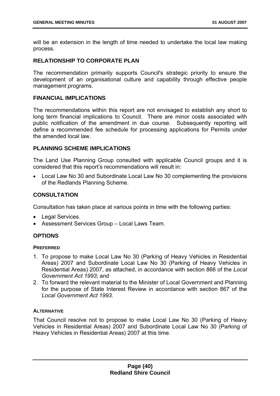will be an extension in the length of time needed to undertake the local law making process.

# **RELATIONSHIP TO CORPORATE PLAN**

The recommendation primarily supports Council's strategic priority to ensure the development of an organisational culture and capability through effective people management programs.

## **FINANCIAL IMPLICATIONS**

The recommendations within this report are not envisaged to establish any short to long term financial implications to Council. There are minor costs associated with public notification of the amendment in due course. Subsequently reporting will define a recommended fee schedule for processing applications for Permits under the amended local law.

## **PLANNING SCHEME IMPLICATIONS**

The Land Use Planning Group consulted with applicable Council groups and it is considered that this report's recommendations will result in:

• Local Law No 30 and Subordinate Local Law No 30 complementing the provisions of the Redlands Planning Scheme.

## **CONSULTATION**

Consultation has taken place at various points in time with the following parties:

- Legal Services.
- Assessment Services Group Local Laws Team.

## **OPTIONS**

### **PREFERRED**

- 1. To propose to make Local Law No 30 (Parking of Heavy Vehicles in Residential Areas) 2007 and Subordinate Local Law No 30 (Parking of Heavy Vehicles in Residential Areas) 2007, as attached, in accordance with section 866 of the *Local Government Act 1993*; and
- 2. To forward the relevant material to the Minister of Local Government and Planning for the purpose of State Interest Review in accordance with section 867 of the *Local Government Act 1993*.

### **ALTERNATIVE**

That Council resolve not to propose to make Local Law No 30 (Parking of Heavy Vehicles in Residential Areas) 2007 and Subordinate Local Law No 30 (Parking of Heavy Vehicles in Residential Areas) 2007 at this time.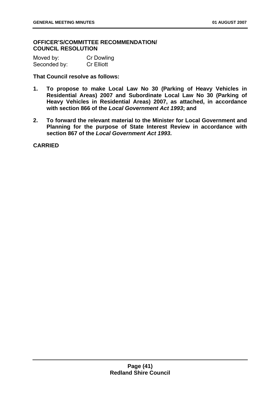**OFFICER'S/COMMITTEE RECOMMENDATION/ COUNCIL RESOLUTION** 

| Moved by:    | <b>Cr Dowling</b> |
|--------------|-------------------|
| Seconded by: | <b>Cr Elliott</b> |

**That Council resolve as follows:** 

- **1. To propose to make Local Law No 30 (Parking of Heavy Vehicles in Residential Areas) 2007 and Subordinate Local Law No 30 (Parking of Heavy Vehicles in Residential Areas) 2007, as attached, in accordance with section 866 of the** *Local Government Act 1993***; and**
- **2. To forward the relevant material to the Minister for Local Government and Planning for the purpose of State Interest Review in accordance with section 867 of the** *Local Government Act 1993***.**

**CARRIED**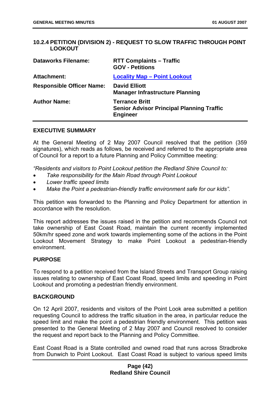## **10.2.4 PETITION (DIVISION 2) - REQUEST TO SLOW TRAFFIC THROUGH POINT LOOKOUT**

| <b>Dataworks Filename:</b>       | <b>RTT Complaints - Traffic</b><br><b>GOV - Petitions</b>                                    |
|----------------------------------|----------------------------------------------------------------------------------------------|
| <b>Attachment:</b>               | <b>Locality Map - Point Lookout</b>                                                          |
| <b>Responsible Officer Name:</b> | <b>David Elliott</b><br><b>Manager Infrastructure Planning</b>                               |
| <b>Author Name:</b>              | <b>Terrance Britt</b><br><b>Senior Advisor Principal Planning Traffic</b><br><b>Engineer</b> |

#### **EXECUTIVE SUMMARY**

At the General Meeting of 2 May 2007 Council resolved that the petition (359 signatures), which reads as follows, be received and referred to the appropriate area of Council for a report to a future Planning and Policy Committee meeting:

*"Residents and visitors to Point Lookout petition the Redland Shire Council to:* 

- *Take responsibility for the Main Road through Point Lookout*
- *Lower traffic speed limits*
- *Make the Point a pedestrian-friendly traffic environment safe for our kids".*

This petition was forwarded to the Planning and Policy Department for attention in accordance with the resolution.

This report addresses the issues raised in the petition and recommends Council not take ownership of East Coast Road, maintain the current recently implemented 50km/hr speed zone and work towards implementing some of the actions in the Point Lookout Movement Strategy to make Point Lookout a pedestrian-friendly environment.

### **PURPOSE**

To respond to a petition received from the Island Streets and Transport Group raising issues relating to ownership of East Coast Road, speed limits and speeding in Point Lookout and promoting a pedestrian friendly environment.

### **BACKGROUND**

On 12 April 2007, residents and visitors of the Point Look area submitted a petition requesting Council to address the traffic situation in the area, in particular reduce the speed limit and make the point a pedestrian friendly environment. This petition was presented to the General Meeting of 2 May 2007 and Council resolved to consider the request and report back to the Planning and Policy Committee.

East Coast Road is a State controlled and owned road that runs across Stradbroke from Dunwich to Point Lookout. East Coast Road is subject to various speed limits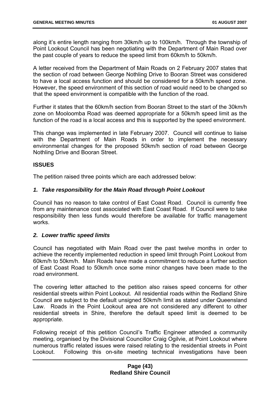along it's entire length ranging from 30km/h up to 100km/h. Through the township of Point Lookout Council has been negotiating with the Department of Main Road over the past couple of years to reduce the speed limit from 60km/h to 50km/h.

A letter received from the Department of Main Roads on 2 February 2007 states that the section of road between George Nothling Drive to Booran Street was considered to have a local access function and should be considered for a 50km/h speed zone. However, the speed environment of this section of road would need to be changed so that the speed environment is compatible with the function of the road.

Further it states that the 60km/h section from Booran Street to the start of the 30km/h zone on Mooloomba Road was deemed appropriate for a 50km/h speed limit as the function of the road is a local access and this is supported by the speed environment.

This change was implemented in late February 2007. Council will continue to liaise with the Department of Main Roads in order to implement the necessary environmental changes for the proposed 50km/h section of road between George Nothling Drive and Booran Street.

## **ISSUES**

The petition raised three points which are each addressed below:

## *1. Take responsibility for the Main Road through Point Lookout*

Council has no reason to take control of East Coast Road. Council is currently free from any maintenance cost associated with East Coast Road. If Council were to take responsibility then less funds would therefore be available for traffic management works.

### *2. Lower traffic speed limits*

Council has negotiated with Main Road over the past twelve months in order to achieve the recently implemented reduction in speed limit through Point Lookout from 60km/h to 50km/h. Main Roads have made a commitment to reduce a further section of East Coast Road to 50km/h once some minor changes have been made to the road environment.

The covering letter attached to the petition also raises speed concerns for other residential streets within Point Lookout. All residential roads within the Redland Shire Council are subject to the default unsigned 50km/h limit as stated under Queensland Law. Roads in the Point Lookout area are not considered any different to other residential streets in Shire, therefore the default speed limit is deemed to be appropriate.

Following receipt of this petition Council's Traffic Engineer attended a community meeting, organised by the Divisional Councillor Craig Ogilvie, at Point Lookout where numerous traffic related issues were raised relating to the residential streets in Point Lookout. Following this on-site meeting technical investigations have been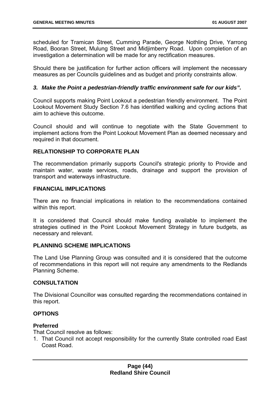scheduled for Tramican Street, Cumming Parade, George Nothling Drive, Yarrong Road, Booran Street, Mulung Street and Midjimberry Road. Upon completion of an investigation a determination will be made for any rectification measures.

Should there be justification for further action officers will implement the necessary measures as per Councils guidelines and as budget and priority constraints allow.

## *3. Make the Point a pedestrian-friendly traffic environment safe for our kids".*

Council supports making Point Lookout a pedestrian friendly environment. The Point Lookout Movement Study Section 7.6 has identified walking and cycling actions that aim to achieve this outcome.

Council should and will continue to negotiate with the State Government to implement actions from the Point Lookout Movement Plan as deemed necessary and required in that document.

## **RELATIONSHIP TO CORPORATE PLAN**

The recommendation primarily supports Council's strategic priority to Provide and maintain water, waste services, roads, drainage and support the provision of transport and waterways infrastructure.

### **FINANCIAL IMPLICATIONS**

There are no financial implications in relation to the recommendations contained within this report.

It is considered that Council should make funding available to implement the strategies outlined in the Point Lookout Movement Strategy in future budgets, as necessary and relevant.

### **PLANNING SCHEME IMPLICATIONS**

The Land Use Planning Group was consulted and it is considered that the outcome of recommendations in this report will not require any amendments to the Redlands Planning Scheme.

## **CONSULTATION**

The Divisional Councillor was consulted regarding the recommendations contained in this report.

## **OPTIONS**

### **Preferred**

That Council resolve as follows:

1. That Council not accept responsibility for the currently State controlled road East Coast Road.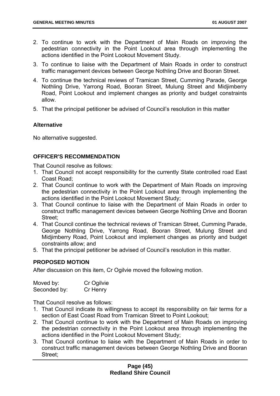- 2. To continue to work with the Department of Main Roads on improving the pedestrian connectivity in the Point Lookout area through implementing the actions identified in the Point Lookout Movement Study.
- 3. To continue to liaise with the Department of Main Roads in order to construct traffic management devices between George Nothling Drive and Booran Street.
- 4. To continue the technical reviews of Tramican Street, Cumming Parade, George Nothling Drive, Yarrong Road, Booran Street, Mulung Street and Midjimberry Road, Point Lookout and implement changes as priority and budget constraints allow.
- 5. That the principal petitioner be advised of Council's resolution in this matter

## **Alternative**

No alternative suggested.

## **OFFICER'S RECOMMENDATION**

That Council resolve as follows:

- 1. That Council not accept responsibility for the currently State controlled road East Coast Road;
- 2. That Council continue to work with the Department of Main Roads on improving the pedestrian connectivity in the Point Lookout area through implementing the actions identified in the Point Lookout Movement Study;
- 3. That Council continue to liaise with the Department of Main Roads in order to construct traffic management devices between George Nothling Drive and Booran Street;
- 4. That Council continue the technical reviews of Tramican Street, Cumming Parade, George Nothling Drive, Yarrong Road, Booran Street, Mulung Street and Midjimberry Road, Point Lookout and implement changes as priority and budget constraints allow; and
- 5. That the principal petitioner be advised of Council's resolution in this matter.

## **PROPOSED MOTION**

After discussion on this item, Cr Ogilvie moved the following motion.

| Moved by:    | Cr Ogilvie |
|--------------|------------|
| Seconded by: | Cr Henry   |

That Council resolve as follows:

- 1. That Council indicate its willingness to accept its responsibility on fair terms for a section of East Coast Road from Tramican Street to Point Lookout;
- 2. That Council continue to work with the Department of Main Roads on improving the pedestrian connectivity in the Point Lookout area through implementing the actions identified in the Point Lookout Movement Study;
- 3. That Council continue to liaise with the Department of Main Roads in order to construct traffic management devices between George Nothling Drive and Booran Street;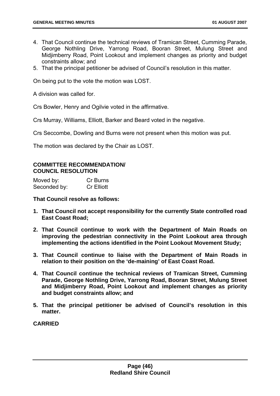- 4. That Council continue the technical reviews of Tramican Street, Cumming Parade, George Nothling Drive, Yarrong Road, Booran Street, Mulung Street and Midjimberry Road, Point Lookout and implement changes as priority and budget constraints allow; and
- 5. That the principal petitioner be advised of Council's resolution in this matter.

On being put to the vote the motion was LOST.

A division was called for.

Crs Bowler, Henry and Ogilvie voted in the affirmative.

Crs Murray, Williams, Elliott, Barker and Beard voted in the negative.

Crs Seccombe, Dowling and Burns were not present when this motion was put.

The motion was declared by the Chair as LOST.

### **COMMITTEE RECOMMENDATION/ COUNCIL RESOLUTION**

| Moved by:    | Cr Burns          |
|--------------|-------------------|
| Seconded by: | <b>Cr Elliott</b> |

**That Council resolve as follows:** 

- **1. That Council not accept responsibility for the currently State controlled road East Coast Road;**
- **2. That Council continue to work with the Department of Main Roads on improving the pedestrian connectivity in the Point Lookout area through implementing the actions identified in the Point Lookout Movement Study;**
- **3. That Council continue to liaise with the Department of Main Roads in relation to their position on the 'de-maining' of East Coast Road.**
- **4. That Council continue the technical reviews of Tramican Street, Cumming Parade, George Nothling Drive, Yarrong Road, Booran Street, Mulung Street and Midjimberry Road, Point Lookout and implement changes as priority and budget constraints allow; and**
- **5. That the principal petitioner be advised of Council's resolution in this matter.**

**CARRIED**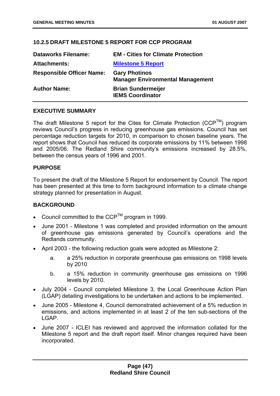# **10.2.5 DRAFT MILESTONE 5 REPORT FOR CCP PROGRAM**

| <b>Dataworks Filename:</b>       | <b>EM - Cities for Climate Protection</b>                       |
|----------------------------------|-----------------------------------------------------------------|
| <b>Attachments:</b>              | <b>Milestone 5 Report</b>                                       |
| <b>Responsible Officer Name:</b> | <b>Gary Photinos</b><br><b>Manager Environmental Management</b> |
| <b>Author Name:</b>              | <b>Brian Sundermeijer</b><br><b>IEMS Coordinator</b>            |

## **EXECUTIVE SUMMARY**

The draft Milestone 5 report for the Cites for Climate Protection ( $CCP^{TM}$ ) program reviews Council's progress in reducing greenhouse gas emissions. Council has set percentage reduction targets for 2010, in comparison to chosen baseline years. The report shows that Council has reduced its corporate emissions by 11% between 1998 and 2005/06. The Redland Shire community's emissions increased by 28.5%, between the census years of 1996 and 2001.

## **PURPOSE**

To present the draft of the Milestone 5 Report for endorsement by Council. The report has been presented at this time to form background information to a climate change strategy planned for presentation in August.

## **BACKGROUND**

- Council committed to the  $CCP^{TM}$  program in 1999.
- June 2001 Milestone 1 was completed and provided information on the amount of greenhouse gas emissions generated by Council's operations and the Redlands community.
- April 2003 the following reduction goals were adopted as Milestone 2:
	- a. a 25% reduction in corporate greenhouse gas emissions on 1998 levels by 2010
	- b. a 15% reduction in community greenhouse gas emissions on 1996 levels by 2010.
- July 2004 Council completed Milestone 3, the Local Greenhouse Action Plan (LGAP) detailing investigations to be undertaken and actions to be implemented.
- June 2005 Milestone 4, Council demonstrated achievement of a 5% reduction in emissions, and actions implemented in at least 2 of the ten sub-sections of the LGAP.
- June 2007 ICLEI has reviewed and approved the information collated for the Milestone 5 report and the draft report itself. Minor changes required have been incorporated.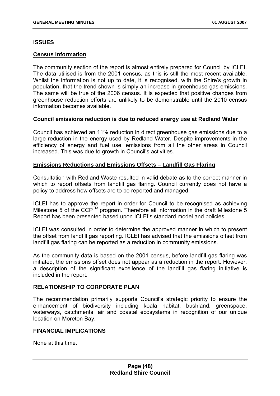### **ISSUES**

### **Census information**

The community section of the report is almost entirely prepared for Council by ICLEI. The data utilised is from the 2001 census, as this is still the most recent available. Whilst the information is not up to date, it is recognised, with the Shire's growth in population, that the trend shown is simply an increase in greenhouse gas emissions. The same will be true of the 2006 census. It is expected that positive changes from greenhouse reduction efforts are unlikely to be demonstrable until the 2010 census information becomes available.

### **Council emissions reduction is due to reduced energy use at Redland Water**

Council has achieved an 11% reduction in direct greenhouse gas emissions due to a large reduction in the energy used by Redland Water. Despite improvements in the efficiency of energy and fuel use, emissions from all the other areas in Council increased. This was due to growth in Council's activities.

### **Emissions Reductions and Emissions Offsets – Landfill Gas Flaring**

Consultation with Redland Waste resulted in valid debate as to the correct manner in which to report offsets from landfill gas flaring. Council currently does not have a policy to address how offsets are to be reported and managed.

ICLEI has to approve the report in order for Council to be recognised as achieving Milestone 5 of the CCP<sup>TM</sup> program. Therefore all information in the draft Milestone 5 Report has been presented based upon ICLEI's standard model and policies.

ICLEI was consulted in order to determine the approved manner in which to present the offset from landfill gas reporting. ICLEI has advised that the emissions offset from landfill gas flaring can be reported as a reduction in community emissions.

As the community data is based on the 2001 census, before landfill gas flaring was initiated, the emissions offset does not appear as a reduction in the report. However, a description of the significant excellence of the landfill gas flaring initiative is included in the report.

## **RELATIONSHIP TO CORPORATE PLAN**

The recommendation primarily supports Council's strategic priority to ensure the enhancement of biodiversity including koala habitat, bushland, greenspace, waterways, catchments, air and coastal ecosystems in recognition of our unique location on Moreton Bay.

### **FINANCIAL IMPLICATIONS**

None at this time.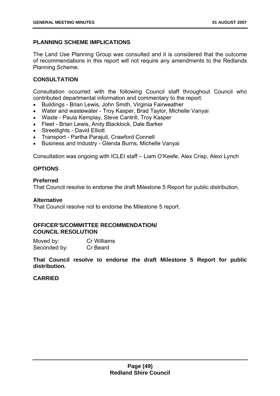# **PLANNING SCHEME IMPLICATIONS**

The Land Use Planning Group was consulted and it is considered that the outcome of recommendations in this report will not require any amendments to the Redlands Planning Scheme.

# **CONSULTATION**

Consultation occurred with the following Council staff throughout Council who contributed departmental information and commentary to the report:

- Buildings Brian Lewis, John Smith, Virginia Fairweather
- Water and wastewater Troy Kasper, Brad Taylor, Michelle Vanyai
- Waste Paula Kemplay, Steve Cantrill, Troy Kasper
- Fleet Brian Lewis, Andy Blacklock, Dale Barker
- Streetlights David Elliott
- Transport Partha Parajuli, Crawford Connell
- Business and Industry Glenda Burns, Michelle Vanyai

Consultation was ongoing with ICLEI staff – Liam O'Keefe, Alex Crisp, Alexi Lynch

# **OPTIONS**

## **Preferred**

That Council resolve to endorse the draft Milestone 5 Report for public distribution.

## **Alternative**

That Council resolve not to endorse the Milestone 5 report.

## **OFFICER'S/COMMITTEE RECOMMENDATION/ COUNCIL RESOLUTION**

Moved by: Cr Williams Seconded by: Cr Beard

**That Council resolve to endorse the draft Milestone 5 Report for public distribution.** 

## **CARRIED**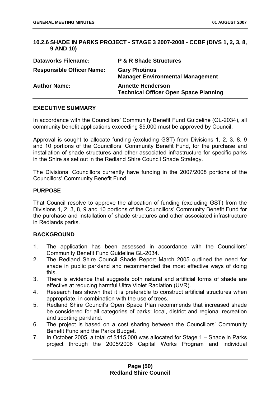## **10.2.6 SHADE IN PARKS PROJECT - STAGE 3 2007-2008 - CCBF (DIVS 1, 2, 3, 8, 9 AND 10)**

| <b>Dataworks Filename:</b>       | <b>P &amp; R Shade Structures</b>                                        |
|----------------------------------|--------------------------------------------------------------------------|
| <b>Responsible Officer Name:</b> | <b>Gary Photinos</b><br><b>Manager Environmental Management</b>          |
| <b>Author Name:</b>              | <b>Annette Henderson</b><br><b>Technical Officer Open Space Planning</b> |

## **EXECUTIVE SUMMARY**

In accordance with the Councillors' Community Benefit Fund Guideline (GL-2034), all community benefit applications exceeding \$5,000 must be approved by Council.

Approval is sought to allocate funding (excluding GST) from Divisions 1, 2, 3, 8, 9 and 10 portions of the Councillors' Community Benefit Fund, for the purchase and installation of shade structures and other associated infrastructure for specific parks in the Shire as set out in the Redland Shire Council Shade Strategy.

The Divisional Councillors currently have funding in the 2007/2008 portions of the Councillors' Community Benefit Fund.

## **PURPOSE**

That Council resolve to approve the allocation of funding (excluding GST) from the Divisions 1, 2, 3, 8, 9 and 10 portions of the Councillors' Community Benefit Fund for the purchase and installation of shade structures and other associated infrastructure in Redlands parks.

## **BACKGROUND**

- 1. The application has been assessed in accordance with the Councillors' Community Benefit Fund Guideline GL-2034.
- 2. The Redland Shire Council Shade Report March 2005 outlined the need for shade in public parkland and recommended the most effective ways of doing this.
- 3. There is evidence that suggests both natural and artificial forms of shade are effective at reducing harmful Ultra Violet Radiation (UVR).
- 4. Research has shown that it is preferable to construct artificial structures when appropriate, in combination with the use of trees.
- 5. Redland Shire Council's Open Space Plan recommends that increased shade be considered for all categories of parks; local, district and regional recreation and sporting parkland.
- 6. The project is based on a cost sharing between the Councillors' Community Benefit Fund and the Parks Budget.
- 7. In October 2005, a total of \$115,000 was allocated for Stage 1 Shade in Parks project through the 2005/2006 Capital Works Program and individual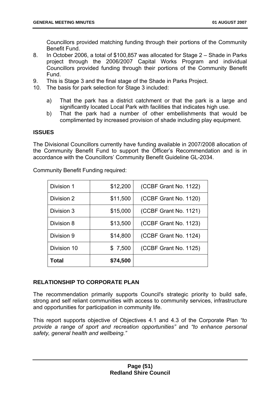Councillors provided matching funding through their portions of the Community Benefit Fund.

- 8. In October 2006, a total of \$100,857 was allocated for Stage 2 Shade in Parks project through the 2006/2007 Capital Works Program and individual Councillors provided funding through their portions of the Community Benefit Fund.
- 9. This is Stage 3 and the final stage of the Shade in Parks Project.
- 10. The basis for park selection for Stage 3 included:
	- a) That the park has a district catchment or that the park is a large and significantly located Local Park with facilities that indicates high use.
	- b) That the park had a number of other embellishments that would be complimented by increased provision of shade including play equipment.

## **ISSUES**

The Divisional Councillors currently have funding available in 2007/2008 allocation of the Community Benefit Fund to support the Officer's Recommendation and is in accordance with the Councillors' Community Benefit Guideline GL-2034.

| Division 1  | \$12,200 | (CCBF Grant No. 1122) |
|-------------|----------|-----------------------|
| Division 2  | \$11,500 | (CCBF Grant No. 1120) |
| Division 3  | \$15,000 | (CCBF Grant No. 1121) |
| Division 8  | \$13,500 | (CCBF Grant No. 1123) |
| Division 9  | \$14,800 | (CCBF Grant No. 1124) |
| Division 10 | \$7,500  | (CCBF Grant No. 1125) |
| Total       | \$74,500 |                       |

Community Benefit Funding required:

## **RELATIONSHIP TO CORPORATE PLAN**

The recommendation primarily supports Council's strategic priority to build safe, strong and self reliant communities with access to community services, infrastructure and opportunities for participation in community life.

This report supports objective of Objectives 4.1 and 4.3 of the Corporate Plan *"to provide a range of sport and recreation opportunities"* and *"to enhance personal safety, general health and wellbeing."*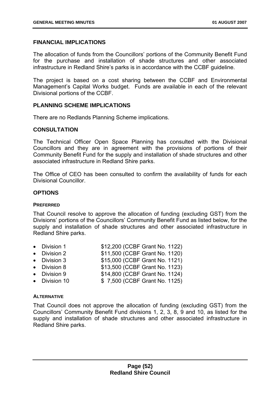## **FINANCIAL IMPLICATIONS**

The allocation of funds from the Councillors' portions of the Community Benefit Fund for the purchase and installation of shade structures and other associated infrastructure in Redland Shire's parks is in accordance with the CCBF guideline.

The project is based on a cost sharing between the CCBF and Environmental Management's Capital Works budget. Funds are available in each of the relevant Divisional portions of the CCBF.

## **PLANNING SCHEME IMPLICATIONS**

There are no Redlands Planning Scheme implications.

## **CONSULTATION**

The Technical Officer Open Space Planning has consulted with the Divisional Councillors and they are in agreement with the provisions of portions of their Community Benefit Fund for the supply and installation of shade structures and other associated infrastructure in Redland Shire parks.

The Office of CEO has been consulted to confirm the availability of funds for each Divisional Councillor.

## **OPTIONS**

### **PREFERRED**

That Council resolve to approve the allocation of funding (excluding GST) from the Divisions' portions of the Councillors' Community Benefit Fund as listed below, for the supply and installation of shade structures and other associated infrastructure in Redland Shire parks.

- Division 1 \$12,200 (CCBF Grant No. 1122)
- Division 2  $$11,500$  (CCBF Grant No. 1120)
- Division 3  $$15,000$  (CCBF Grant No. 1121)
- Division 8 \$13,500 (CCBF Grant No. 1123)
- Division 9 \$14,800 (CCBF Grant No. 1124)
- Division 10 \$ 7,500 (CCBF Grant No. 1125)

### **ALTERNATIVE**

That Council does not approve the allocation of funding (excluding GST) from the Councillors' Community Benefit Fund divisions 1, 2, 3, 8, 9 and 10, as listed for the supply and installation of shade structures and other associated infrastructure in Redland Shire parks.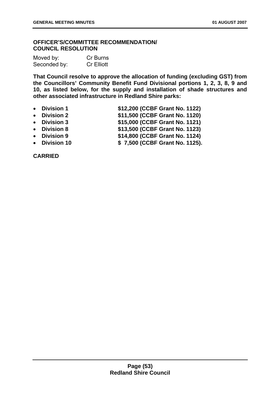## **OFFICER'S/COMMITTEE RECOMMENDATION/ COUNCIL RESOLUTION**

| Moved by:    | Cr Burns          |
|--------------|-------------------|
| Seconded by: | <b>Cr Elliott</b> |

**That Council resolve to approve the allocation of funding (excluding GST) from the Councillors' Community Benefit Fund Divisional portions 1, 2, 3, 8, 9 and 10, as listed below, for the supply and installation of shade structures and other associated infrastructure in Redland Shire parks:** 

- **Division 1 \$12,200 (CCBF Grant No. 1122)**
- **Division 2 \$11,500 (CCBF Grant No. 1120)**
- **Division 3 \$15,000 (CCBF Grant No. 1121)**
- **Division 8 \$13,500 (CCBF Grant No. 1123)**
- **Division 9 \$14,800 (CCBF Grant No. 1124)**
- **Division 10 \$ 7,500 (CCBF Grant No. 1125).**

**CARRIED**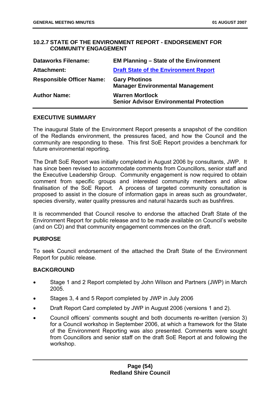## **10.2.7 STATE OF THE ENVIRONMENT REPORT - ENDORSEMENT FOR COMMUNITY ENGAGEMENT**

| <b>Dataworks Filename:</b>       | <b>EM Planning – State of the Environment</b>                            |
|----------------------------------|--------------------------------------------------------------------------|
| Attachment:                      | <b>Draft State of the Environment Report</b>                             |
| <b>Responsible Officer Name:</b> | <b>Gary Photinos</b><br><b>Manager Environmental Management</b>          |
| <b>Author Name:</b>              | <b>Warren Mortlock</b><br><b>Senior Advisor Environmental Protection</b> |

### **EXECUTIVE SUMMARY**

The inaugural State of the Environment Report presents a snapshot of the condition of the Redlands environment, the pressures faced, and how the Council and the community are responding to these. This first SoE Report provides a benchmark for future environmental reporting.

The Draft SoE Report was initially completed in August 2006 by consultants, JWP. It has since been revised to accommodate comments from Councillors, senior staff and the Executive Leadership Group. Community engagement is now required to obtain comment from specific groups and interested community members and allow finalisation of the SoE Report. A process of targeted community consultation is proposed to assist in the closure of information gaps in areas such as groundwater, species diversity, water quality pressures and natural hazards such as bushfires.

It is recommended that Council resolve to endorse the attached Draft State of the Environment Report for public release and to be made available on Council's website (and on CD) and that community engagement commences on the draft.

### **PURPOSE**

To seek Council endorsement of the attached the Draft State of the Environment Report for public release.

### **BACKGROUND**

- Stage 1 and 2 Report completed by John Wilson and Partners (JWP) in March 2005.
- Stages 3, 4 and 5 Report completed by JWP in July 2006
- Draft Report Card completed by JWP in August 2006 (versions 1 and 2).
- Council officers' comments sought and both documents re-written (version 3) for a Council workshop in September 2006, at which a framework for the State of the Environment Reporting was also presented. Comments were sought from Councillors and senior staff on the draft SoE Report at and following the workshop.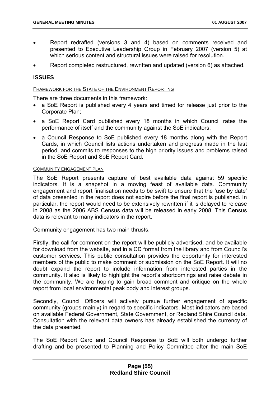- Report redrafted (versions 3 and 4) based on comments received and presented to Executive Leadership Group in February 2007 (version 5) at which serious content and structural issues were raised for resolution.
- Report completed restructured, rewritten and updated (version 6) as attached.

# **ISSUES**

#### FRAMEWORK FOR THE STATE OF THE ENVIRONMENT REPORTING

There are three documents in this framework:

- a SoE Report is published every 4 years and timed for release just prior to the Corporate Plan;
- a SoE Report Card published every 18 months in which Council rates the performance of itself and the community against the SoE indicators;
- a Council Response to SoE published every 18 months along with the Report Cards, in which Council lists actions undertaken and progress made in the last period, and commits to responses to the high priority issues and problems raised in the SoE Report and SoE Report Card.

#### COMMUNITY ENGAGEMENT PLAN

The SoE Report presents capture of best available data against 59 specific indicators. It is a snapshot in a moving feast of available data. Community engagement and report finalisation needs to be swift to ensure that the 'use by date' of data presented in the report does not expire before the final report is published. In particular, the report would need to be extensively rewritten if it is delayed to release in 2008 as the 2006 ABS Census data will be released in early 2008. This Census data is relevant to many indicators in the report.

Community engagement has two main thrusts.

Firstly, the call for comment on the report will be publicly advertised, and be available for download from the website, and in a CD format from the library and from Council's customer services. This public consultation provides the opportunity for interested members of the public to make comment or submission on the SoE Report. It will no doubt expand the report to include information from interested parties in the community. It also is likely to highlight the report's shortcomings and raise debate in the community. We are hoping to gain broad comment and critique on the whole report from local environmental peak body and interest groups.

Secondly, Council Officers will actively pursue further engagement of specific community (groups mainly) in regard to specific indicators. Most indicators are based on available Federal Government, State Government, or Redland Shire Council data. Consultation with the relevant data owners has already established the currency of the data presented.

The SoE Report Card and Council Response to SoE will both undergo further drafting and be presented to Planning and Policy Committee after the main SoE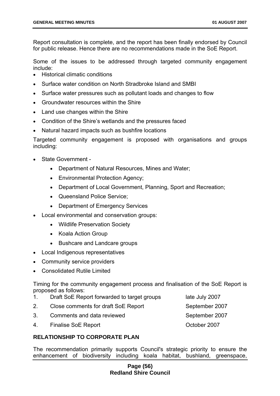Report consultation is complete, and the report has been finally endorsed by Council for public release. Hence there are no recommendations made in the SoE Report.

Some of the issues to be addressed through targeted community engagement include:

- Historical climatic conditions
- Surface water condition on North Stradbroke Island and SMBI
- Surface water pressures such as pollutant loads and changes to flow
- Groundwater resources within the Shire
- Land use changes within the Shire
- Condition of the Shire's wetlands and the pressures faced
- Natural hazard impacts such as bushfire locations

Targeted community engagement is proposed with organisations and groups including:

- State Government
	- Department of Natural Resources, Mines and Water;
	- Environmental Protection Agency;
	- Department of Local Government, Planning, Sport and Recreation;
	- Queensland Police Service;
	- Department of Emergency Services
- Local environmental and conservation groups:
	- Wildlife Preservation Society
	- Koala Action Group
	- Bushcare and Landcare groups
- Local Indigenous representatives
- Community service providers
- Consolidated Rutile Limited

Timing for the community engagement process and finalisation of the SoE Report is proposed as follows:

- 1. Draft SoE Report forwarded to target groups late July 2007 2. Close comments for draft SoE Report September 2007
- 3. Comments and data reviewed September 2007
- 4. Finalise SoE Report **Contact Contact Contact Contact Contact Contact Contact Contact Contact Contact Contact Contact Contact Contact Contact Contact Contact Contact Contact Contact Contact Contact Contact Contact Contac**

## **RELATIONSHIP TO CORPORATE PLAN**

The recommendation primarily supports Council's strategic priority to ensure the enhancement of biodiversity including koala habitat, bushland, greenspace,

## **Page (56) Redland Shire Council**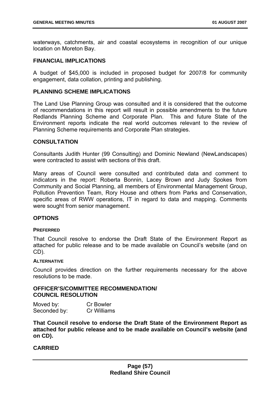waterways, catchments, air and coastal ecosystems in recognition of our unique location on Moreton Bay.

#### **FINANCIAL IMPLICATIONS**

A budget of \$45,000 is included in proposed budget for 2007/8 for community engagement, data collation, printing and publishing.

### **PLANNING SCHEME IMPLICATIONS**

The Land Use Planning Group was consulted and it is considered that the outcome of recommendations in this report will result in possible amendments to the future Redlands Planning Scheme and Corporate Plan. This and future State of the Environment reports indicate the real world outcomes relevant to the review of Planning Scheme requirements and Corporate Plan strategies.

### **CONSULTATION**

Consultants Judith Hunter (99 Consulting) and Dominic Newland (NewLandscapes) were contracted to assist with sections of this draft.

Many areas of Council were consulted and contributed data and comment to indicators in the report: Roberta Bonnin, Lacey Brown and Judy Spokes from Community and Social Planning, all members of Environmental Management Group, Pollution Prevention Team, Rory House and others from Parks and Conservation, specific areas of RWW operations, IT in regard to data and mapping. Comments were sought from senior management.

### **OPTIONS**

#### **PREFERRED**

That Council resolve to endorse the Draft State of the Environment Report as attached for public release and to be made available on Council's website (and on CD).

#### **ALTERNATIVE**

Council provides direction on the further requirements necessary for the above resolutions to be made.

#### **OFFICER'S/COMMITTEE RECOMMENDATION/ COUNCIL RESOLUTION**

| Moved by:    | <b>Cr Bowler</b> |
|--------------|------------------|
| Seconded by: | Cr Williams      |

**That Council resolve to endorse the Draft State of the Environment Report as attached for public release and to be made available on Council's website (and on CD).** 

# **CARRIED**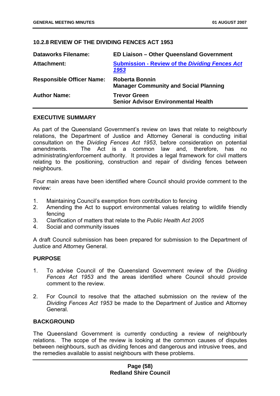## **10.2.8 REVIEW OF THE DIVIDING FENCES ACT 1953**

| <b>Dataworks Filename:</b>       | <b>ED Liaison - Other Queensland Government</b>                       |
|----------------------------------|-----------------------------------------------------------------------|
| <b>Attachment:</b>               | <b>Submission - Review of the Dividing Fences Act</b><br>1953         |
| <b>Responsible Officer Name:</b> | <b>Roberta Bonnin</b><br><b>Manager Community and Social Planning</b> |
| <b>Author Name:</b>              | <b>Trevor Green</b><br><b>Senior Advisor Environmental Health</b>     |

### **EXECUTIVE SUMMARY**

As part of the Queensland Government's review on laws that relate to neighbourly relations, the Department of Justice and Attorney General is conducting initial consultation on the *Dividing Fences Act 1953*, before consideration on potential amendments. The Act is a common law and, therefore, has no administrating/enforcement authority. It provides a legal framework for civil matters relating to the positioning, construction and repair of dividing fences between neighbours.

Four main areas have been identified where Council should provide comment to the review:

- 1. Maintaining Council's exemption from contribution to fencing
- 2. Amending the Act to support environmental values relating to wildlife friendly fencing
- 3. Clarification of matters that relate to the *Public Health Act 2005*
- 4. Social and community issues

A draft Council submission has been prepared for submission to the Department of Justice and Attorney General.

### **PURPOSE**

- 1. To advise Council of the Queensland Government review of the *Dividing Fences Act 1953* and the areas identified where Council should provide comment to the review.
- 2. For Council to resolve that the attached submission on the review of the *Dividing Fences Act 1953* be made to the Department of Justice and Attorney General.

## **BACKGROUND**

The Queensland Government is currently conducting a review of neighbourly relations. The scope of the review is looking at the common causes of disputes between neighbours, such as dividing fences and dangerous and intrusive trees, and the remedies available to assist neighbours with these problems.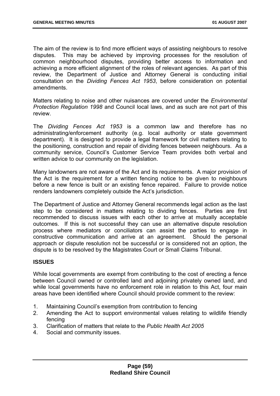The aim of the review is to find more efficient ways of assisting neighbours to resolve disputes. This may be achieved by improving processes for the resolution of common neighbourhood disputes, providing better access to information and achieving a more efficient alignment of the roles of relevant agencies. As part of this review, the Department of Justice and Attorney General is conducting initial consultation on the *Dividing Fences Act 1953*, before consideration on potential amendments.

Matters relating to noise and other nuisances are covered under the *Environmental Protection Regulation 1998* and Council local laws, and as such are not part of this review.

The *Dividing Fences Act 1953* is a common law and therefore has no administrating/enforcement authority (e.g. local authority or state government department). It is designed to provide a legal framework for civil matters relating to the positioning, construction and repair of dividing fences between neighbours. As a community service, Council's Customer Service Team provides both verbal and written advice to our community on the legislation.

Many landowners are not aware of the Act and its requirements. A major provision of the Act is the requirement for a written fencing notice to be given to neighbours before a new fence is built or an existing fence repaired. Failure to provide notice renders landowners completely outside the Act's jurisdiction.

The Department of Justice and Attorney General recommends legal action as the last step to be considered in matters relating to dividing fences. Parties are first recommended to discuss issues with each other to arrive at mutually acceptable outcomes. If this is not successful they can use an alternative dispute resolution process where mediators or conciliators can assist the parties to engage in constructive communication and arrive at an agreement. Should the personal approach or dispute resolution not be successful or is considered not an option, the dispute is to be resolved by the Magistrates Court or Small Claims Tribunal.

## **ISSUES**

While local governments are exempt from contributing to the cost of erecting a fence between Council owned or controlled land and adjoining privately owned land, and while local governments have no enforcement role in relation to this Act, four main areas have been identified where Council should provide comment to the review:

- 1. Maintaining Council's exemption from contribution to fencing
- 2. Amending the Act to support environmental values relating to wildlife friendly fencing
- 3. Clarification of matters that relate to the *Public Health Act 2005*
- 4. Social and community issues.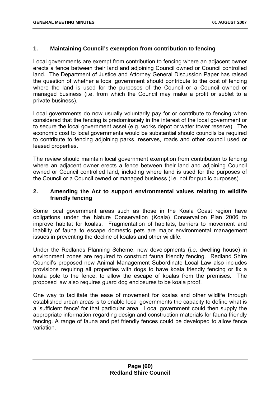## **1. Maintaining Council's exemption from contribution to fencing**

Local governments are exempt from contribution to fencing where an adjacent owner erects a fence between their land and adjoining Council owned or Council controlled land. The Department of Justice and Attorney General Discussion Paper has raised the question of whether a local government should contribute to the cost of fencing where the land is used for the purposes of the Council or a Council owned or managed business (i.e. from which the Council may make a profit or sublet to a private business).

Local governments do now usually voluntarily pay for or contribute to fencing when considered that the fencing is predominately in the interest of the local government or to secure the local government asset (e.g. works depot or water tower reserve). The economic cost to local governments would be substantial should councils be required to contribute to fencing adjoining parks, reserves, roads and other council used or leased properties.

The review should maintain local government exemption from contribution to fencing where an adjacent owner erects a fence between their land and adjoining Council owned or Council controlled land, including where land is used for the purposes of the Council or a Council owned or managed business (i.e. not for public purposes).

## **2. Amending the Act to support environmental values relating to wildlife friendly fencing**

Some local government areas such as those in the Koala Coast region have obligations under the Nature Conservation (Koala) Conservation Plan 2006 to improve habitat for koalas. Fragmentation of habitats, barriers to movement and inability of fauna to escape domestic pets are major environmental management issues in preventing the decline of koalas and other wildlife.

Under the Redlands Planning Scheme, new developments (i.e. dwelling house) in environment zones are required to construct fauna friendly fencing. Redland Shire Council's proposed new Animal Management Subordinate Local Law also includes provisions requiring all properties with dogs to have koala friendly fencing or fix a koala pole to the fence, to allow the escape of koalas from the premises. The proposed law also requires guard dog enclosures to be koala proof.

One way to facilitate the ease of movement for koalas and other wildlife through established urban areas is to enable local governments the capacity to define what is a 'sufficient fence' for that particular area. Local government could then supply the appropriate information regarding design and construction materials for fauna friendly fencing. A range of fauna and pet friendly fences could be developed to allow fence variation.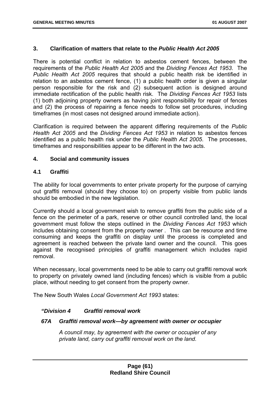### **3. Clarification of matters that relate to the** *Public Health Act 2005*

There is potential conflict in relation to asbestos cement fences, between the requirements of the *Public Health Act 2005* and the *Dividing Fences Act 1953*. The *Public Health Act 2005* requires that should a public health risk be identified in relation to an asbestos cement fence, (1) a public health order is given a singular person responsible for the risk and (2) subsequent action is designed around immediate rectification of the public health risk. The *Dividing Fences Act 1953* lists (1) both adjoining property owners as having joint responsibility for repair of fences and (2) the process of repairing a fence needs to follow set procedures, including timeframes (in most cases not designed around immediate action).

Clarification is required between the apparent differing requirements of the *Public Health Act 2005* and the *Dividing Fences Act 1953* in relation to asbestos fences identified as a public health risk under the *Public Health Act 2005*. The processes, timeframes and responsibilities appear to be different in the two acts.

## **4. Social and community issues**

## **4.1 Graffiti**

The ability for local governments to enter private property for the purpose of carrying out graffiti removal (should they choose to) on property visible from public lands should be embodied in the new legislation.

Currently should a local government wish to remove graffiti from the public side of a fence on the perimeter of a park, reserve or other council controlled land, the local government must follow the steps outlined in the *Dividing Fences Act 1953* which includes obtaining consent from the property owner *.* This can be resource and time consuming and keeps the graffiti on display until the process is completed and agreement is reached between the private land owner and the council. This goes against the recognised principles of graffiti management which includes rapid removal.

When necessary, local governments need to be able to carry out graffiti removal work to property on privately owned land (including fences) which is visible from a public place, without needing to get consent from the property owner.

The New South Wales *Local Government Act 1993* states:

### *"Division 4 Graffiti removal work*

### *67A Graffiti removal work—by agreement with owner or occupier*

*A council may, by agreement with the owner or occupier of any private land, carry out graffiti removal work on the land.*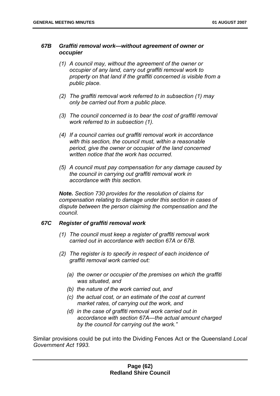### *67B Graffiti removal work—without agreement of owner or occupier*

- *(1) A council may, without the agreement of the owner or occupier of any land, carry out graffiti removal work to property on that land if the graffiti concerned is visible from a public place.*
- *(2) The graffiti removal work referred to in subsection (1) may only be carried out from a public place.*
- *(3) The council concerned is to bear the cost of graffiti removal work referred to in subsection (1).*
- *(4) If a council carries out graffiti removal work in accordance with this section, the council must, within a reasonable period, give the owner or occupier of the land concerned written notice that the work has occurred.*
- *(5) A council must pay compensation for any damage caused by the council in carrying out graffiti removal work in accordance with this section.*

*Note. Section 730 provides for the resolution of claims for compensation relating to damage under this section in cases of dispute between the person claiming the compensation and the council.* 

### *67C Register of graffiti removal work*

- *(1) The council must keep a register of graffiti removal work carried out in accordance with section 67A or 67B.*
- *(2) The register is to specify in respect of each incidence of graffiti removal work carried out:* 
	- *(a) the owner or occupier of the premises on which the graffiti was situated, and*
	- *(b) the nature of the work carried out, and*
	- *(c) the actual cost, or an estimate of the cost at current market rates, of carrying out the work, and*
	- *(d) in the case of graffiti removal work carried out in accordance with section 67A—the actual amount charged by the council for carrying out the work."*

Similar provisions could be put into the Dividing Fences Act or the Queensland *Local Government Act 1993*.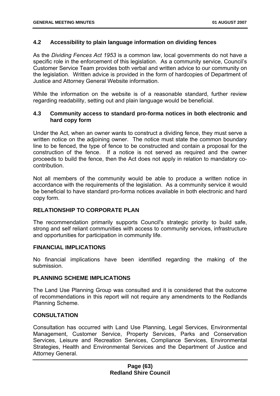## **4.2 Accessibility to plain language information on dividing fences**

As the *Dividing Fences Act 1953* is a common law, local governments do not have a specific role in the enforcement of this legislation. As a community service, Council's Customer Service Team provides both verbal and written advice to our community on the legislation. Written advice is provided in the form of hardcopies of Department of Justice and Attorney General Website information.

While the information on the website is of a reasonable standard, further review regarding readability, setting out and plain language would be beneficial.

## **4.3 Community access to standard pro-forma notices in both electronic and hard copy form**

Under the Act, when an owner wants to construct a dividing fence, they must serve a written notice on the adjoining owner. The notice must state the common boundary line to be fenced, the type of fence to be constructed and contain a proposal for the construction of the fence. If a notice is not served as required and the owner proceeds to build the fence, then the Act does not apply in relation to mandatory cocontribution.

Not all members of the community would be able to produce a written notice in accordance with the requirements of the legislation. As a community service it would be beneficial to have standard pro-forma notices available in both electronic and hard copy form.

## **RELATIONSHIP TO CORPORATE PLAN**

The recommendation primarily supports Council's strategic priority to build safe, strong and self reliant communities with access to community services, infrastructure and opportunities for participation in community life.

### **FINANCIAL IMPLICATIONS**

No financial implications have been identified regarding the making of the submission.

### **PLANNING SCHEME IMPLICATIONS**

The Land Use Planning Group was consulted and it is considered that the outcome of recommendations in this report will not require any amendments to the Redlands Planning Scheme.

## **CONSULTATION**

Consultation has occurred with Land Use Planning, Legal Services, Environmental Management, Customer Service, Property Services, Parks and Conservation Services, Leisure and Recreation Services, Compliance Services, Environmental Strategies, Health and Environmental Services and the Department of Justice and Attorney General.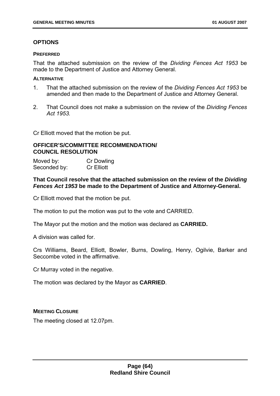# **OPTIONS**

### **PREFERRED**

That the attached submission on the review of the *Dividing Fences Act 1953* be made to the Department of Justice and Attorney General.

### **ALTERNATIVE**

- 1. That the attached submission on the review of the *Dividing Fences Act 1953* be amended and then made to the Department of Justice and Attorney General.
- 2. That Council does not make a submission on the review of the *Dividing Fences Act 1953.*

Cr Elliott moved that the motion be put.

## **OFFICER'S/COMMITTEE RECOMMENDATION/ COUNCIL RESOLUTION**

Moved by: Cr Dowling Seconded by: Cr Elliott

## **That Council resolve that the attached submission on the review of the** *Dividing Fences Act 1953* **be made to the Department of Justice and Attorney-General.**

Cr Elliott moved that the motion be put.

The motion to put the motion was put to the vote and CARRIED.

The Mayor put the motion and the motion was declared as **CARRIED.** 

A division was called for.

Crs Williams, Beard, Elliott, Bowler, Burns, Dowling, Henry, Ogilvie, Barker and Seccombe voted in the affirmative.

Cr Murray voted in the negative.

The motion was declared by the Mayor as **CARRIED**.

## **MEETING CLOSURE**

The meeting closed at 12.07pm.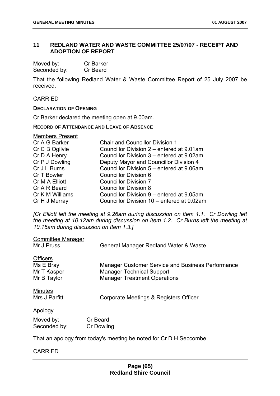## **11 REDLAND WATER AND WASTE COMMITTEE 25/07/07 - RECEIPT AND ADOPTION OF REPORT**

| Moved by:    | <b>Cr Barker</b> |
|--------------|------------------|
| Seconded by: | Cr Beard         |

That the following Redland Water & Waste Committee Report of 25 July 2007 be received.

#### CARRIED

#### **DECLARATION OF OPENING**

Cr Barker declared the meeting open at 9.00am.

#### **RECORD OF ATTENDANCE AND LEAVE OF ABSENCE**

| <b>Members Present</b> |                                            |
|------------------------|--------------------------------------------|
| Cr A G Barker          | <b>Chair and Councillor Division 1</b>     |
| Cr C B Ogilvie         | Councillor Division 2 – entered at 9.01am  |
| Cr D A Henry           | Councillor Division 3 – entered at 9.02am  |
| Cr P J Dowling         | Deputy Mayor and Councillor Division 4     |
| Cr J L Burns           | Councillor Division 5 - entered at 9.06am  |
| Cr T Bowler            | <b>Councillor Division 6</b>               |
| Cr M A Elliott         | <b>Councillor Division 7</b>               |
| Cr A R Beard           | <b>Councillor Division 8</b>               |
| Cr K M Williams        | Councillor Division 9 – entered at 9.05am  |
| Cr H J Murray          | Councillor Division 10 – entered at 9.02am |

*[Cr Elliott left the meeting at 9.26am during discussion on Item 1.1. Cr Dowling left the meeting at 10.12am during discussion on Item 1.2. Cr Burns left the meeting at 10.15am during discussion on Item 1.3.]* 

| Committee Manager                                          |                                                                                                                                     |
|------------------------------------------------------------|-------------------------------------------------------------------------------------------------------------------------------------|
| Mr J Pruss                                                 | General Manager Redland Water & Waste                                                                                               |
| <b>Officers</b><br>Ms E Bray<br>Mr T Kasper<br>Mr B Taylor | <b>Manager Customer Service and Business Performance</b><br><b>Manager Technical Support</b><br><b>Manager Treatment Operations</b> |
| <b>Minutes</b><br>Mrs J Parfitt                            | Corporate Meetings & Registers Officer                                                                                              |
| Apology                                                    |                                                                                                                                     |
| Moved by:<br>Seconded by:                                  | Cr Beard<br><b>Cr Dowling</b>                                                                                                       |

That an apology from today's meeting be noted for Cr D H Seccombe.

### CARRIED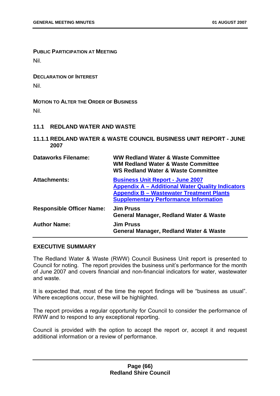**PUBLIC PARTICIPATION AT MEETING** Nil.

**DECLARATION OF INTEREST** Nil.

# **MOTION TO ALTER THE ORDER OF BUSINESS** Nil.

- **11.1 REDLAND WATER AND WASTE**
- **11.1.1 REDLAND WATER & WASTE COUNCIL BUSINESS UNIT REPORT JUNE 2007**

| <b>Dataworks Filename:</b>       | WW Redland Water & Waste Committee<br><b>WM Redland Water &amp; Waste Committee</b><br><b>WS Redland Water &amp; Waste Committee</b>                                                                  |
|----------------------------------|-------------------------------------------------------------------------------------------------------------------------------------------------------------------------------------------------------|
| <b>Attachments:</b>              | <b>Business Unit Report - June 2007</b><br><b>Appendix A - Additional Water Quality Indicators</b><br><b>Appendix B - Wastewater Treatment Plants</b><br><b>Supplementary Performance Information</b> |
| <b>Responsible Officer Name:</b> | <b>Jim Pruss</b><br>General Manager, Redland Water & Waste                                                                                                                                            |
| <b>Author Name:</b>              | <b>Jim Pruss</b><br><b>General Manager, Redland Water &amp; Waste</b>                                                                                                                                 |

## **EXECUTIVE SUMMARY**

The Redland Water & Waste (RWW) Council Business Unit report is presented to Council for noting. The report provides the business unit's performance for the month of June 2007 and covers financial and non-financial indicators for water, wastewater and waste.

It is expected that, most of the time the report findings will be "business as usual". Where exceptions occur, these will be highlighted.

The report provides a regular opportunity for Council to consider the performance of RWW and to respond to any exceptional reporting.

Council is provided with the option to accept the report or, accept it and request additional information or a review of performance.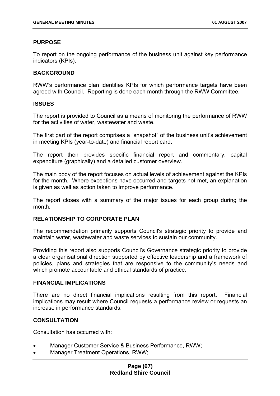## **PURPOSE**

To report on the ongoing performance of the business unit against key performance indicators (KPIs).

## **BACKGROUND**

RWW's performance plan identifies KPIs for which performance targets have been agreed with Council. Reporting is done each month through the RWW Committee.

### **ISSUES**

The report is provided to Council as a means of monitoring the performance of RWW for the activities of water, wastewater and waste.

The first part of the report comprises a "snapshot" of the business unit's achievement in meeting KPIs (year-to-date) and financial report card.

The report then provides specific financial report and commentary, capital expenditure (graphically) and a detailed customer overview.

The main body of the report focuses on actual levels of achievement against the KPIs for the month. Where exceptions have occurred and targets not met, an explanation is given as well as action taken to improve performance.

The report closes with a summary of the major issues for each group during the month.

### **RELATIONSHIP TO CORPORATE PLAN**

The recommendation primarily supports Council's strategic priority to provide and maintain water, wastewater and waste services to sustain our community.

Providing this report also supports Council's Governance strategic priority to provide a clear organisational direction supported by effective leadership and a framework of policies, plans and strategies that are responsive to the community's needs and which promote accountable and ethical standards of practice.

### **FINANCIAL IMPLICATIONS**

There are no direct financial implications resulting from this report. Financial implications may result where Council requests a performance review or requests an increase in performance standards.

### **CONSULTATION**

Consultation has occurred with:

- Manager Customer Service & Business Performance, RWW;
- Manager Treatment Operations, RWW;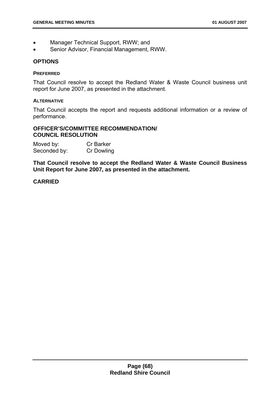- Manager Technical Support, RWW; and
- Senior Advisor, Financial Management, RWW.

#### **OPTIONS**

#### **PREFERRED**

That Council resolve to accept the Redland Water & Waste Council business unit report for June 2007, as presented in the attachment.

### **ALTERNATIVE**

That Council accepts the report and requests additional information or a review of performance.

### **OFFICER'S/COMMITTEE RECOMMENDATION/ COUNCIL RESOLUTION**

| Moved by:    | <b>Cr Barker</b>  |
|--------------|-------------------|
| Seconded by: | <b>Cr Dowling</b> |

**That Council resolve to accept the Redland Water & Waste Council Business Unit Report for June 2007, as presented in the attachment.** 

## **CARRIED**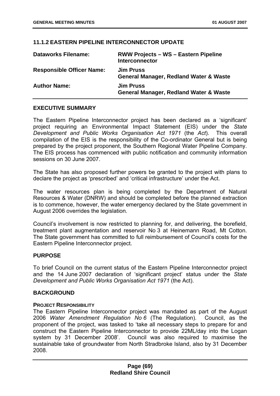## **11.1.2 EASTERN PIPELINE INTERCONNECTOR UPDATE**

| <b>Dataworks Filename:</b>       | <b>RWW Projects – WS – Eastern Pipeline</b><br><b>Interconnector</b>  |
|----------------------------------|-----------------------------------------------------------------------|
| <b>Responsible Officer Name:</b> | <b>Jim Pruss</b><br><b>General Manager, Redland Water &amp; Waste</b> |
| <b>Author Name:</b>              | <b>Jim Pruss</b><br><b>General Manager, Redland Water &amp; Waste</b> |

## **EXECUTIVE SUMMARY**

The Eastern Pipeline Interconnector project has been declared as a 'significant' project requiring an Environmental Impact Statement (EIS) under the *State Development and Public Works Organisation Act 1971* (the *Act*). This overall compilation of the EIS is the responsibility of the Co-ordinator General but is being prepared by the project proponent, the Southern Regional Water Pipeline Company. The EIS process has commenced with public notification and community information sessions on 30 June 2007.

The State has also proposed further powers be granted to the project with plans to declare the project as 'prescribed' and 'critical infrastructure' under the Act.

The water resources plan is being completed by the Department of Natural Resources & Water (DNRW) and should be completed before the planned extraction is to commence, however, the water emergency declared by the State government in August 2006 overrides the legislation.

Council's involvement is now restricted to planning for, and delivering, the borefield, treatment plant augmentation and reservoir No 3 at Heinemann Road, Mt Cotton. The State government has committed to full reimbursement of Council's costs for the Eastern Pipeline Interconnector project.

### **PURPOSE**

To brief Council on the current status of the Eastern Pipeline Interconnector project and the 14 June 2007 declaration of 'significant project' status under the *State Development and Public Works Organisation Act 1971* (the Act).

### **BACKGROUND**

### **PROJECT RESPONSIBILITY**

The Eastern Pipeline Interconnector project was mandated as part of the August 2006 *Water Amendment Regulation No 6* (The Regulation). Council, as the proponent of the project, was tasked to 'take all necessary steps to prepare for and construct the Eastern Pipeline Interconnector to provide 22ML/day into the Logan system by 31 December 2008'. Council was also required to maximise the sustainable take of groundwater from North Stradbroke Island, also by 31 December 2008.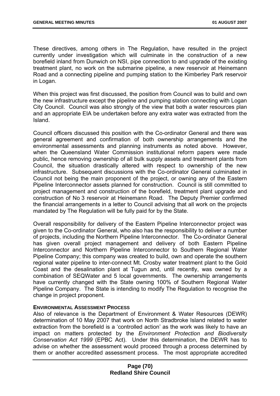These directives, among others in The Regulation, have resulted in the project currently under investigation which will culminate in the construction of a new borefield inland from Dunwich on NSI, pipe connection to and upgrade of the existing treatment plant, no work on the submarine pipeline, a new reservoir at Heinemann Road and a connecting pipeline and pumping station to the Kimberley Park reservoir in Logan.

When this project was first discussed, the position from Council was to build and own the new infrastructure except the pipeline and pumping station connecting with Logan City Council. Council was also strongly of the view that both a water resources plan and an appropriate EIA be undertaken before any extra water was extracted from the Island.

Council officers discussed this position with the Co-ordinator General and there was general agreement and confirmation of both ownership arrangements and the environmental assessments and planning instruments as noted above. However, when the Queensland Water Commission institutional reform papers were made public, hence removing ownership of all bulk supply assets and treatment plants from Council, the situation drastically altered with respect to ownership of the new infrastructure. Subsequent discussions with the Co-ordinator General culminated in Council not being the main proponent of the project, or owning any of the Eastern Pipeline Interconnector assets planned for construction. Council is still committed to project management and construction of the borefield, treatment plant upgrade and construction of No 3 reservoir at Heinemann Road. The Deputy Premier confirmed the financial arrangements in a letter to Council advising that all work on the projects mandated by The Regulation will be fully paid for by the State.

Overall responsibility for delivery of the Eastern Pipeline Interconnector project was given to the Co-ordinator General, who also has the responsibility to deliver a number of projects, including the Northern Pipeline Interconnector. The Co-ordinator General has given overall project management and delivery of both Eastern Pipeline Interconnector and Northern Pipeline Interconnector to Southern Regional Water Pipeline Company; this company was created to build, own and operate the southern regional water pipeline to inter-connect Mt. Crosby water treatment plant to the Gold Coast and the desalination plant at Tugun and, until recently, was owned by a combination of SEQWater and 5 local governments. The ownership arrangements have currently changed with the State owning 100% of Southern Regional Water Pipeline Company. The State is intending to modify The Regulation to recognise the change in project proponent.

#### **ENVIRONMENTAL ASSESSMENT PROCESS**

Also of relevance is the Department of Environment & Water Resources (DEWR) determination of 10 May 2007 that work on North Stradbroke Island related to water extraction from the borefield is a 'controlled action' as the work was likely to have an impact on matters protected by the *Environment Protection and Biodiversity Conservation Act 1999* (EPBC Act). Under this determination, the DEWR has to advise on whether the assessment would proceed through a process determined by them or another accredited assessment process. The most appropriate accredited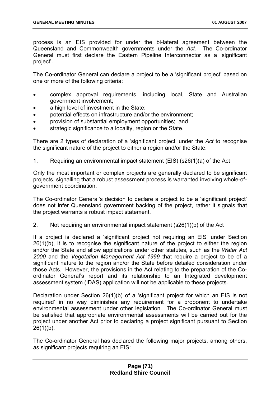process is an EIS provided for under the bi-lateral agreement between the Queensland and Commonwealth governments under the *Act.* The Co-ordinator General must first declare the Eastern Pipeline Interconnector as a 'significant project'.

The Co-ordinator General can declare a project to be a 'significant project' based on one or more of the following criteria:

- complex approval requirements, including local, State and Australian government involvement;
- a high level of investment in the State;
- potential effects on infrastructure and/or the environment;
- provision of substantial employment opportunities; and
- strategic significance to a locality, region or the State.

There are 2 types of declaration of a 'significant project' under the *Act* to recognise the significant nature of the project to either a region and/or the State:

1. Requiring an environmental impact statement (EIS) (s26(1)(a) of the Act

Only the most important or complex projects are generally declared to be significant projects, signalling that a robust assessment process is warranted involving whole-ofgovernment coordination.

The Co-ordinator General's decision to declare a project to be a 'significant project' does not infer Queensland government backing of the project, rather it signals that the project warrants a robust impact statement.

2. Not requiring an environmental impact statement (s26(1)(b) of the Act

If a project is declared a 'significant project not requiring an EIS' under Section 26(1)(b), it is to recognise the significant nature of the project to either the region and/or the State and allow applications under other statutes, such as the *Water Act 2000* and the *Vegetation Management Act 1999* that require a project to be of a significant nature to the region and/or the State before detailed consideration under those Acts. However, the provisions in the Act relating to the preparation of the Coordinator General's report and its relationship to an Integrated development assessment system (IDAS) application will not be applicable to these projects.

Declaration under Section 26(1)(b) of a 'significant project for which an EIS is not required' in no way diminishes any requirement for a proponent to undertake environmental assessment under other legislation. The Co-ordinator General must be satisfied that appropriate environmental assessments will be carried out for the project under another Act prior to declaring a project significant pursuant to Section  $26(1)(b)$ .

The Co-ordinator General has declared the following major projects, among others, as significant projects requiring an EIS: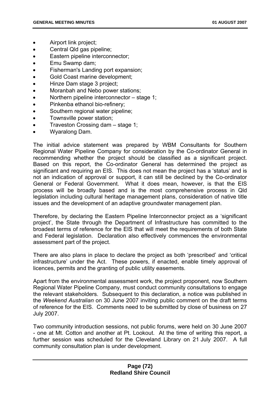- <span id="page-72-0"></span>• Airport link project;
- Central Qld gas pipeline;
- Eastern pipeline interconnector;
- Emu Swamp dam;
- Fisherman's Landing port expansion;
- Gold Coast marine development;
- Hinze Dam stage 3 project;
- Moranbah and Nebo power stations;
- Northern pipeline interconnector – stage 1;
- Pinkenba ethanol bio-refinery;
- Southern regional water pipeline;
- Townsville power station;
- Traveston Crossing dam – stage 1;
- Wyaralong Dam.

The initial advice statement was prepared by WBM Consultants for Southern Regional Water Pipeline Company for consideration by the Co-ordinator General in recommending whether the project should be classified as a significant project. Based on this report, the Co-ordinator General has determined the project as significant and requiring an EIS. This does not mean the project has a 'status' and is not an indication of approval or support, it can still be declined by the Co-ordinator General or Federal Government. What it does mean, however, is that the EIS process will be broadly based and is the most comprehensive process in Qld legislation including cultural heritage management plans, consideration of native title issues and the development of an adaptive groundwater management plan.

Therefore, by declaring the Eastern Pipeline Interconnector project as a 'significant project', the State through the Department of Infrastructure has committed to the broadest terms of reference for the EIS that will meet the requirements of both State and Federal legislation. Declaration also effectively commences the environmental assessment part of the project.

There are also plans in place to declare the project as both 'prescribed' and 'critical infrastructure' under the Act. These powers, if enacted, enable timely approval of licences, permits and the granting of public utility easements.

Apart from the environmental assessment work, the project proponent, now Southern Regional Water Pipeline Company, must conduct community consultations to engage the relevant stakeholders. Subsequent to this declaration, a notice was published in the *Weekend Australian* on 30 June 2007 inviting public comment on the draft terms of reference for the EIS. Comments need to be submitted by close of business on 27 July 2007.

Two community introduction sessions, not public forums, were held on 30 June 2007 - one at Mt. Cotton and another at Pt. Lookout. At the time of writing this report, a further session was scheduled for the Cleveland Library on 21 July 2007. A full community consultation plan is under development.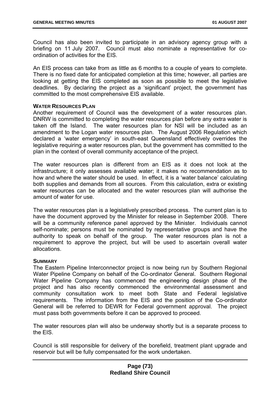Council has also been invited to participate in an advisory agency group with a briefing on 11 July 2007. Council must also nominate a representative for coordination of activities for the EIS.

An EIS process can take from as little as 6 months to a couple of years to complete. There is no fixed date for anticipated completion at this time; however, all parties are looking at getting the EIS completed as soon as possible to meet the legislative deadlines. By declaring the project as a 'significant' project, the government has committed to the most comprehensive EIS available.

#### **WATER RESOURCES PLAN**

Another requirement of Council was the development of a water resources plan. DNRW is committed to completing the water resources plan before any extra water is taken off the Island. The water resources plan for NSI will be included as an amendment to the Logan water resources plan. The August 2006 Regulation which declared a 'water emergency' in south-east Queensland effectively overrides the legislative requiring a water resources plan, but the government has committed to the plan in the context of overall community acceptance of the project.

The water resources plan is different from an EIS as it does not look at the infrastructure; it only assesses available water; it makes no recommendation as to how and where the water should be used. In effect, it is a 'water balance' calculating both supplies and demands from all sources. From this calculation, extra or existing water resources can be allocated and the water resources plan will authorise the amount of water for use.

The water resources plan is a legislatively prescribed process. The current plan is to have the document approved by the Minister for release in September 2008. There will be a community reference panel approved by the Minister. Individuals cannot self-nominate; persons must be nominated by representative groups and have the authority to speak on behalf of the group. The water resources plan is not a requirement to approve the project, but will be used to ascertain overall water allocations.

#### **SUMMARY**

The Eastern Pipeline Interconnector project is now being run by Southern Regional Water Pipeline Company on behalf of the Co-ordinator General. Southern Regional Water Pipeline Company has commenced the engineering design phase of the project and has also recently commenced the environmental assessment and community consultation work to meet both State and Federal legislative requirements. The information from the EIS and the position of the Co-ordinator General will be referred to DEWR for Federal government approval. The project must pass both governments before it can be approved to proceed.

The water resources plan will also be underway shortly but is a separate process to the EIS.

Council is still responsible for delivery of the borefield, treatment plant upgrade and reservoir but will be fully compensated for the work undertaken.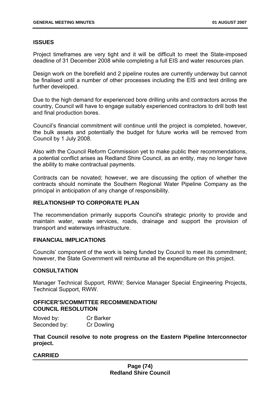# **ISSUES**

Project timeframes are very tight and it will be difficult to meet the State-imposed deadline of 31 December 2008 while completing a full EIS and water resources plan.

Design work on the borefield and 2 pipeline routes are currently underway but cannot be finalised until a number of other processes including the EIS and test drilling are further developed.

Due to the high demand for experienced bore drilling units and contractors across the country, Council will have to engage suitably experienced contractors to drill both test and final production bores.

Council's financial commitment will continue until the project is completed, however, the bulk assets and potentially the budget for future works will be removed from Council by 1 July 2008.

Also with the Council Reform Commission yet to make public their recommendations, a potential conflict arises as Redland Shire Council, as an entity, may no longer have the ability to make contractual payments.

Contracts can be novated; however, we are discussing the option of whether the contracts should nominate the Southern Regional Water Pipeline Company as the principal in anticipation of any change of responsibility.

# **RELATIONSHIP TO CORPORATE PLAN**

The recommendation primarily supports Council's strategic priority to provide and maintain water, waste services, roads, drainage and support the provision of transport and waterways infrastructure.

### **FINANCIAL IMPLICATIONS**

Councils' component of the work is being funded by Council to meet its commitment; however, the State Government will reimburse all the expenditure on this project.

# **CONSULTATION**

Manager Technical Support, RWW; Service Manager Special Engineering Projects, Technical Support, RWW.

### **OFFICER'S/COMMITTEE RECOMMENDATION/ COUNCIL RESOLUTION**

| Moved by:    | <b>Cr Barker</b>  |
|--------------|-------------------|
| Seconded by: | <b>Cr Dowling</b> |

**That Council resolve to note progress on the Eastern Pipeline Interconnector project.** 

# **CARRIED**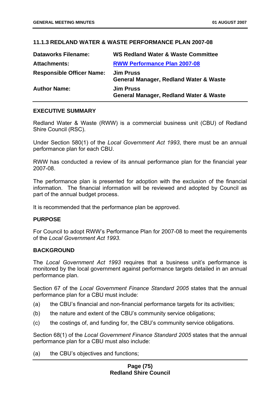# **11.1.3 REDLAND WATER & WASTE PERFORMANCE PLAN 2007-08**

| <b>Dataworks Filename:</b>       | <b>WS Redland Water &amp; Waste Committee</b>                         |
|----------------------------------|-----------------------------------------------------------------------|
| <b>Attachments:</b>              | <b>RWW Performance Plan 2007-08</b>                                   |
| <b>Responsible Officer Name:</b> | <b>Jim Pruss</b><br><b>General Manager, Redland Water &amp; Waste</b> |
| <b>Author Name:</b>              | <b>Jim Pruss</b><br><b>General Manager, Redland Water &amp; Waste</b> |

#### **EXECUTIVE SUMMARY**

Redland Water & Waste (RWW) is a commercial business unit (CBU) of Redland Shire Council (RSC).

Under Section 580(1) of the *Local Government Act 1993*, there must be an annual performance plan for each CBU.

RWW has conducted a review of its annual performance plan for the financial year 2007-08.

The performance plan is presented for adoption with the exclusion of the financial information. The financial information will be reviewed and adopted by Council as part of the annual budget process.

It is recommended that the performance plan be approved.

#### **PURPOSE**

For Council to adopt RWW's Performance Plan for 2007-08 to meet the requirements of the *Local Government Act 1993*.

### **BACKGROUND**

The *Local Government Act 1993* requires that a business unit's performance is monitored by the local government against performance targets detailed in an annual performance plan.

Section 67 of the *Local Government Finance Standard 2005* states that the annual performance plan for a CBU must include:

- (a) the CBU's financial and non-financial performance targets for its activities;
- (b) the nature and extent of the CBU's community service obligations;
- (c) the costings of, and funding for, the CBU's community service obligations.

Section 68(1) of the *Local Government Finance Standard 2005* states that the annual performance plan for a CBU must also include:

(a) the CBU's objectives and functions;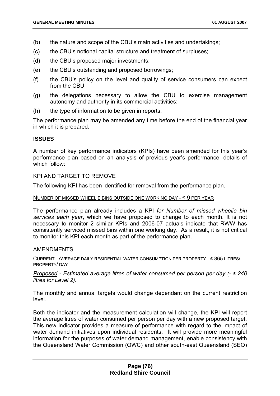- (b) the nature and scope of the CBU's main activities and undertakings;
- (c) the CBU's notional capital structure and treatment of surpluses;
- (d) the CBU's proposed major investments;
- (e) the CBU's outstanding and proposed borrowings;
- (f) the CBU's policy on the level and quality of service consumers can expect from the CBU;
- (g) the delegations necessary to allow the CBU to exercise management autonomy and authority in its commercial activities;
- (h) the type of information to be given in reports.

The performance plan may be amended any time before the end of the financial year in which it is prepared.

#### **ISSUES**

A number of key performance indicators (KPIs) have been amended for this year's performance plan based on an analysis of previous year's performance, details of which follow:

KPI AND TARGET TO REMOVE

The following KPI has been identified for removal from the performance plan.

#### NUMBER OF MISSED WHEELIE BINS OUTSIDE ONE WORKING DAY - ≤ 9 PER YEAR

The performance plan already includes a KPI *for Number of missed wheelie bin services each year*, which we have proposed to change to each month. It is not necessary to monitor 2 similar KPIs and 2006-07 actuals indicate that RWW has consistently serviced missed bins within one working day. As a result, it is not critical to monitor this KPI each month as part of the performance plan.

#### AMENDMENTS

CURRENT - AVERAGE DAILY RESIDENTIAL WATER CONSUMPTION PER PROPERTY - ≤ 865 LITRES/ PROPERTY/ DAY

*Proposed - Estimated average litres of water consumed per person per day (- ≤ 240 litres for Level 2).* 

The monthly and annual targets would change dependant on the current restriction level.

Both the indicator and the measurement calculation will change, the KPI will report the average litres of water consumed per person per day with a new proposed target. This new indicator provides a measure of performance with regard to the impact of water demand initiatives upon individual residents. It will provide more meaningful information for the purposes of water demand management, enable consistency with the Queensland Water Commission (QWC) and other south-east Queensland (SEQ)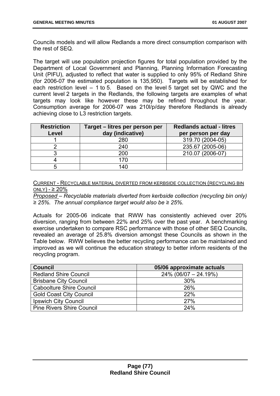Councils models and will allow Redlands a more direct consumption comparison with the rest of SEQ.

The target will use population projection figures for total population provided by the Department of Local Government and Planning, Planning Information Forecasting Unit (PIFU), adjusted to reflect that water is supplied to only 95% of Redland Shire (for 2006-07 the estimated population is 135,950). Targets will be established for each restriction level – 1 to 5. Based on the level 5 target set by QWC and the current level 2 targets in the Redlands, the following targets are examples of what targets may look like however these may be refined throughout the year. Consumption average for 2006-07 was 210l/p/day therefore Redlands is already achieving close to L3 restriction targets.

| <b>Restriction</b><br>Level | Target - litres per person per<br>day (indicative) | <b>Redlands actual - litres</b><br>per person per day |
|-----------------------------|----------------------------------------------------|-------------------------------------------------------|
|                             | 280                                                | 319.70 (2004-05)                                      |
|                             | 240                                                | 235.67 (2005-06)                                      |
|                             | 200                                                | 210.07 (2006-07)                                      |
|                             | 170                                                |                                                       |
| 5                           | 140                                                |                                                       |

CURRENT - RECYCLABLE MATERIAL DIVERTED FROM KERBSIDE COLLECTION (RECYCLING BIN ONLY) -  $\geq 20\%$ 

*Proposed – Recyclable materials diverted from kerbside collection (recycling bin only) ≥ 25%. The annual compliance target would also be ≥ 25%.* 

Actuals for 2005-06 indicate that RWW has consistently achieved over 20% diversion, ranging from between 22% and 25% over the past year. A benchmarking exercise undertaken to compare RSC performance with those of other SEQ Councils, revealed an average of 25.8% diversion amongst these Councils as shown in the Table below. RWW believes the better recycling performance can be maintained and improved as we will continue the education strategy to better inform residents of the recycling program.

| <b>Council</b>                   | 05/06 approximate actuals |
|----------------------------------|---------------------------|
| <b>Redland Shire Council</b>     | $24\%$ (06/07 - 24.19%)   |
| <b>Brisbane City Council</b>     | 30%                       |
| <b>Caboolture Shire Council</b>  | 26%                       |
| <b>Gold Coast City Council</b>   | 22%                       |
| <b>Ipswich City Council</b>      | 27%                       |
| <b>Pine Rivers Shire Council</b> | 24%                       |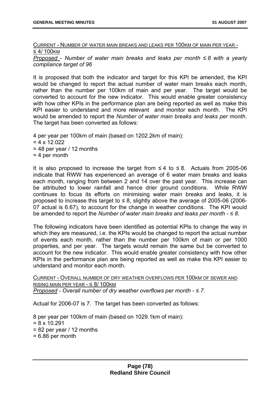CURRENT - NUMBER OF WATER MAIN BREAKS AND LEAKS PER 100KM OF MAIN PER YEAR - ≤ 4/ 100KM

*Proposed - Number of water main breaks and leaks per month ≤ 8 with a yearly compliance target of 96* 

It is proposed that both the indicator and target for this KPI be amended, the KPI would be changed to report the actual number of water main breaks each month, rather than the number per 100km of main and per year. The target would be converted to account for the new indicator. This would enable greater consistency with how other KPIs in the performance plan are being reported as well as make this KPI easier to understand and more relevant and monitor each month. The KPI would be amended to report the *Number of water main breaks and leaks per month*. The target has been converted as follows:

4 per year per 100km of main (based on 1202.2km of main):  $= 4 \times 12.022$  $= 48$  per year / 12 months  $= 4$  per month

It is also proposed to increase the target from  $\leq 4$  to  $\leq 8$ . Actuals from 2005-06 indicate that RWW has experienced an average of 6 water main breaks and leaks each month, ranging from between 2 and 14 over the past year. This increase can be attributed to lower rainfall and hence drier ground conditions. While RWW continues to focus its efforts on minimising water main breaks and leaks, it is proposed to increase this target to  $\leq 8$ , slightly above the average of 2005-06 (2006-07 actual is 6.67), to account for the change in weather conditions. The KPI would be amended to report the *Number of water main breaks and leaks per month - ≤ 8*.

The following indicators have been identified as potential KPIs to change the way in which they are measured, i.e. the KPIs would be changed to report the actual number of events each month, rather than the number per 100km of main or per 1000 properties, and per year. The targets would remain the same but be converted to account for the new indicator. This would enable greater consistency with how other KPIs in the performance plan are being reported as well as make this KPI easier to understand and monitor each month.

CURRENT - OVERALL NUMBER OF DRY WEATHER OVERFLOWS PER 100KM OF SEWER AND RISING MAIN PER YEAR - ≤ 8/ 100KM *Proposed - Overall number of dry weather overflows per month - ≤ 7*.

Actual for 2006-07 is 7. The target has been converted as follows:

8 per year per 100km of main (based on 1029.1km of main):  $= 8 \times 10.291$  $= 82$  per year / 12 months  $= 6.86$  per month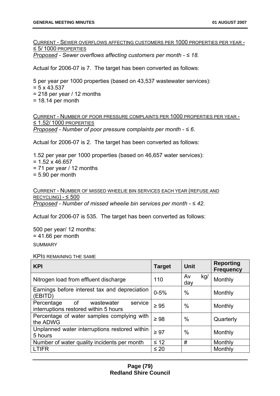<span id="page-79-0"></span>CURRENT - SEWER OVERFLOWS AFFECTING CUSTOMERS PER 1000 PROPERTIES PER YEAR - ≤ 5/ 1000 PROPERTIES

*Proposed - Sewer overflows affecting customers per month - ≤ 18.* 

Actual for 2006-07 is 7. The target has been converted as follows:

5 per year per 1000 properties (based on 43,537 wastewater services):

- $= 5 \times 43.537$
- $= 218$  per year / 12 months
- $= 18.14$  per month

CURRENT - NUMBER OF POOR PRESSURE COMPLAINTS PER 1000 PROPERTIES PER YEAR - ≤ 1.52/ 1000 PROPERTIES *Proposed - Number of poor pressure complaints per month - ≤ 6.* 

Actual for 2006-07 is 2. The target has been converted as follows:

1.52 per year per 1000 properties (based on 46,657 water services):  $= 1.52 \times 46.657$  $= 71$  per year / 12 months  $= 5.90$  per month

CURRENT - NUMBER OF MISSED WHEELIE BIN SERVICES EACH YEAR (REFUSE AND  $RECYCLING$ ) -  $\leq$  500 *Proposed* - *Number of missed wheelie bin services per month - ≤ 42*.

Actual for 2006-07 is 535. The target has been converted as follows:

500 per year/ 12 months:  $= 41.66$  per month SUMMARY

KPIS REMAINING THE SAME

| <b>KPI</b>                                                                         | <b>Target</b> | Unit             | <b>Reporting</b><br><b>Frequency</b> |
|------------------------------------------------------------------------------------|---------------|------------------|--------------------------------------|
| Nitrogen load from effluent discharge                                              | 110           | Av<br>kg/<br>day | Monthly                              |
| Earnings before interest tax and depreciation<br>(EBITD)                           | $0 - 5%$      | $\%$             | Monthly                              |
| service<br>of<br>Percentage<br>wastewater<br>interruptions restored within 5 hours | $\geq 95$     | $\%$             | Monthly                              |
| Percentage of water samples complying with<br>the ADWG                             | $\geq 98$     | $\%$             | Quarterly                            |
| Unplanned water interruptions restored within<br>5 hours                           | $\geq 97$     | $\%$             | Monthly                              |
| Number of water quality incidents per month                                        | $\leq 12$     | #                | Monthly                              |
| <b>LTIFR</b>                                                                       | $\leq 20$     |                  | Monthly                              |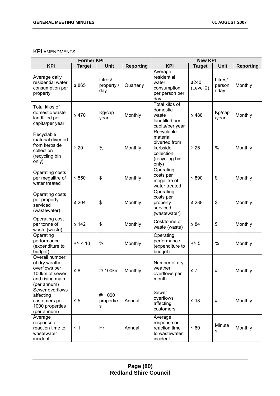# **KPI AMENDMENTS**

| <b>Former KPI</b>                                                                                     |               |                              | <b>New KPI</b>   |                                                                                              |                     |                            |                  |
|-------------------------------------------------------------------------------------------------------|---------------|------------------------------|------------------|----------------------------------------------------------------------------------------------|---------------------|----------------------------|------------------|
| <b>KPI</b>                                                                                            | <b>Target</b> | Unit                         | <b>Reporting</b> | <b>KPI</b>                                                                                   | <b>Target</b>       | Unit                       | <b>Reporting</b> |
| Average daily<br>residential water<br>consumption per<br>property                                     | $≤ 865$       | Litres/<br>property /<br>day | Quarterly        | Average<br>residential<br>water<br>consumption<br>per person per<br>day                      | $≤240$<br>(Level 2) | Litres/<br>person<br>/ day | Monthly          |
| Total kilos of<br>domestic waste<br>landfilled per<br>capita/per year                                 | $\leq 470$    | Kg/cap<br>year               | Monthly          | <b>Total kilos of</b><br>domestic<br>waste<br>landfilled per<br>capita/per year              | $≤ 488$             | Kg/cap<br>/year            | Monthly          |
| Recyclable<br>material diverted<br>from kerbside<br>collection<br>(recycling bin<br>only)             | $\geq 20$     | $\%$                         | Monthly          | Recyclable<br>material<br>diverted from<br>kerbside<br>collection<br>(recycling bin<br>only) | $\geq 25$           | %                          | Monthly          |
| Operating costs<br>per megalitre of<br>water treated                                                  | $\leq 550$    | $\boldsymbol{\mathsf{S}}$    | Monthly          | Operating<br>costs per<br>megalitre of<br>water treated                                      | ≤ 890               | \$                         | Monthly          |
| Operating costs<br>per property<br>serviced<br>(wastewater)                                           | $\leq 204$    | $\frac{1}{2}$                | Monthly          | Operating<br>costs per<br>property<br>serviced<br>(wastewater)                               | $\leq 238$          | \$                         | Monthly          |
| Operating cost<br>per tonne of<br>waste (waste)                                                       | $\leq 142$    | $\boldsymbol{\mathsf{S}}$    | Monthly          | Cost/tonne of<br>waste (waste)                                                               | $\leq 84$           | \$                         | Monthly          |
| Operating<br>performance<br>(expenditure to<br>budget)                                                | $+/- < 10$    | $\%$                         | Monthly          | Operating<br>performance<br>(expenditure to<br>budget)                                       | $+/- 5$             | $\%$                       | Monthly          |
| Overall number<br>of dry weather<br>overflows per<br>100km of sewer<br>and rising main<br>(per annum) | $\leq 8$      | #/ 100km                     | Monthly          | Number of dry<br>weatner<br>overflows per<br>month                                           | $\leq 7$            | $\#$                       | Monthly          |
| Sewer overflows<br>affecting<br>customers per<br>1000 properties<br>(per annum)                       | $\leq 5$      | #/ 1000<br>propertie<br>s    | Annual           | Sewer<br>overflows<br>affecting<br>customers                                                 | $≤ 18$              | #                          | Monthly          |
| Average<br>response or<br>reaction time to<br>wastewater<br>incident                                  | $\leq 1$      | Hr                           | Annual           | Average<br>response or<br>reaction time<br>to wastewater<br>incident                         | $\leq 60$           | Minute<br>s                | Monthly          |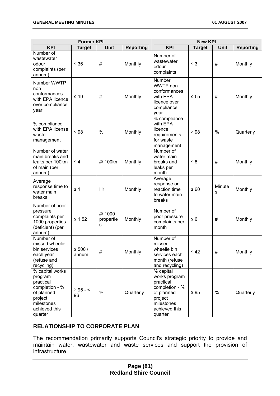| <b>Former KPI</b>                                                                                                            |                     |                           | <b>New KPI</b>   |                                                                                                                              |               |             |                  |
|------------------------------------------------------------------------------------------------------------------------------|---------------------|---------------------------|------------------|------------------------------------------------------------------------------------------------------------------------------|---------------|-------------|------------------|
| <b>KPI</b>                                                                                                                   | <b>Target</b>       | Unit                      | <b>Reporting</b> | <b>KPI</b>                                                                                                                   | <b>Target</b> | Unit        | <b>Reporting</b> |
| Number of<br>wastewater<br>odour<br>complaints (per<br>annum)                                                                | $\leq 36$           | #                         | Monthly          | Number of<br>wastewater<br>odour<br>complaints                                                                               | $\leq$ 3      | #           | Monthly          |
| Number WWTP<br>non<br>conformances<br>with EPA licence<br>over compliance<br>year                                            | $≤ 19$              | #                         | Monthly          | Number<br>WWTP non<br>conformances<br>with EPA<br>licence over<br>compliance<br>year                                         | $≤0.5$        | #           | Monthly          |
| % compliance<br>with EPA license<br>waste<br>management                                                                      | $\leq 98$           | $\frac{0}{0}$             | Monthly          | % compliance<br>with EPA<br>licence<br>requirements<br>for waste<br>management                                               | $\geq 98$     | %           | Quarterly        |
| Number of water<br>main breaks and<br>leaks per 100km<br>of main (per<br>annum)                                              | $\leq 4$            | #/ 100km                  | Monthly          | Number of<br>water main<br>breaks and<br>leaks per<br>month                                                                  | $\leq 8$      | #           | Monthly          |
| Average<br>response time to<br>water main<br>breaks                                                                          | $\leq 1$            | Hr                        | Monthly          | Average<br>response or<br>reaction time<br>to water main<br>breaks                                                           | $\leq 60$     | Minute<br>s | Monthly          |
| Number of poor<br>pressure<br>complaints per<br>1000 properties<br>(deficient) (per<br>annum)                                | $≤ 1.52$            | #/ 1000<br>propertie<br>s | Monthly          | Number of<br>poor pressure<br>complaints per<br>month                                                                        | $\leq 6$      | #           | Monthly          |
| Number of<br>missed wheelie<br>bin services<br>each year<br>(refuse and<br>recycling)                                        | $≤ 500 /$<br>annum  | #                         | Monthly          | Number of<br>missed<br>wheelie bin<br>services each<br>month (refuse<br>and recycling)                                       | $\leq 42$     | #           | Monthly          |
| % capital works<br>program<br>practical<br>completion - %<br>of planned<br>project<br>milestones<br>achieved this<br>quarter | $\geq 95 - 5$<br>96 | $\frac{0}{0}$             | Quarterly        | % capital<br>works program<br>practical<br>completion - %<br>of planned<br>project<br>milestones<br>achieved this<br>quarter | $\geq 95$     | %           | Quarterly        |

# **RELATIONSHIP TO CORPORATE PLAN**

The recommendation primarily supports Council's strategic priority to provide and maintain water, wastewater and waste services and support the provision of infrastructure.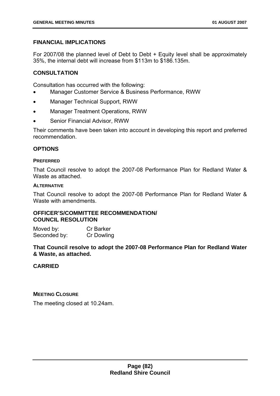# **FINANCIAL IMPLICATIONS**

For 2007/08 the planned level of Debt to Debt + Equity level shall be approximately 35%, the internal debt will increase from \$113m to \$186.135m.

# **CONSULTATION**

Consultation has occurred with the following:

- Manager Customer Service & Business Performance, RWW
- Manager Technical Support, RWW
- Manager Treatment Operations, RWW
- Senior Financial Advisor, RWW

Their comments have been taken into account in developing this report and preferred recommendation.

### **OPTIONS**

#### **PREFERRED**

That Council resolve to adopt the 2007-08 Performance Plan for Redland Water & Waste as attached.

#### **ALTERNATIVE**

That Council resolve to adopt the 2007-08 Performance Plan for Redland Water & Waste with amendments.

#### **OFFICER'S/COMMITTEE RECOMMENDATION/ COUNCIL RESOLUTION**

Moved by: Cr Barker Seconded by: Cr Dowling

**That Council resolve to adopt the 2007-08 Performance Plan for Redland Water & Waste, as attached.** 

# **CARRIED**

**MEETING CLOSURE**

The meeting closed at 10.24am.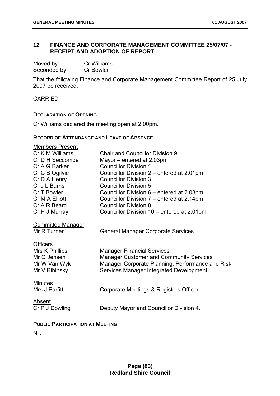# **12 FINANCE AND CORPORATE MANAGEMENT COMMITTEE 25/07/07 - RECEIPT AND ADOPTION OF REPORT**

| Moved by:    | <b>Cr Williams</b> |
|--------------|--------------------|
| Seconded by: | <b>Cr Bowler</b>   |

That the following Finance and Corporate Management Committee Report of 25 July 2007 be received.

CARRIED

#### **DECLARATION OF OPENING**

Cr Williams declared the meeting open at 2.00pm.

#### **RECORD OF ATTENDANCE AND LEAVE OF ABSENCE**

| <b>Members Present</b>   |                                                  |
|--------------------------|--------------------------------------------------|
| Cr K M Williams          | <b>Chair and Councillor Division 9</b>           |
| Cr D H Seccombe          | Mayor - entered at 2.03pm                        |
| Cr A G Barker            | <b>Councillor Division 1</b>                     |
| Cr C B Ogilvie           | Councillor Division 2 – entered at 2.01pm        |
| Cr D A Henry             | <b>Councillor Division 3</b>                     |
| Cr J L Burns             | <b>Councillor Division 5</b>                     |
| Cr T Bowler              | Councillor Division 6 – entered at 2.03pm        |
| Cr M A Elliott           | Councillor Division 7 – entered at 2.14pm        |
| Cr A R Beard             | <b>Councillor Division 8</b>                     |
| Cr H J Murray            | Councillor Division 10 – entered at 2.01pm       |
| <b>Committee Manager</b> |                                                  |
| Mr R Turner              | <b>General Manager Corporate Services</b>        |
| <b>Officers</b>          |                                                  |
| Mrs K Phillips           | <b>Manager Financial Services</b>                |
| Mr G Jensen              | <b>Manager Customer and Community Services</b>   |
| Mr W Van Wyk             | Manager Corporate Planning, Performance and Risk |
| Mr V Ribinsky            | Services Manager Integrated Development          |
| <b>Minutes</b>           |                                                  |
| Mrs J Parfitt            | Corporate Meetings & Registers Officer           |
| Absent                   |                                                  |
| Cr P J Dowling           | Deputy Mayor and Councillor Division 4.          |
| D(1, 1)                  |                                                  |

#### **PUBLIC PARTICIPATION AT MEETING**

Nil.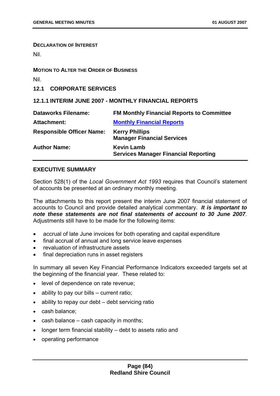**DECLARATION OF INTEREST**

Nil.

#### **MOTION TO ALTER THE ORDER OF BUSINESS**

Nil.

**12.1 CORPORATE SERVICES** 

# **12.1.1 INTERIM JUNE 2007 - MONTHLY FINANCIAL REPORTS**

| <b>Dataworks Filename:</b>       | <b>FM Monthly Financial Reports to Committee</b>                 |
|----------------------------------|------------------------------------------------------------------|
| <b>Attachment:</b>               | <b>Monthly Financial Reports</b>                                 |
| <b>Responsible Officer Name:</b> | <b>Kerry Phillips</b><br><b>Manager Financial Services</b>       |
| <b>Author Name:</b>              | <b>Kevin Lamb</b><br><b>Services Manager Financial Reporting</b> |

### **EXECUTIVE SUMMARY**

Section 528(1) of the *Local Government Act 1993* requires that Council's statement of accounts be presented at an ordinary monthly meeting.

The attachments to this report present the interim June 2007 financial statement of accounts to Council and provide detailed analytical commentary. *It is important to note these statements are not final statements of account to 30 June 2007*. Adjustments still have to be made for the following items:

- accrual of late June invoices for both operating and capital expenditure
- final accrual of annual and long service leave expenses
- revaluation of infrastructure assets
- final depreciation runs in asset registers

In summary all seven Key Financial Performance Indicators exceeded targets set at the beginning of the financial year. These related to:

- level of dependence on rate revenue;
- ability to pay our bills current ratio;
- ability to repay our debt debt servicing ratio
- cash balance;
- cash balance cash capacity in months;
- longer term financial stability debt to assets ratio and
- operating performance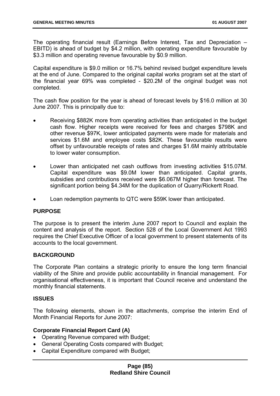The operating financial result (Earnings Before Interest, Tax and Depreciation – EBITD) is ahead of budget by \$4.2 million, with operating expenditure favourable by \$3.3 million and operating revenue favourable by \$0.9 million.

Capital expenditure is \$9.0 million or 16.7% behind revised budget expenditure levels at the end of June. Compared to the original capital works program set at the start of the financial year 69% was completed - \$20.2M of the original budget was not completed.

The cash flow position for the year is ahead of forecast levels by \$16.0 million at 30 June 2007. This is principally due to:

- Receiving \$882K more from operating activities than anticipated in the budget cash flow. Higher receipts were received for fees and charges \$798K and other revenue \$97K, lower anticipated payments were made for materials and services \$1.6M and employee costs \$82K. These favourable results were offset by unfavourable receipts of rates and charges \$1.6M mainly attributable to lower water consumption.
- Lower than anticipated net cash outflows from investing activities \$15.07M. Capital expenditure was \$9.0M lower than anticipated. Capital grants, subsidies and contributions received were \$6.067M higher than forecast. The significant portion being \$4.34M for the duplication of Quarry/Rickertt Road.
- Loan redemption payments to QTC were \$59K lower than anticipated.

# **PURPOSE**

The purpose is to present the interim June 2007 report to Council and explain the content and analysis of the report. Section 528 of the Local Government Act 1993 requires the Chief Executive Officer of a local government to present statements of its accounts to the local government.

#### **BACKGROUND**

The Corporate Plan contains a strategic priority to ensure the long term financial viability of the Shire and provide public accountability in financial management. For organisational effectiveness, it is important that Council receive and understand the monthly financial statements.

#### **ISSUES**

The following elements, shown in the attachments, comprise the interim End of Month Financial Reports for June 2007:

#### **Corporate Financial Report Card (A)**

- Operating Revenue compared with Budget;
- General Operating Costs compared with Budget;
- Capital Expenditure compared with Budget;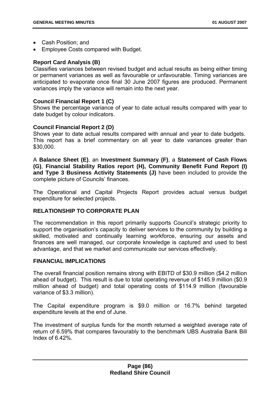- Cash Position; and
- Employee Costs compared with Budget.

### **Report Card Analysis (B)**

Classifies variances between revised budget and actual results as being either timing or permanent variances as well as favourable or unfavourable. Timing variances are anticipated to evaporate once final 30 June 2007 figures are produced. Permanent variances imply the variance will remain into the next year.

### **Council Financial Report 1 (C)**

Shows the percentage variance of year to date actual results compared with year to date budget by colour indicators.

### **Council Financial Report 2 (D)**

Shows year to date actual results compared with annual and year to date budgets. This report has a brief commentary on all year to date variances greater than \$30,000.

A **Balance Sheet (E)**, an **Investment Summary (F)**, a **Statement of Cash Flows (G)**, **Financial Stability Ratios report (H), Community Benefit Fund Report (I) and Type 3 Business Activity Statements (J)** have been included to provide the complete picture of Councils' finances.

The Operational and Capital Projects Report provides actual versus budget expenditure for selected projects.

# **RELATIONSHIP TO CORPORATE PLAN**

The recommendation in this report primarily supports Council's strategic priority to support the organisation's capacity to deliver services to the community by building a skilled, motivated and continually learning workforce, ensuring our assets and finances are well managed, our corporate knowledge is captured and used to best advantage, and that we market and communicate our services effectively.

#### **FINANCIAL IMPLICATIONS**

The overall financial position remains strong with EBITD of \$30.9 million (\$4.2 million ahead of budget). This result is due to total operating revenue of \$145.9 million (\$0.9 million ahead of budget) and total operating costs of \$114.9 million (favourable variance of \$3.3 million).

The Capital expenditure program is \$9.0 million or 16.7% behind targeted expenditure levels at the end of June.

The investment of surplus funds for the month returned a weighted average rate of return of 6.59% that compares favourably to the benchmark UBS Australia Bank Bill Index of 6.42%.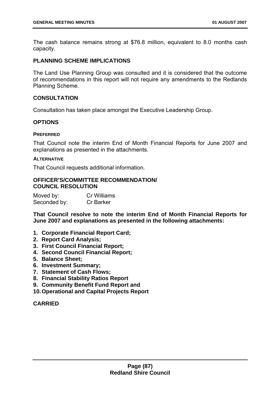<span id="page-87-0"></span>The cash balance remains strong at \$76.8 million, equivalent to 8.0 months cash capacity.

### **PLANNING SCHEME IMPLICATIONS**

The Land Use Planning Group was consulted and it is considered that the outcome of recommendations in this report will not require any amendments to the Redlands Planning Scheme.

### **CONSULTATION**

Consultation has taken place amongst the Executive Leadership Group.

### **OPTIONS**

#### **PREFERRED**

That Council note the interim End of Month Financial Reports for June 2007 and explanations as presented in the attachments.

#### **ALTERNATIVE**

That Council requests additional information.

#### **OFFICER'S/COMMITTEE RECOMMENDATION/ COUNCIL RESOLUTION**

| Moved by:    | <b>Cr Williams</b> |
|--------------|--------------------|
| Seconded by: | <b>Cr Barker</b>   |

**That Council resolve to note the interim End of Month Financial Reports for June 2007 and explanations as presented in the following attachments:** 

- **1. Corporate Financial Report Card;**
- **2. Report Card Analysis;**
- **3. First Council Financial Report;**
- **4. Second Council Financial Report;**
- **5. Balance Sheet;**
- **6. Investment Summary;**
- **7. Statement of Cash Flows;**
- **8. Financial Stability Ratios Report**
- **9. Community Benefit Fund Report and**
- **10. Operational and Capital Projects Report**

### **CARRIED**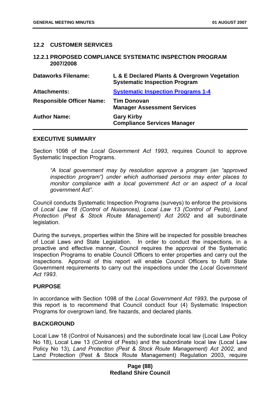### <span id="page-88-0"></span>**12.2 CUSTOMER SERVICES**

#### **12.2.1 PROPOSED COMPLIANCE SYSTEMATIC INSPECTION PROGRAM 2007/2008**

| <b>Dataworks Filename:</b>       | L & E Declared Plants & Overgrown Vegetation<br><b>Systematic Inspection Program</b> |
|----------------------------------|--------------------------------------------------------------------------------------|
| <b>Attachments:</b>              | <b>Systematic Inspection Programs 1-4</b>                                            |
| <b>Responsible Officer Name:</b> | <b>Tim Donovan</b><br><b>Manager Assessment Services</b>                             |
| <b>Author Name:</b>              | <b>Gary Kirby</b><br><b>Compliance Services Manager</b>                              |

#### **EXECUTIVE SUMMARY**

Section 1098 of the *Local Government Act 1993*, requires Council to approve Systematic Inspection Programs.

*"A local government may by resolution approve a program (an "approved inspection program") under which authorised persons may enter places to monitor compliance with a local government Act or an aspect of a local government Act".*

Council conducts Systematic Inspection Programs (surveys) to enforce the provisions of *Local Law 18 (Control of Nuisances), Local Law 13 (Control of Pests)*, *Land Protection (Pest & Stock Route Management) Act 2002* and all subordinate legislation.

During the surveys, properties within the Shire will be inspected for possible breaches of Local Laws and State Legislation. In order to conduct the inspections, in a proactive and effective manner, Council requires the approval of the Systematic Inspection Programs to enable Council Officers to enter properties and carry out the inspections. Approval of this report will enable Council Officers to fulfil State Government requirements to carry out the inspections under the *Local Government Act 1993*.

#### **PURPOSE**

In accordance with Section 1098 of the *Local Government Act 1993*, the purpose of this report is to recommend that Council conduct four (4) Systematic Inspection Programs for overgrown land, fire hazards, and declared plants.

#### **BACKGROUND**

Local Law 18 (Control of Nuisances) and the subordinate local law (Local Law Policy No 18), Local Law 13 (Control of Pests) and the subordinate local law (Local Law Policy No 13), *Land Protection (Pest & Stock Route Management) Act 2002*, and Land Protection (Pest & Stock Route Management) Regulation 2003, require

### **Page (88) Redland Shire Council**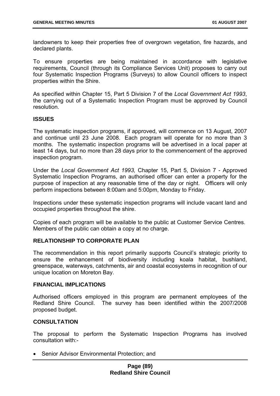landowners to keep their properties free of overgrown vegetation, fire hazards, and declared plants.

To ensure properties are being maintained in accordance with legislative requirements, Council (through its Compliance Services Unit) proposes to carry out four Systematic Inspection Programs (Surveys) to allow Council officers to inspect properties within the Shire.

As specified within Chapter 15, Part 5 Division 7 of the *Local Government Act 1993*, the carrying out of a Systematic Inspection Program must be approved by Council resolution.

#### **ISSUES**

The systematic inspection programs, if approved, will commence on 13 August, 2007 and continue until 23 June 2008. Each program will operate for no more than 3 months. The systematic inspection programs will be advertised in a local paper at least 14 days, but no more than 28 days prior to the commencement of the approved inspection program.

Under the *Local Government Act 1993,* Chapter 15, Part 5, Division 7 - Approved Systematic Inspection Programs, an authorised officer can enter a property for the purpose of inspection at any reasonable time of the day or night. Officers will only perform inspections between 8:00am and 5:00pm, Monday to Friday.

Inspections under these systematic inspection programs will include vacant land and occupied properties throughout the shire.

Copies of each program will be available to the public at Customer Service Centres. Members of the public can obtain a copy at no charge.

### **RELATIONSHIP TO CORPORATE PLAN**

The recommendation in this report primarily supports Council's strategic priority to ensure the enhancement of biodiversity including koala habitat, bushland, greenspace, waterways, catchments, air and coastal ecosystems in recognition of our unique location on Moreton Bay.

#### **FINANCIAL IMPLICATIONS**

Authorised officers employed in this program are permanent employees of the Redland Shire Council. The survey has been identified within the 2007/2008 proposed budget.

#### **CONSULTATION**

The proposal to perform the Systematic Inspection Programs has involved consultation with:-

• Senior Advisor Environmental Protection; and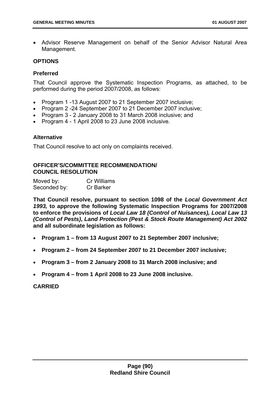• Advisor Reserve Management on behalf of the Senior Advisor Natural Area Management.

#### **OPTIONS**

### **Preferred**

That Council approve the Systematic Inspection Programs, as attached, to be performed during the period 2007/2008, as follows:

- Program 1 -13 August 2007 to 21 September 2007 inclusive;
- Program 2 -24 September 2007 to 21 December 2007 inclusive;
- Program 3 2 January 2008 to 31 March 2008 inclusive; and
- Program 4 1 April 2008 to 23 June 2008 inclusive.

### **Alternative**

That Council resolve to act only on complaints received.

# **OFFICER'S/COMMITTEE RECOMMENDATION/ COUNCIL RESOLUTION**

| Moved by:    | Cr Williams      |
|--------------|------------------|
| Seconded by: | <b>Cr Barker</b> |

**That Council resolve, pursuant to section 1098 of the** *Local Government Act 1993,* **to approve the following Systematic Inspection Programs for 2007/2008 to enforce the provisions of** *Local Law 18 (Control of Nuisances), Local Law 13 (Control of Pests)***,** *Land Protection (Pest & Stock Route Management) Act 2002*  **and all subordinate legislation as follows:** 

- **Program 1 from 13 August 2007 to 21 September 2007 inclusive;**
- **Program 2 from 24 September 2007 to 21 December 2007 inclusive;**
- **Program 3 from 2 January 2008 to 31 March 2008 inclusive; and**
- **Program 4 from 1 April 2008 to 23 June 2008 inclusive.**

# **CARRIED**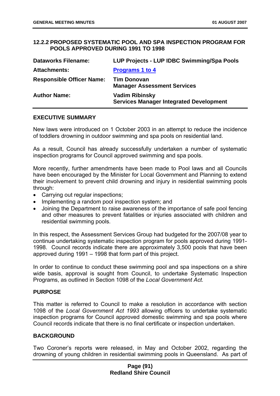### **12.2.2 PROPOSED SYSTEMATIC POOL AND SPA INSPECTION PROGRAM FOR POOLS APPROVED DURING 1991 TO 1998**

| <b>Dataworks Filename:</b>       | LUP Projects - LUP IDBC Swimming/Spa Pools                              |
|----------------------------------|-------------------------------------------------------------------------|
| <b>Attachments:</b>              | <b>Programs 1 to 4</b>                                                  |
| <b>Responsible Officer Name:</b> | <b>Tim Donovan</b><br><b>Manager Assessment Services</b>                |
| <b>Author Name:</b>              | <b>Vadim Ribinsky</b><br><b>Services Manager Integrated Development</b> |

#### **EXECUTIVE SUMMARY**

New laws were introduced on 1 October 2003 in an attempt to reduce the incidence of toddlers drowning in outdoor swimming and spa pools on residential land.

As a result, Council has already successfully undertaken a number of systematic inspection programs for Council approved swimming and spa pools.

More recently, further amendments have been made to Pool laws and all Councils have been encouraged by the Minister for Local Government and Planning to extend their involvement to prevent child drowning and injury in residential swimming pools through:

- Carrying out regular inspections;
- Implementing a random pool inspection system; and
- Joining the Department to raise awareness of the importance of safe pool fencing and other measures to prevent fatalities or injuries associated with children and residential swimming pools.

In this respect, the Assessment Services Group had budgeted for the 2007/08 year to continue undertaking systematic inspection program for pools approved during 1991- 1998. Council records indicate there are approximately 3,500 pools that have been approved during 1991 – 1998 that form part of this project.

In order to continue to conduct these swimming pool and spa inspections on a shire wide basis, approval is sought from Council, to undertake Systematic Inspection Programs, as outlined in Section 1098 of the *Local Government Act.* 

#### **PURPOSE**

This matter is referred to Council to make a resolution in accordance with section 1098 of the *Local Government Act 1993* allowing officers to undertake systematic inspection programs for Council approved domestic swimming and spa pools where Council records indicate that there is no final certificate or inspection undertaken.

#### **BACKGROUND**

Two Coroner's reports were released, in May and October 2002, regarding the drowning of young children in residential swimming pools in Queensland. As part of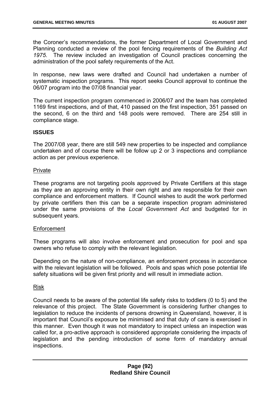<span id="page-92-0"></span>the Coroner's recommendations, the former Department of Local Government and Planning conducted a review of the pool fencing requirements of the *Building Act 1975*. The review included an investigation of Council practices concerning the administration of the pool safety requirements of the Act.

In response, new laws were drafted and Council had undertaken a number of systematic inspection programs. This report seeks Council approval to continue the 06/07 program into the 07/08 financial year.

The current inspection program commenced in 2006/07 and the team has completed 1169 first inspections, and of that, 410 passed on the first inspection, 351 passed on the second, 6 on the third and 148 pools were removed. There are 254 still in compliance stage.

### **ISSUES**

The 2007/08 year, there are still 549 new properties to be inspected and compliance undertaken and of course there will be follow up 2 or 3 inspections and compliance action as per previous experience.

#### Private

These programs are not targeting pools approved by Private Certifiers at this stage as they are an approving entity in their own right and are responsible for their own compliance and enforcement matters. If Council wishes to audit the work performed by private certifiers then this can be a separate inspection program administered under the same provisions of the *Local Government Act* and budgeted for in subsequent years.

#### **Enforcement**

These programs will also involve enforcement and prosecution for pool and spa owners who refuse to comply with the relevant legislation.

Depending on the nature of non-compliance, an enforcement process in accordance with the relevant legislation will be followed. Pools and spas which pose potential life safety situations will be given first priority and will result in immediate action.

Risk

Council needs to be aware of the potential life safety risks to toddlers (0 to 5) and the relevance of this project. The State Government is considering further changes to legislation to reduce the incidents of persons drowning in Queensland, however, it is important that Council's exposure be minimised and that duty of care is exercised in this manner. Even though it was not mandatory to inspect unless an inspection was called for, a pro-active approach is considered appropriate considering the impacts of legislation and the pending introduction of some form of mandatory annual inspections.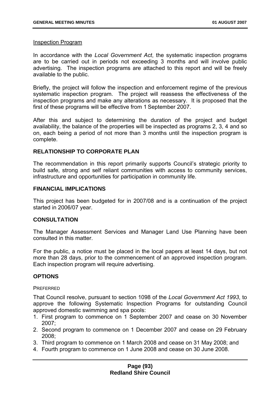#### Inspection Program

In accordance with the *Local Government Act*, the systematic inspection programs are to be carried out in periods not exceeding 3 months and will involve public advertising. The inspection programs are attached to this report and will be freely available to the public.

Briefly, the project will follow the inspection and enforcement regime of the previous systematic inspection program. The project will reassess the effectiveness of the inspection programs and make any alterations as necessary. It is proposed that the first of these programs will be effective from 1 September 2007.

After this and subject to determining the duration of the project and budget availability, the balance of the properties will be inspected as programs 2, 3, 4 and so on, each being a period of not more than 3 months until the inspection program is complete.

### **RELATIONSHIP TO CORPORATE PLAN**

The recommendation in this report primarily supports Council's strategic priority to build safe, strong and self reliant communities with access to community services, infrastructure and opportunities for participation in community life.

#### **FINANCIAL IMPLICATIONS**

This project has been budgeted for in 2007/08 and is a continuation of the project started in 2006/07 year.

#### **CONSULTATION**

The Manager Assessment Services and Manager Land Use Planning have been consulted in this matter.

For the public, a notice must be placed in the local papers at least 14 days, but not more than 28 days, prior to the commencement of an approved inspection program. Each inspection program will require advertising.

# **OPTIONS**

#### **PREFERRED**

That Council resolve, pursuant to section 1098 of the *Local Government Act 1993*, to approve the following Systematic Inspection Programs for outstanding Council approved domestic swimming and spa pools:

- 1. First program to commence on 1 September 2007 and cease on 30 November 2007;
- 2. Second program to commence on 1 December 2007 and cease on 29 February 2008;
- 3. Third program to commence on 1 March 2008 and cease on 31 May 2008; and
- 4. Fourth program to commence on 1 June 2008 and cease on 30 June 2008.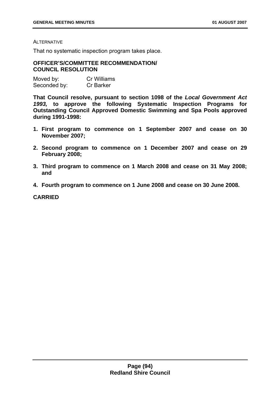#### ALTERNATIVE

That no systematic inspection program takes place.

#### **OFFICER'S/COMMITTEE RECOMMENDATION/ COUNCIL RESOLUTION**

| Moved by:    | <b>Cr Williams</b> |
|--------------|--------------------|
| Seconded by: | <b>Cr Barker</b>   |

**That Council resolve, pursuant to section 1098 of the** *Local Government Act 1993,* **to approve the following Systematic Inspection Programs for Outstanding Council Approved Domestic Swimming and Spa Pools approved during 1991-1998:** 

- **1. First program to commence on 1 September 2007 and cease on 30 November 2007;**
- **2. Second program to commence on 1 December 2007 and cease on 29 February 2008;**
- **3. Third program to commence on 1 March 2008 and cease on 31 May 2008; and**
- **4. Fourth program to commence on 1 June 2008 and cease on 30 June 2008.**

**CARRIED**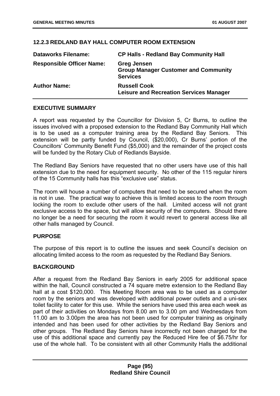# <span id="page-95-0"></span>**12.2.3 REDLAND BAY HALL COMPUTER ROOM EXTENSION**

| <b>Dataworks Filename:</b>       | <b>CP Halls - Redland Bay Community Hall</b>                                         |
|----------------------------------|--------------------------------------------------------------------------------------|
| <b>Responsible Officer Name:</b> | <b>Greg Jensen</b><br><b>Group Manager Customer and Community</b><br><b>Services</b> |
| <b>Author Name:</b>              | <b>Russell Cook</b><br><b>Leisure and Recreation Services Manager</b>                |

# **EXECUTIVE SUMMARY**

A report was requested by the Councillor for Division 5, Cr Burns, to outline the issues involved with a proposed extension to the Redland Bay Community Hall which is to be used as a computer training area by the Redland Bay Seniors. This extension will be partly funded by Council, (\$20,000), Cr Burns' portion of the Councillors' Community Benefit Fund (\$5,000) and the remainder of the project costs will be funded by the Rotary Club of Redlands Bayside.

The Redland Bay Seniors have requested that no other users have use of this hall extension due to the need for equipment security. No other of the 115 regular hirers of the 15 Community halls has this "exclusive use" status.

The room will house a number of computers that need to be secured when the room is not in use. The practical way to achieve this is limited access to the room through locking the room to exclude other users of the hall. Limited access will not grant exclusive access to the space, but will allow security of the computers. Should there no longer be a need for securing the room it would revert to general access like all other halls managed by Council.

# **PURPOSE**

The purpose of this report is to outline the issues and seek Council's decision on allocating limited access to the room as requested by the Redland Bay Seniors.

# **BACKGROUND**

After a request from the Redland Bay Seniors in early 2005 for additional space within the hall. Council constructed a 74 square metre extension to the Redland Bay hall at a cost \$120,000. This Meeting Room area was to be used as a computer room by the seniors and was developed with additional power outlets and a uni-sex toilet facility to cater for this use. While the seniors have used this area each week as part of their activities on Mondays from 8.00 am to 3.00 pm and Wednesdays from 11.00 am to 3.00pm the area has not been used for computer training as originally intended and has been used for other activities by the Redland Bay Seniors and other groups. The Redland Bay Seniors have incorrectly not been charged for the use of this additional space and currently pay the Reduced Hire fee of \$6.75/hr for use of the whole hall. To be consistent with all other Community Halls the additional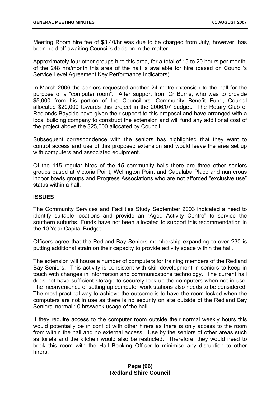Meeting Room hire fee of \$3.40/hr was due to be charged from July, however, has been held off awaiting Council's decision in the matter.

Approximately four other groups hire this area, for a total of 15 to 20 hours per month, of the 248 hrs/month this area of the hall is available for hire (based on Council's Service Level Agreement Key Performance Indicators).

In March 2006 the seniors requested another 24 metre extension to the hall for the purpose of a "computer room". After support from Cr Burns, who was to provide \$5,000 from his portion of the Councillors' Community Benefit Fund, Council allocated \$20,000 towards this project in the 2006/07 budget. The Rotary Club of Redlands Bayside have given their support to this proposal and have arranged with a local building company to construct the extension and will fund any additional cost of the project above the \$25,000 allocated by Council.

Subsequent correspondence with the seniors has highlighted that they want to control access and use of this proposed extension and would leave the area set up with computers and associated equipment.

Of the 115 regular hires of the 15 community halls there are three other seniors groups based at Victoria Point, Wellington Point and Capalaba Place and numerous indoor bowls groups and Progress Associations who are not afforded "exclusive use" status within a hall.

### **ISSUES**

The Community Services and Facilities Study September 2003 indicated a need to identify suitable locations and provide an "Aged Activity Centre" to service the southern suburbs. Funds have not been allocated to support this recommendation in the 10 Year Capital Budget.

Officers agree that the Redland Bay Seniors membership expanding to over 230 is putting additional strain on their capacity to provide activity space within the hall.

The extension will house a number of computers for training members of the Redland Bay Seniors. This activity is consistent with skill development in seniors to keep in touch with changes in information and communications technology. The current hall does not have sufficient storage to securely lock up the computers when not in use. The inconvenience of setting up computer work stations also needs to be considered. The most practical way to achieve the outcome is to have the room locked when the computers are not in use as there is no security on site outside of the Redland Bay Seniors' normal 10 hrs/week usage of the hall.

If they require access to the computer room outside their normal weekly hours this would potentially be in conflict with other hirers as there is only access to the room from within the hall and no external access. Use by the seniors of other areas such as toilets and the kitchen would also be restricted. Therefore, they would need to book this room with the Hall Booking Officer to minimise any disruption to other hirers.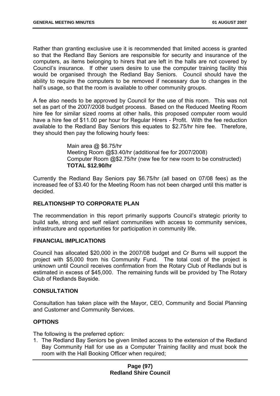Rather than granting exclusive use it is recommended that limited access is granted so that the Redland Bay Seniors are responsible for security and insurance of the computers, as items belonging to hirers that are left in the halls are not covered by Council's insurance. If other users desire to use the computer training facility this would be organised through the Redland Bay Seniors. Council should have the ability to require the computers to be removed if necessary due to changes in the hall's usage, so that the room is available to other community groups.

A fee also needs to be approved by Council for the use of this room. This was not set as part of the 2007/2008 budget process. Based on the Reduced Meeting Room hire fee for similar sized rooms at other halls, this proposed computer room would have a hire fee of \$11.00 per hour for Regular Hirers - Profit. With the fee reduction available to the Redland Bay Seniors this equates to \$2.75/hr hire fee. Therefore, they should then pay the following hourly fees:

> Main area @ \$6.75/hr Meeting Room @\$3.40/hr (additional fee for 2007/2008) Computer Room @\$2.75/hr (new fee for new room to be constructed) **TOTAL \$12.90/hr**

Currently the Redland Bay Seniors pay \$6.75/hr (all based on 07/08 fees) as the increased fee of \$3.40 for the Meeting Room has not been charged until this matter is decided.

# **RELATIONSHIP TO CORPORATE PLAN**

The recommendation in this report primarily supports Council's strategic priority to build safe, strong and self reliant communities with access to community services, infrastructure and opportunities for participation in community life.

#### **FINANCIAL IMPLICATIONS**

Council has allocated \$20,000 in the 2007/08 budget and Cr Burns will support the project with \$5,000 from his Community Fund. The total cost of the project is unknown until Council receives confirmation from the Rotary Club of Redlands but is estimated in excess of \$45,000. The remaining funds will be provided by The Rotary Club of Redlands Bayside.

#### **CONSULTATION**

Consultation has taken place with the Mayor, CEO, Community and Social Planning and Customer and Community Services.

# **OPTIONS**

The following is the preferred option:

1. The Redland Bay Seniors be given limited access to the extension of the Redland Bay Community Hall for use as a Computer Training facility and must book the room with the Hall Booking Officer when required;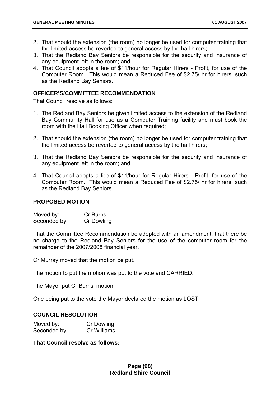- 2. That should the extension (the room) no longer be used for computer training that the limited access be reverted to general access by the hall hirers;
- 3. That the Redland Bay Seniors be responsible for the security and insurance of any equipment left in the room; and
- 4. That Council adopts a fee of \$11/hour for Regular Hirers Profit, for use of the Computer Room. This would mean a Reduced Fee of \$2.75/ hr for hirers, such as the Redland Bay Seniors.

#### **OFFICER'S/COMMITTEE RECOMMENDATION**

That Council resolve as follows:

- 1. The Redland Bay Seniors be given limited access to the extension of the Redland Bay Community Hall for use as a Computer Training facility and must book the room with the Hall Booking Officer when required;
- 2. That should the extension (the room) no longer be used for computer training that the limited access be reverted to general access by the hall hirers;
- 3. That the Redland Bay Seniors be responsible for the security and insurance of any equipment left in the room; and
- 4. That Council adopts a fee of \$11/hour for Regular Hirers Profit, for use of the Computer Room. This would mean a Reduced Fee of \$2.75/ hr for hirers, such as the Redland Bay Seniors.

#### **PROPOSED MOTION**

Moved by: Cr Burns Seconded by: Cr Dowling

That the Committee Recommendation be adopted with an amendment, that there be no charge to the Redland Bay Seniors for the use of the computer room for the remainder of the 2007/2008 financial year.

Cr Murray moved that the motion be put.

The motion to put the motion was put to the vote and CARRIED.

The Mayor put Cr Burns' motion.

One being put to the vote the Mayor declared the motion as LOST.

#### **COUNCIL RESOLUTION**

| Moved by:    | <b>Cr Dowling</b> |
|--------------|-------------------|
| Seconded by: | Cr Williams       |

**That Council resolve as follows:**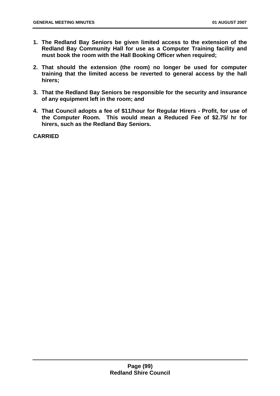- <span id="page-99-0"></span>**1. The Redland Bay Seniors be given limited access to the extension of the Redland Bay Community Hall for use as a Computer Training facility and must book the room with the Hall Booking Officer when required;**
- **2. That should the extension (the room) no longer be used for computer training that the limited access be reverted to general access by the hall hirers;**
- **3. That the Redland Bay Seniors be responsible for the security and insurance of any equipment left in the room; and**
- **4. That Council adopts a fee of \$11/hour for Regular Hirers Profit, for use of the Computer Room. This would mean a Reduced Fee of \$2.75/ hr for hirers, such as the Redland Bay Seniors.**

**CARRIED**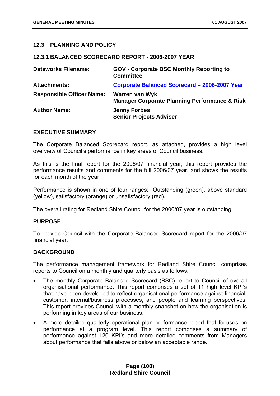### **12.3 PLANNING AND POLICY**

#### **12.3.1 BALANCED SCORECARD REPORT - 2006-2007 YEAR**

| <b>Dataworks Filename:</b>       | <b>GOV - Corporate BSC Monthly Reporting to</b><br><b>Committee</b>               |
|----------------------------------|-----------------------------------------------------------------------------------|
| <b>Attachments:</b>              | Corporate Balanced Scorecard - 2006-2007 Year                                     |
| <b>Responsible Officer Name:</b> | <b>Warren van Wyk</b><br><b>Manager Corporate Planning Performance &amp; Risk</b> |
| <b>Author Name:</b>              | <b>Jenny Forbes</b><br><b>Senior Projects Adviser</b>                             |

#### **EXECUTIVE SUMMARY**

The Corporate Balanced Scorecard report, as attached, provides a high level overview of Council's performance in key areas of Council business.

As this is the final report for the 2006/07 financial year, this report provides the performance results and comments for the full 2006/07 year, and shows the results for each month of the year.

Performance is shown in one of four ranges: Outstanding (green), above standard (yellow), satisfactory (orange) or unsatisfactory (red).

The overall rating for Redland Shire Council for the 2006/07 year is outstanding.

#### **PURPOSE**

To provide Council with the Corporate Balanced Scorecard report for the 2006/07 financial year.

#### **BACKGROUND**

The performance management framework for Redland Shire Council comprises reports to Council on a monthly and quarterly basis as follows:

- The monthly Corporate Balanced Scorecard (BSC) report to Council of overall organisational performance. This report comprises a set of 11 high level KPI's that have been developed to reflect organisational performance against financial, customer, internal/business processes, and people and learning perspectives. This report provides Council with a monthly snapshot on how the organisation is performing in key areas of our business.
- A more detailed quarterly operational plan performance report that focuses on performance at a program level. This report comprises a summary of performance against 120 KPI's and more detailed comments from Managers about performance that falls above or below an acceptable range.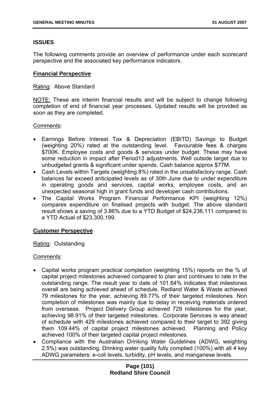# **ISSUES**

The following comments provide an overview of performance under each scorecard perspective and the associated key performance indicators.

### **Financial Perspective**

### Rating: Above Standard

NOTE: These are interim financial results and will be subject to change following completion of end of financial year processes. Updated results will be provided as soon as they are completed.

### Comments:

- Earnings Before Interest Tax & Depreciation (EBITD) Savings to Budget (weighting 20%) rated at the outstanding level. Favourable fees & charges \$700K. Employee costs and goods & services under budget. These may have some reduction in impact after Period13 adjustments. Well outside target due to unbudgeted grants & significant under spends. Cash balance approx \$77M.
- Cash Levels within Targets (weighting 8%) rated in the unsatisfactory range. Cash balances far exceed anticipated levels as of 30th June due to under expenditure in operating goods and services, capital works, employee costs, and an unexpected seasonal high in grant funds and developer cash contributions.
- The Capital Works Program Financial Performance KPI (weighting 12%) compares expenditure on finalised projects with budget. The above standard result shows a saving of 3.86% due to a YTD Budget of \$24,236,111 compared to a YTD Actual of \$23,300,199.

#### **Customer Perspective**

# Rating: Outstanding

# Comments:

- Capital works program practical completion (weighting 15%) reports on the % of capital project milestones achieved compared to plan and continues to rate in the outstanding range. The result year to date of 101.64% indicates that milestones overall are being achieved ahead of schedule. Redland Water & Waste achieved 79 milestones for the year, achieving 89.77% of their targeted milestones. Non completion of milestones was mainly due to delay in receiving materials ordered from overseas. Project Delivery Group achieved 729 milestones for the year, achieving 98.91% of their targeted milestones. Corporate Services is way ahead of schedule with 429 milestones achieved compared to their target to 392 giving them 109.44% of capital project milestones achieved. Planning and Policy achieved 100% of their targeted capital project milestones.
- Compliance with the Australian Drinking Water Guidelines (ADWG, weighting 2.5%) was outstanding. Drinking water quality fully complied (100%) with all 4 key ADWG parameters: e-coli levels, turbidity, pH levels, and manganese levels.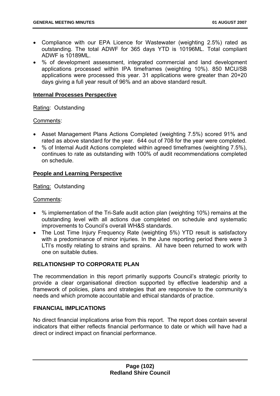- Compliance with our EPA Licence for Wastewater (weighting 2.5%) rated as outstanding. The total ADWF for 365 days YTD is 10196ML. Total compliant ADWF is 10189ML.
- % of development assessment, integrated commercial and land development applications processed within IPA timeframes (weighting 10%). 850 MCU/SB applications were processed this year. 31 applications were greater than 20+20 days giving a full year result of 96% and an above standard result.

### **Internal Processes Perspective**

Rating: Outstanding

### Comments:

- Asset Management Plans Actions Completed (weighting 7.5%) scored 91% and rated as above standard for the year. 644 out of 708 for the year were completed.
- % of Internal Audit Actions completed within agreed timeframes (weighting 7.5%), continues to rate as outstanding with 100% of audit recommendations completed on schedule.

### **People and Learning Perspective**

Rating: Outstanding

#### Comments:

- % implementation of the Tri-Safe audit action plan (weighting 10%) remains at the outstanding level with all actions due completed on schedule and systematic improvements to Council's overall WH&S standards.
- The Lost Time Injury Frequency Rate (weighting 5%) YTD result is satisfactory with a predominance of minor injuries. In the June reporting period there were 3 LTI's mostly relating to strains and sprains. All have been returned to work with one on suitable duties.

# **RELATIONSHIP TO CORPORATE PLAN**

The recommendation in this report primarily supports Council's strategic priority to provide a clear organisational direction supported by effective leadership and a framework of policies, plans and strategies that are responsive to the community's needs and which promote accountable and ethical standards of practice.

#### **FINANCIAL IMPLICATIONS**

No direct financial implications arise from this report. The report does contain several indicators that either reflects financial performance to date or which will have had a direct or indirect impact on financial performance.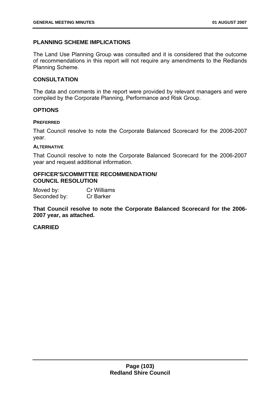### **PLANNING SCHEME IMPLICATIONS**

The Land Use Planning Group was consulted and it is considered that the outcome of recommendations in this report will not require any amendments to the Redlands Planning Scheme.

#### **CONSULTATION**

The data and comments in the report were provided by relevant managers and were compiled by the Corporate Planning, Performance and Risk Group.

#### **OPTIONS**

#### **PREFERRED**

That Council resolve to note the Corporate Balanced Scorecard for the 2006-2007 year.

#### **ALTERNATIVE**

That Council resolve to note the Corporate Balanced Scorecard for the 2006-2007 year and request additional information.

#### **OFFICER'S/COMMITTEE RECOMMENDATION/ COUNCIL RESOLUTION**

Moved by: Cr Williams Seconded by: Cr Barker

**That Council resolve to note the Corporate Balanced Scorecard for the 2006- 2007 year, as attached.** 

#### **CARRIED**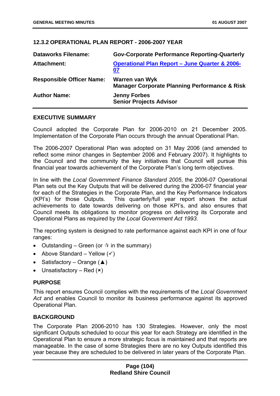# <span id="page-104-0"></span>**12.3.2 OPERATIONAL PLAN REPORT - 2006-2007 YEAR**

| <b>Dataworks Filename:</b>       | <b>Gov-Corporate Performance Reporting-Quarterly</b>                              |
|----------------------------------|-----------------------------------------------------------------------------------|
| Attachment:                      | <b>Operational Plan Report - June Quarter &amp; 2006-</b><br>07                   |
| <b>Responsible Officer Name:</b> | <b>Warren van Wyk</b><br><b>Manager Corporate Planning Performance &amp; Risk</b> |
| <b>Author Name:</b>              | <b>Jenny Forbes</b><br><b>Senior Projects Advisor</b>                             |

### **EXECUTIVE SUMMARY**

Council adopted the Corporate Plan for 2006-2010 on 21 December 2005. Implementation of the Corporate Plan occurs through the annual Operational Plan.

The 2006-2007 Operational Plan was adopted on 31 May 2006 (and amended to reflect some minor changes in September 2006 and February 2007). It highlights to the Council and the community the key initiatives that Council will pursue this financial year towards achievement of the Corporate Plan's long term objectives.

In line with the *Local Government Finance Standard 2005*, the 2006-07 Operational Plan sets out the Key Outputs that will be delivered during the 2006-07 financial year for each of the Strategies in the Corporate Plan, and the Key Performance Indicators (KPI's) for those Outputs. This quarterly/full year report shows the actual achievements to date towards delivering on those KPI's, and also ensures that Council meets its obligations to monitor progress on delivering its Corporate and Operational Plans as required by t*he Local Government Act 1993.* 

The reporting system is designed to rate performance against each KPI in one of four ranges:

- Outstanding Green (or  $\dot{\mathbf{x}}$  in the summary)
- Above Standard Yellow  $(v)$
- Satisfactory Orange  $(A)$
- Unsatisfactory Red  $(x)$

# **PURPOSE**

This report ensures Council complies with the requirements of the *Local Government Act* and enables Council to monitor its business performance against its approved Operational Plan.

# **BACKGROUND**

The Corporate Plan 2006-2010 has 130 Strategies. However, only the most significant Outputs scheduled to occur this year for each Strategy are identified in the Operational Plan to ensure a more strategic focus is maintained and that reports are manageable. In the case of some Strategies there are no key Outputs identified this year because they are scheduled to be delivered in later years of the Corporate Plan.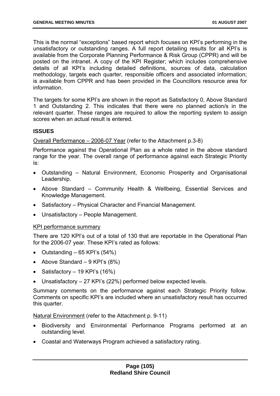This is the normal "exceptions" based report which focuses on KPI's performing in the unsatisfactory or outstanding ranges. A full report detailing results for all KPI's is available from the Corporate Planning Performance & Risk Group (CPPR) and will be posted on the intranet. A copy of the KPI Register; which includes comprehensive details of all KPI's including detailed definitions, sources of data, calculation methodology, targets each quarter, responsible officers and associated information; is available from CPPR and has been provided in the Councillors resource area for information.

The targets for some KPI's are shown in the report as Satisfactory 0, Above Standard 1 and Outstanding 2. This indicates that there were no planned action/s in the relevant quarter. These ranges are required to allow the reporting system to assign scores when an actual result is entered.

# **ISSUES**

Overall Performance – 2006-07 Year (refer to the Attachment p.3-8)

Performance against the Operational Plan as a whole rated in the above standard range for the year. The overall range of performance against each Strategic Priority is:

- Outstanding Natural Environment, Economic Prosperity and Organisational Leadership.
- Above Standard Community Health & Wellbeing, Essential Services and Knowledge Management.
- Satisfactory Physical Character and Financial Management.
- Unsatisfactory People Management.

#### [KPI performance summary](#page-5-0)

[There are 120 KPI's out of a total of 130 that are reportable in the Operational Plan](#page-5-0)  [for the 2006-07 year. These KPI's rated as follows:](#page-5-0) 

- Outstanding  $-65$  KPI's  $(54%)$
- Above Standard  $-9$  KPI's  $(8\%)$
- Satisfactory  $-19$  KPI's (16%)
- • [Unsatisfactory 27 KPI's \(22%\) performed below expected levels.](#page-6-0)

[Summary comments on the performance against each Strategic Priority follow.](#page-6-0)  [Comments on specific KPI's are included where an unsatisfactory result has occurred](#page-6-0)  [this quarter.](#page-6-0) 

[Natural Environment \(refer to the Attachment p. 9-11\)](#page-6-0) 

- • [Biodiversity and Environmental Performance Programs performed at an](#page-6-0)  [outstanding level.](#page-6-0)
- • [Coastal and Waterways Program achieved a satisfactory rating.](#page-6-0)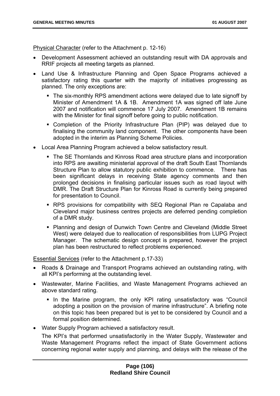[Physical Character \(refer to the Attachment p. 12-16\)](#page-6-0) 

- • [Development Assessment achieved an outstanding result with DA approvals and](#page-7-0)  [RRIF projects all meeting targets as planned.](#page-7-0)
- • [Land Use & Infrastructure Planning and Open Space Programs achieved a](#page-7-0)  [satisfactory rating this quarter with the majority of initiatives progressing as](#page-7-0)  [planned. The only exceptions are:](#page-7-0) 
	- The six-monthly RPS amendment actions were delayed due to late signoff by [Minister of Amendment 1A & 1B. Amendment 1A was signed off late June](#page-7-0)  [2007 and notification will commence 17 July 2007. Amendment 1B remains](#page-7-0)  [with the Minister for final signoff before going to public notification.](#page-7-0)
	- [Completion of the Priority Infrastructure Plan \(PIP\) was delayed due to](#page-8-0)  [finalising the community land component. The other components have been](#page-8-0)  [adopted in the interim as Planning Scheme Policies.](#page-8-0)
- • [Local Area Planning Program achieved a below satisfactory result.](#page-8-0) 
	- [The SE Thornlands and Kinross Road area structure plans and incorporation](#page-8-0)  [into RPS are awaiting ministerial approval of the draft South East Thornlands](#page-8-0)  [Structure Plan to allow statutory public exhibition to commence. There has](#page-8-0)  [been significant delays in receiving State agency comments and then](#page-8-0)  [prolonged decisions in finalising particular issues such as road layout with](#page-8-0)  [DMR. The Draft Structure Plan for Kinross Road is currently being prepared](#page-8-0)  [for presentation to Council.](#page-8-0)
	- [RPS provisions for compatibility with SEQ Regional Plan re Capalaba and](#page-8-0)  [Cleveland major business centres projects are deferred pending completion](#page-8-0)  [of a DMR study.](#page-8-0)
	- [Planning and design of Dunwich Town Centre and Cleveland \(Middle Street](#page-8-0)  [West\) were delayed due to reallocation of responsibilities from LUPG Project](#page-8-0)  [Manager. The schematic design concept is prepared, however the project](#page-8-0)  [plan has been restructured to reflect problems experienced.](#page-8-0)

[Essential Services \(refer to the Attachment p.17-33\)](#page-9-0) 

- • [Roads & Drainage and Transport Programs achieved an outstanding rating, with](#page-11-0)  [all KPI's performing at the outstanding level.](#page-11-0)
- • [Wastewater, Marine Facilities, and Waste Management Programs achieved an](#page-11-0)  [above standard rating.](#page-11-0) 
	- In the Marine program, the only KPI rating unsatisfactory was "Council" [adopting a position on the provision of marine infrastructure". A briefing note](#page-15-0)  [on this topic has been prepared but is yet to be considered by Council and a](#page-15-0)  [formal position determined.](#page-15-0)
- • [Water Supply Program achieved a satisfactory result.](#page-15-0)

[The KPI's that performed unsatisfactorily in the Water Supply, Wastewater and](#page-20-0)  [Waste Management Programs reflect the impact of State Government actions](#page-20-0)  [concerning regional water supply and planning, and delays with the release of the](#page-20-0)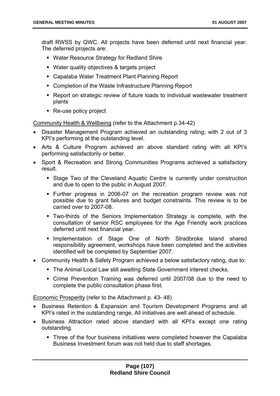[draft RWSS by QWC. All projects have been deferred until next financial year.](#page-20-0)  [The deferred projects are:](#page-20-0) 

- [Water Resource Strategy for Redland Shire](#page-38-0)
- [Water quality objectives & targets project](#page-42-0)
- [Capalaba Water Treatment Plant Planning Report](#page-48-0)
- Completion of the Waste Infrastructure Planning Report
- [Report on strategic review of future loads to individual wastewater treatment](#page-55-0)  [plants](#page-55-0)
- Re-use policy project

[Community Health & Wellbeing \(refer to the Attachment p.34-42\)](#page-68-0) 

- • [Disaster Management Program achieved an outstanding rating; with 2 out of 3](#page-69-0)  [KPI's performing at the outstanding level.](#page-69-0)
- • [Arts & Culture Program achieved an above standard rating with all KPI's](#page-69-0)  [performing satisfactorily or better.](#page-69-0)
- • [Sport & Recreation and Strong Communities Programs achieved a satisfactory](#page-72-0)  [result.](#page-72-0) 
	- [Stage Two of the Cleveland Aquatic Centre is currently under construction](#page-79-0)  [and due to open to the public in August 2007.](#page-79-0)
	- [Further progress in 2006-07 on the recreation program review was not](#page-87-0)  [possible due to grant failures and budget constraints. This review is to be](#page-87-0)  [carried over to 2007-08.](#page-87-0)
	- [Two-thirds of the Seniors Implementation Strategy is complete, with the](#page-88-0)  [consultation of senior RSC employees for the Age Friendly work practices](#page-88-0)  [deferred until next financial year.](#page-88-0)
	- **Implementation of Stage One of North Stradbroke Island shared** [responsibility agreement, workshops have been completed and the activities](#page-88-0)  [identified will be completed by September 2007.](#page-88-0)
- • [Community Health & Safety Program achieved a below satisfactory rating, due to:](#page-92-0) 
	- [The Animal Local Law still awaiting State Government interest checks.](#page-92-0)
	- [Crime Prevention Training was deferred until 2007/08 due to the need to](#page-95-0)  [complete the public consultation phase first.](#page-95-0)

[Economic Prosperity \(refer to the Attachment p. 43- 48\)](#page-99-0) 

- • [Business Retention & Expansion and Tourism Development Programs and all](#page-104-0)  [KPI's rated in the outstanding range. All initiatives are well ahead of schedule.](#page-104-0)
- • [Business Attraction rated above standard with all KPI's except one rating](#page-104-0)  [outstanding.](#page-104-0) 
	- Three of the four business initiatives were completed however the Capalaba [Business Investment forum was not held due to staff shortages.](#page-108-0)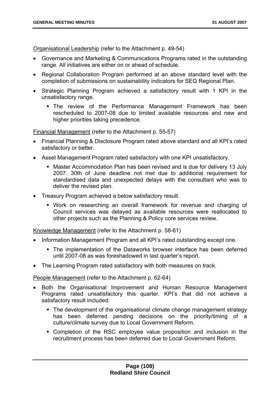Organisational Leadership (refer to the Attachment p. 49-54)

- Governance and Marketing & Communications Programs rated in the outstanding range. All initiatives are either on or ahead of schedule.
- Regional Collaboration Program performed at an above standard level with the completion of submissions on sustainability indicators for SEQ Regional Plan.
- Strategic Planning Program achieved a satisfactory result with 1 KPI in the unsatisfactory range.
	- The review of the Performance Management Framework has been rescheduled to 2007-08 due to limited available resources and new and higher priorities taking precedence.

Financial Management (refer to the Attachment p. 55-57)

- Financial Planning & Disclosure Program rated above standard and all KPI's rated satisfactory or better.
- Asset Management Program rated satisfactory with one KPI unsatisfactory.
	- Master Accommodation Plan has been revised and is due for delivery 13 July 2007. 30th of June deadline not met due to additional requirement for standardised data and unexpected delays with the consultant who was to deliver the revised plan.
- Treasury Program achieved a below satisfactory result.
	- Work on researching an overall framework for revenue and charging of Council services was delayed as available resources were reallocated to other projects such as the Planning & Policy core services review.

Knowledge Management (refer to the Attachment p. 58-61)

- Information Management Program and all KPI's rated outstanding except one.
	- The implementation of the Dataworks browser interface has been deferred until 2007-08 as was foreshadowed in last quarter's report.
- The Learning Program rated satisfactory with both measures on track.

People Management (refer to the Attachment p. 62-64)

- Both the Organisational Improvement and Human Resource Management Programs rated unsatisfactory this quarter. KPI's that did not achieve a satisfactory result included:
	- The development of the organisational climate change management strategy has been deferred pending decisions on the priority/timing of a culture/climate survey due to Local Government Reform.
	- Completion of the RSC employee value proposition and inclusion in the recruitment process has been deferred due to Local Government Reform.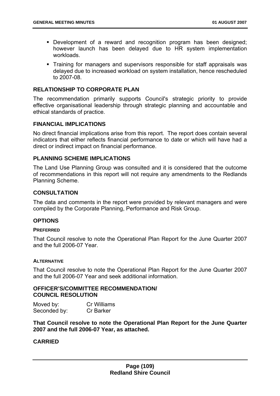- **Development of a reward and recognition program has been designed;** however launch has been delayed due to HR system implementation workloads.
- Training for managers and supervisors responsible for staff appraisals was delayed due to increased workload on system installation, hence rescheduled to 2007-08.

## **RELATIONSHIP TO CORPORATE PLAN**

The recommendation primarily supports Council's strategic priority to provide effective organisational leadership through strategic planning and accountable and ethical standards of practice.

### **FINANCIAL IMPLICATIONS**

No direct financial implications arise from this report. The report does contain several indicators that either reflects financial performance to date or which will have had a direct or indirect impact on financial performance.

### **PLANNING SCHEME IMPLICATIONS**

The Land Use Planning Group was consulted and it is considered that the outcome of recommendations in this report will not require any amendments to the Redlands Planning Scheme.

## **CONSULTATION**

The data and comments in the report were provided by relevant managers and were compiled by the Corporate Planning, Performance and Risk Group.

### **OPTIONS**

#### **PREFERRED**

That Council resolve to note the Operational Plan Report for the June Quarter 2007 and the full 2006-07 Year.

#### **ALTERNATIVE**

That Council resolve to note the Operational Plan Report for the June Quarter 2007 and the full 2006-07 Year and seek additional information.

### **OFFICER'S/COMMITTEE RECOMMENDATION/ COUNCIL RESOLUTION**

| Moved by:    | Cr Williams      |
|--------------|------------------|
| Seconded by: | <b>Cr Barker</b> |

**That Council resolve to note the Operational Plan Report for the June Quarter 2007 and the full 2006-07 Year, as attached.** 

### **CARRIED**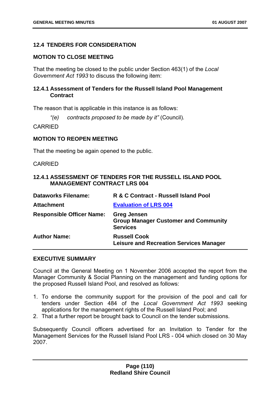# **12.4 TENDERS FOR CONSIDERATION**

### **MOTION TO CLOSE MEETING**

That the meeting be closed to the public under Section 463(1) of the *Local Government Act 1993* to discuss the following item:

# **12.4.1 Assessment of Tenders for the Russell Island Pool Management Contract**

The reason that is applicable in this instance is as follows:

*"(e) contracts proposed to be made by it"* (Council)*.* 

CARRIED

### **MOTION TO REOPEN MEETING**

That the meeting be again opened to the public.

#### CARRIED

## **12.4.1 ASSESSMENT OF TENDERS FOR THE RUSSELL ISLAND POOL MANAGEMENT CONTRACT LRS 004**

| <b>Dataworks Filename:</b>       | R & C Contract - Russell Island Pool                                                 |
|----------------------------------|--------------------------------------------------------------------------------------|
| <b>Attachment</b>                | <b>Evaluation of LRS 004</b>                                                         |
| <b>Responsible Officer Name:</b> | <b>Greg Jensen</b><br><b>Group Manager Customer and Community</b><br><b>Services</b> |
| <b>Author Name:</b>              | <b>Russell Cook</b><br><b>Leisure and Recreation Services Manager</b>                |

### **EXECUTIVE SUMMARY**

Council at the General Meeting on 1 November 2006 accepted the report from the Manager Community & Social Planning on the management and funding options for the proposed Russell Island Pool, and resolved as follows:

- 1. To endorse the community support for the provision of the pool and call for tenders under Section 484 of the *Local Government Act 1993* seeking applications for the management rights of the Russell Island Pool; and
- 2. That a further report be brought back to Council on the tender submissions.

Subsequently Council officers advertised for an Invitation to Tender for the Management Services for the Russell Island Pool LRS - 004 which closed on 30 May 2007.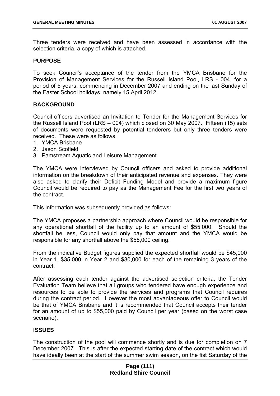Three tenders were received and have been assessed in accordance with the selection criteria, a copy of which is attached.

## **PURPOSE**

To seek Council's acceptance of the tender from the YMCA Brisbane for the Provision of Management Services for the Russell Island Pool, LRS - 004, for a period of 5 years, commencing in December 2007 and ending on the last Sunday of the Easter School holidays, namely 15 April 2012.

# **BACKGROUND**

Council officers advertised an Invitation to Tender for the Management Services for the Russell Island Pool (LRS – 004) which closed on 30 May 2007. Fifteen (15) sets of documents were requested by potential tenderers but only three tenders were received. These were as follows:

- 1. YMCA Brisbane
- 2. Jason Scofield
- 3. Pamstream Aquatic and Leisure Management.

The YMCA were interviewed by Council officers and asked to provide additional information on the breakdown of their anticipated revenue and expenses. They were also asked to clarify their Deficit Funding Model and provide a maximum figure Council would be required to pay as the Management Fee for the first two years of the contract.

This information was subsequently provided as follows:

The YMCA proposes a partnership approach where Council would be responsible for any operational shortfall of the facility up to an amount of \$55,000. Should the shortfall be less, Council would only pay that amount and the YMCA would be responsible for any shortfall above the \$55,000 ceiling.

From the indicative Budget figures supplied the expected shortfall would be \$45,000 in Year 1, \$35,000 in Year 2 and \$30,000 for each of the remaining 3 years of the contract.

After assessing each tender against the advertised selection criteria, the Tender Evaluation Team believe that all groups who tendered have enough experience and resources to be able to provide the services and programs that Council requires during the contract period. However the most advantageous offer to Council would be that of YMCA Brisbane and it is recommended that Council accepts their tender for an amount of up to \$55,000 paid by Council per year (based on the worst case scenario).

# **ISSUES**

The construction of the pool will commence shortly and is due for completion on 7 December 2007. This is after the expected starting date of the contract which would have ideally been at the start of the summer swim season, on the fist Saturday of the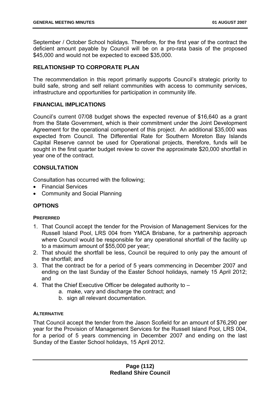September / October School holidays. Therefore, for the first year of the contract the deficient amount payable by Council will be on a pro-rata basis of the proposed \$45,000 and would not be expected to exceed \$35,000.

# **RELATIONSHIP TO CORPORATE PLAN**

The recommendation in this report primarily supports Council's strategic priority to build safe, strong and self reliant communities with access to community services, infrastructure and opportunities for participation in community life.

## **FINANCIAL IMPLICATIONS**

Council's current 07/08 budget shows the expected revenue of \$16,640 as a grant from the State Government, which is their commitment under the Joint Development Agreement for the operational component of this project. An additional \$35,000 was expected from Council. The Differential Rate for Southern Moreton Bay Islands Capital Reserve cannot be used for Operational projects, therefore, funds will be sought in the first quarter budget review to cover the approximate \$20,000 shortfall in year one of the contract.

# **CONSULTATION**

Consultation has occurred with the following;

- Financial Services
- Community and Social Planning

# **OPTIONS**

### **PREFERRED**

- 1. That Council accept the tender for the Provision of Management Services for the Russell Island Pool, LRS 004 from YMCA Brisbane, for a partnership approach where Council would be responsible for any operational shortfall of the facility up to a maximum amount of \$55,000 per year;
- 2. That should the shortfall be less, Council be required to only pay the amount of the shortfall; and
- 3. That the contract be for a period of 5 years commencing in December 2007 and ending on the last Sunday of the Easter School holidays, namely 15 April 2012; and
- 4. That the Chief Executive Officer be delegated authority to
	- a. make, vary and discharge the contract; and
	- b. sign all relevant documentation.

#### **ALTERNATIVE**

That Council accept the tender from the Jason Scofield for an amount of \$76,290 per year for the Provision of Management Services for the Russell Island Pool, LRS 004, for a period of 5 years commencing in December 2007 and ending on the last Sunday of the Easter School holidays, 15 April 2012.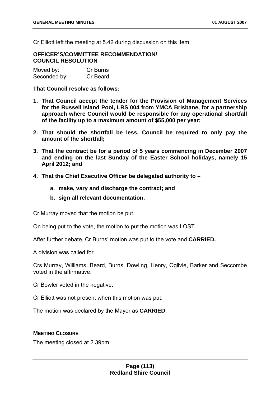Cr Elliott left the meeting at 5.42 during discussion on this item.

### **OFFICER'S/COMMITTEE RECOMMENDATION/ COUNCIL RESOLUTION**

| Moved by:    | Cr Burns |
|--------------|----------|
| Seconded by: | Cr Beard |

**That Council resolve as follows:** 

- **1. That Council accept the tender for the Provision of Management Services for the Russell Island Pool, LRS 004 from YMCA Brisbane, for a partnership approach where Council would be responsible for any operational shortfall of the facility up to a maximum amount of \$55,000 per year;**
- **2. That should the shortfall be less, Council be required to only pay the amount of the shortfall;**
- **3. That the contract be for a period of 5 years commencing in December 2007 and ending on the last Sunday of the Easter School holidays, namely 15 April 2012; and**
- **4. That the Chief Executive Officer be delegated authority to** 
	- **a. make, vary and discharge the contract; and**
	- **b. sign all relevant documentation.**

Cr Murray moved that the motion be put.

On being put to the vote, the motion to put the motion was LOST.

After further debate, Cr Burns' motion was put to the vote and **CARRIED.**

A division was called for.

Crs Murray, Williams, Beard, Burns, Dowling, Henry, Ogilvie, Barker and Seccombe voted in the affirmative.

Cr Bowler voted in the negative.

Cr Elliott was not present when this motion was put.

The motion was declared by the Mayor as **CARRIED**.

## **MEETING CLOSURE**

The meeting closed at 2.39pm.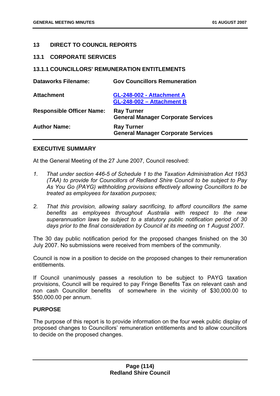# **13 DIRECT TO COUNCIL REPORTS**

### **13.1 CORPORATE SERVICES**

## **13.1.1 COUNCILLORS' REMUNERATION ENTITLEMENTS**

| <b>Dataworks Filename:</b>       | <b>Gov Councillors Remuneration</b>                            |
|----------------------------------|----------------------------------------------------------------|
| <b>Attachment</b>                | GL-248-002 - Attachment A<br>GL-248-002 - Attachment B         |
| <b>Responsible Officer Name:</b> | <b>Ray Turner</b><br><b>General Manager Corporate Services</b> |
| <b>Author Name:</b>              | <b>Ray Turner</b><br><b>General Manager Corporate Services</b> |

### **EXECUTIVE SUMMARY**

At the General Meeting of the 27 June 2007, Council resolved:

- *1. That under section 446-5 of Schedule 1 to the Taxation Administration Act 1953 (TAA) to provide for Councillors of Redland Shire Council to be subject to Pay As You Go (PAYG) withholding provisions effectively allowing Councillors to be treated as employees for taxation purposes;*
- *2. That this provision, allowing salary sacrificing, to afford councillors the same benefits as employees throughout Australia with respect to the new superannuation laws be subject to a statutory public notification period of 30 days prior to the final consideration by Council at its meeting on 1 August 2007.*

The 30 day public notification period for the proposed changes finished on the 30 July 2007. No submissions were received from members of the community.

Council is now in a position to decide on the proposed changes to their remuneration entitlements.

If Council unanimously passes a resolution to be subject to PAYG taxation provisions, Council will be required to pay Fringe Benefits Tax on relevant cash and non cash Councillor benefits of somewhere in the vicinity of \$30,000.00 to \$50,000.00 per annum.

### **PURPOSE**

The purpose of this report is to provide information on the four week public display of proposed changes to Councillors' remuneration entitlements and to allow councillors to decide on the proposed changes.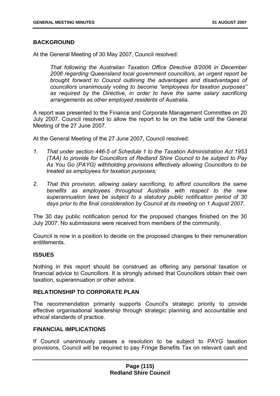## **BACKGROUND**

At the General Meeting of 30 May 2007, Council resolved:

*That following the Australian Taxation Office Directive 8/2006 in December 2006 regarding Queensland local government councillors, an urgent report be brought forward to Council outlining the advantages and disadvantages of councillors unanimously voting to become "employees for taxation purposes" as required by the Directive, in order to have the same salary sacrificing arrangements as other employed residents of Australia.* 

A report was presented to the Finance and Corporate Management Committee on 20 July 2007. Council resolved to allow the report to lie on the table until the General Meeting of the 27 June 2007.

At the General Meeting of the 27 June 2007, Council resolved:

- *1. That under section 446-5 of Schedule 1 to the Taxation Administration Act 1953 (TAA) to provide for Councillors of Redland Shire Council to be subject to Pay As You Go (PAYG) withholding provisions effectively allowing Councillors to be treated as employees for taxation purposes;*
- *2. That this provision, allowing salary sacrificing, to afford councillors the same benefits as employees throughout Australia with respect to the new superannuation laws be subject to a statutory public notification period of 30 days prior to the final consideration by Council at its meeting on 1 August 2007.*

The 30 day public notification period for the proposed changes finished on the 30 July 2007. No submissions were received from members of the community.

Council is now in a position to decide on the proposed changes to their remuneration entitlements.

## **ISSUES**

Nothing in this report should be construed as offering any personal taxation or financial advice to Councillors. It is strongly advised that Councillors obtain their own taxation, superannuation or other advice.

## **RELATIONSHIP TO CORPORATE PLAN**

The recommendation primarily supports Council's strategic priority to provide effective organisational leadership through strategic planning and accountable and ethical standards of practice.

#### **FINANCIAL IMPLICATIONS**

If Council unanimously passes a resolution to be subject to PAYG taxation provisions, Council will be required to pay Fringe Benefits Tax on relevant cash and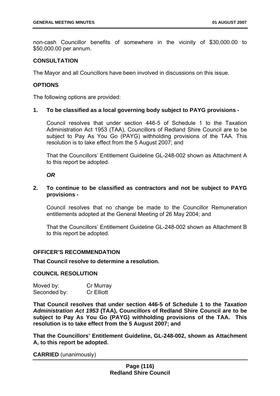non-cash Councillor benefits of somewhere in the vicinity of \$30,000.00 to \$50,000.00 per annum.

## **CONSULTATION**

The Mayor and all Councillors have been involved in discussions on this issue.

### **OPTIONS**

The following options are provided:

### **1. To be classified as a local governing body subject to PAYG provisions -**

Council resolves that under section 446-5 of Schedule 1 to the Taxation Administration Act 1953 (TAA), Councillors of Redland Shire Council are to be subject to Pay As You Go (PAYG) withholding provisions of the TAA. This resolution is to take effect from the 5 August 2007; and

That the Councillors' Entitlement Guideline GL-248-002 shown as Attachment A to this report be adopted.

#### *OR*

## **2. To continue to be classified as contractors and not be subject to PAYG provisions -**

Council resolves that no change be made to the Councillor Remuneration entitlements adopted at the General Meeting of 26 May 2004; and

That the Councillors' Entitlement Guideline GL-248-002 shown as Attachment B to this report be adopted.

### **OFFICER'S RECOMMENDATION**

#### **That Council resolve to determine a resolution.**

#### **COUNCIL RESOLUTION**

| Moved by:    | Cr Murray         |
|--------------|-------------------|
| Seconded by: | <b>Cr</b> Elliott |

**That Council resolves that under section 446-5 of Schedule 1 to the** *Taxation Administration Act 1953* **(TAA), Councillors of Redland Shire Council are to be subject to Pay As You Go (PAYG) withholding provisions of the TAA. This resolution is to take effect from the 5 August 2007; and** 

**That the Councillors' Entitlement Guideline, GL-248-002, shown as Attachment A, to this report be adopted.** 

**CARRIED** (unanimously)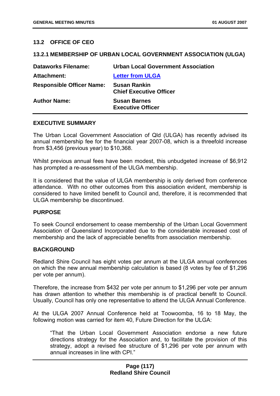# **13.2 OFFICE OF CEO**

### **13.2.1 MEMBERSHIP OF URBAN LOCAL GOVERNMENT ASSOCIATION (ULGA)**

| <b>Dataworks Filename:</b>       | <b>Urban Local Government Association</b>             |
|----------------------------------|-------------------------------------------------------|
| Attachment:                      | <b>Letter from ULGA</b>                               |
| <b>Responsible Officer Name:</b> | <b>Susan Rankin</b><br><b>Chief Executive Officer</b> |
| <b>Author Name:</b>              | <b>Susan Barnes</b><br><b>Executive Officer</b>       |

#### **EXECUTIVE SUMMARY**

The Urban Local Government Association of Qld (ULGA) has recently advised its annual membership fee for the financial year 2007-08, which is a threefold increase from \$3,456 (previous year) to \$10,368.

Whilst previous annual fees have been modest, this unbudgeted increase of \$6,912 has prompted a re-assessment of the ULGA membership.

It is considered that the value of ULGA membership is only derived from conference attendance. With no other outcomes from this association evident, membership is considered to have limited benefit to Council and, therefore, it is recommended that ULGA membership be discontinued.

### **PURPOSE**

To seek Council endorsement to cease membership of the Urban Local Government Association of Queensland Incorporated due to the considerable increased cost of membership and the lack of appreciable benefits from association membership.

### **BACKGROUND**

Redland Shire Council has eight votes per annum at the ULGA annual conferences on which the new annual membership calculation is based (8 votes by fee of \$1,296 per vote per annum).

Therefore, the increase from \$432 per vote per annum to \$1,296 per vote per annum has drawn attention to whether this membership is of practical benefit to Council. Usually, Council has only one representative to attend the ULGA Annual Conference.

At the ULGA 2007 Annual Conference held at Toowoomba, 16 to 18 May, the following motion was carried for item 40, Future Direction for the ULGA:

"That the Urban Local Government Association endorse a new future directions strategy for the Association and, to facilitate the provision of this strategy, adopt a revised fee structure of \$1,296 per vote per annum with annual increases in line with CPI."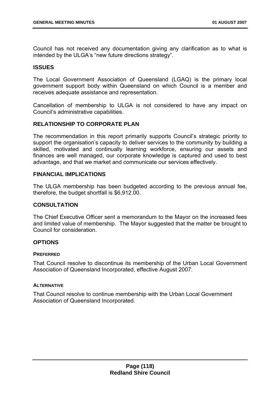Council has not received any documentation giving any clarification as to what is intended by the ULGA's "new future directions strategy".

## **ISSUES**

The Local Government Association of Queensland (LGAQ) is the primary local government support body within Queensland on which Council is a member and receives adequate assistance and representation.

Cancellation of membership to ULGA is not considered to have any impact on Council's administrative capabilities.

## **RELATIONSHIP TO CORPORATE PLAN**

The recommendation in this report primarily supports Council's strategic priority to support the organisation's capacity to deliver services to the community by building a skilled, motivated and continually learning workforce, ensuring our assets and finances are well managed, our corporate knowledge is captured and used to best advantage, and that we market and communicate our services effectively.

## **FINANCIAL IMPLICATIONS**

The ULGA membership has been budgeted according to the previous annual fee, therefore, the budget shortfall is \$6,912.00.

# **CONSULTATION**

The Chief Executive Officer sent a memorandum to the Mayor on the increased fees and limited value of membership. The Mayor suggested that the matter be brought to Council for consideration.

### **OPTIONS**

### **PREFERRED**

That Council resolve to discontinue its membership of the Urban Local Government Association of Queensland Incorporated, effective August 2007.

### **ALTERNATIVE**

That Council resolve to continue membership with the Urban Local Government Association of Queensland Incorporated.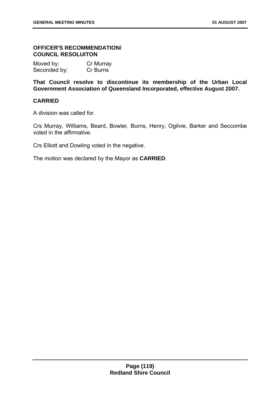# **OFFICER'S RECOMMENDATION/ COUNCIL RESOLUITON**

| Moved by:    | Cr Murray |
|--------------|-----------|
| Seconded by; | Cr Burns  |

**That Council resolve to discontinue its membership of the Urban Local Government Association of Queensland Incorporated, effective August 2007.** 

# **CARRIED**

A division was called for.

Crs Murray, Williams, Beard, Bowler, Burns, Henry, Ogilvie, Barker and Seccombe voted in the affirmative.

Crs Elliott and Dowling voted in the negative.

The motion was declared by the Mayor as **CARRIED**.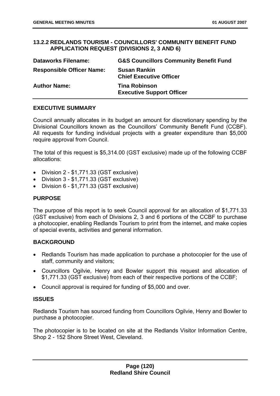## **13.2.2 REDLANDS TOURISM - COUNCILLORS' COMMUNITY BENEFIT FUND APPLICATION REQUEST (DIVISIONS 2, 3 AND 6)**

| <b>Dataworks Filename:</b>       | <b>G&amp;S Councillors Community Benefit Fund</b>        |
|----------------------------------|----------------------------------------------------------|
| <b>Responsible Officer Name:</b> | <b>Susan Rankin</b><br><b>Chief Executive Officer</b>    |
| <b>Author Name:</b>              | <b>Tina Robinson</b><br><b>Executive Support Officer</b> |

## **EXECUTIVE SUMMARY**

Council annually allocates in its budget an amount for discretionary spending by the Divisional Councillors known as the Councillors' Community Benefit Fund (CCBF). All requests for funding individual projects with a greater expenditure than \$5,000 require approval from Council.

The total of this request is \$5,314.00 (GST exclusive) made up of the following CCBF allocations:

- Division 2 \$1,771.33 (GST exclusive)
- Division 3 \$1,771.33 (GST exclusive)
- Division 6 \$1,771.33 (GST exclusive)

## **PURPOSE**

The purpose of this report is to seek Council approval for an allocation of \$1,771.33 (GST exclusive) from each of Divisions 2, 3 and 6 portions of the CCBF to purchase a photocopier, enabling Redlands Tourism to print from the internet, and make copies of special events, activities and general information.

### **BACKGROUND**

- Redlands Tourism has made application to purchase a photocopier for the use of staff, community and visitors;
- Councillors Ogilvie, Henry and Bowler support this request and allocation of \$1,771.33 (GST exclusive) from each of their respective portions of the CCBF;
- Council approval is required for funding of \$5,000 and over.

### **ISSUES**

Redlands Tourism has sourced funding from Councillors Ogilvie, Henry and Bowler to purchase a photocopier.

The photocopier is to be located on site at the Redlands Visitor Information Centre, Shop 2 - 152 Shore Street West, Cleveland.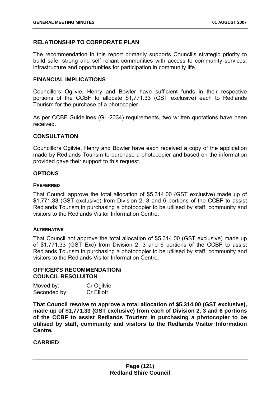## **RELATIONSHIP TO CORPORATE PLAN**

The recommendation in this report primarily supports Council's strategic priority to build safe, strong and self reliant communities with access to community services, infrastructure and opportunities for participation in community life.

#### **FINANCIAL IMPLICATIONS**

Councillors Ogilvie, Henry and Bowler have sufficient funds in their respective portions of the CCBF to allocate \$1,771.33 (GST exclusive) each to Redlands Tourism for the purchase of a photocopier.

As per CCBF Guidelines (GL-2034) requirements, two written quotations have been received.

#### **CONSULTATION**

Councillors Ogilvie, Henry and Bowler have each received a copy of the application made by Redlands Tourism to purchase a photocopier and based on the information provided gave their support to this request.

#### **OPTIONS**

#### **PREFERRED**

That Council approve the total allocation of \$5,314.00 (GST exclusive) made up of \$1,771.33 (GST exclusive) from Division 2, 3 and 6 portions of the CCBF to assist Redlands Tourism in purchasing a photocopier to be utilised by staff, community and visitors to the Redlands Visitor Information Centre.

### **AI TERNATIVE**

That Council not approve the total allocation of \$5,314.00 (GST exclusive) made up of \$1,771.33 (GST Exc) from Division 2, 3 and 6 portions of the CCBF to assist Redlands Tourism in purchasing a photocopier to be utilised by staff, community and visitors to the Redlands Visitor Information Centre.

# **OFFICER'S RECOMMENDATION/ COUNCIL RESOLUITON**

| Moved by:    | Cr Ogilvie        |
|--------------|-------------------|
| Seconded by; | <b>Cr</b> Elliott |

**That Council resolve to approve a total allocation of \$5,314.00 (GST exclusive), made up of \$1,771.33 (GST exclusive) from each of Division 2, 3 and 6 portions of the CCBF to assist Redlands Tourism in purchasing a photocopier to be utilised by staff, community and visitors to the Redlands Visitor Information Centre.** 

### **CARRIED**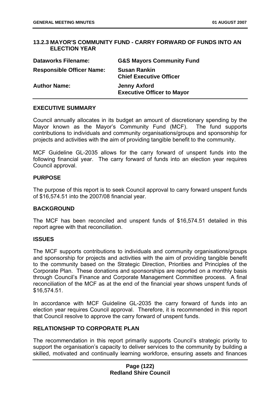## **13.2.3 MAYOR'S COMMUNITY FUND - CARRY FORWARD OF FUNDS INTO AN ELECTION YEAR**

| <b>Dataworks Filename:</b>       | <b>G&amp;S Mayors Community Fund</b>                     |
|----------------------------------|----------------------------------------------------------|
| <b>Responsible Officer Name:</b> | <b>Susan Rankin</b><br><b>Chief Executive Officer</b>    |
| <b>Author Name:</b>              | <b>Jenny Axford</b><br><b>Executive Officer to Mayor</b> |

### **EXECUTIVE SUMMARY**

Council annually allocates in its budget an amount of discretionary spending by the Mayor known as the Mayor's Community Fund (MCF). The fund supports contributions to individuals and community organisations/groups and sponsorship for projects and activities with the aim of providing tangible benefit to the community.

MCF Guideline GL-2035 allows for the carry forward of unspent funds into the following financial year. The carry forward of funds into an election year requires Council approval.

## **PURPOSE**

The purpose of this report is to seek Council approval to carry forward unspent funds of \$16,574.51 into the 2007/08 financial year.

### **BACKGROUND**

The MCF has been reconciled and unspent funds of \$16,574.51 detailed in this report agree with that reconciliation.

### **ISSUES**

The MCF supports contributions to individuals and community organisations/groups and sponsorship for projects and activities with the aim of providing tangible benefit to the community based on the Strategic Direction, Priorities and Principles of the Corporate Plan. These donations and sponsorships are reported on a monthly basis through Council's Finance and Corporate Management Committee process. A final reconciliation of the MCF as at the end of the financial year shows unspent funds of \$16,574.51.

In accordance with MCF Guideline GL-2035 the carry forward of funds into an election year requires Council approval. Therefore, it is recommended in this report that Council resolve to approve the carry forward of unspent funds.

## **RELATIONSHIP TO CORPORATE PLAN**

The recommendation in this report primarily supports Council's strategic priority to support the organisation's capacity to deliver services to the community by building a skilled, motivated and continually learning workforce, ensuring assets and finances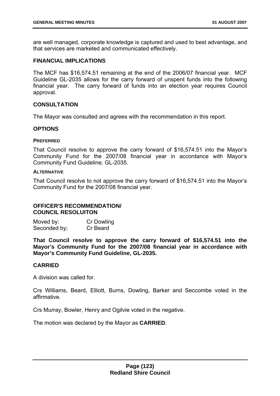are well managed, corporate knowledge is captured and used to best advantage, and that services are marketed and communicated effectively.

### **FINANCIAL IMPLICATIONS**

The MCF has \$16,574.51 remaining at the end of the 2006/07 financial year. MCF Guideline GL-2035 allows for the carry forward of unspent funds into the following financial year. The carry forward of funds into an election year requires Council approval.

## **CONSULTATION**

The Mayor was consulted and agrees with the recommendation in this report.

## **OPTIONS**

#### **PREFERRED**

That Council resolve to approve the carry forward of \$16,574.51 into the Mayor's Community Fund for the 2007/08 financial year in accordance with Mayor's Community Fund Guideline, GL-2035.

#### **ALTERNATIVE**

That Council resolve to not approve the carry forward of \$16,574.51 into the Mayor's Community Fund for the 2007/08 financial year.

### **OFFICER'S RECOMMENDATION/ COUNCIL RESOLUITON**

| Moved by:    | <b>Cr Dowling</b> |
|--------------|-------------------|
| Seconded by; | Cr Beard          |

**That Council resolve to approve the carry forward of \$16,574.51 into the Mayor's Community Fund for the 2007/08 financial year in accordance with Mayor's Community Fund Guideline, GL-2035.** 

### **CARRIED**

A division was called for.

Crs Williams, Beard, Elliott, Burns, Dowling, Barker and Seccombe voted in the affirmative.

Crs Murray, Bowler, Henry and Ogilvie voted in the negative.

The motion was declared by the Mayor as **CARRIED**.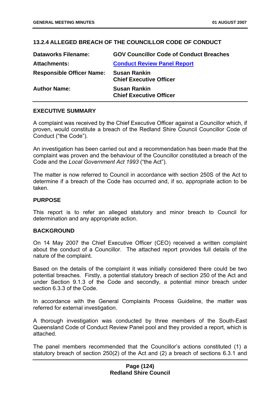# **13.2.4 ALLEGED BREACH OF THE COUNCILLOR CODE OF CONDUCT**

| <b>Dataworks Filename:</b>       | <b>GOV Councillor Code of Conduct Breaches</b>        |
|----------------------------------|-------------------------------------------------------|
| <b>Attachments:</b>              | <b>Conduct Review Panel Report</b>                    |
| <b>Responsible Officer Name:</b> | <b>Susan Rankin</b><br><b>Chief Executive Officer</b> |
| <b>Author Name:</b>              | <b>Susan Rankin</b><br><b>Chief Executive Officer</b> |

## **EXECUTIVE SUMMARY**

A complaint was received by the Chief Executive Officer against a Councillor which, if proven, would constitute a breach of the Redland Shire Council Councillor Code of Conduct ("the Code").

An investigation has been carried out and a recommendation has been made that the complaint was proven and the behaviour of the Councillor constituted a breach of the Code and the *Local Government Act 1993* ("the Act").

The matter is now referred to Council in accordance with section 250S of the Act to determine if a breach of the Code has occurred and, if so, appropriate action to be taken.

### **PURPOSE**

This report is to refer an alleged statutory and minor breach to Council for determination and any appropriate action.

### **BACKGROUND**

On 14 May 2007 the Chief Executive Officer (CEO) received a written complaint about the conduct of a Councillor. The attached report provides full details of the nature of the complaint.

Based on the details of the complaint it was initially considered there could be two potential breaches. Firstly, a potential statutory breach of section 250 of the Act and under Section 9.1.3 of the Code and secondly, a potential minor breach under section 6.3.3 of the Code.

In accordance with the General Complaints Process Guideline, the matter was referred for external investigation.

A thorough investigation was conducted by three members of the South-East Queensland Code of Conduct Review Panel pool and they provided a report, which is attached.

The panel members recommended that the Councillor's actions constituted (1) a statutory breach of section 250(2) of the Act and (2) a breach of sections 6.3.1 and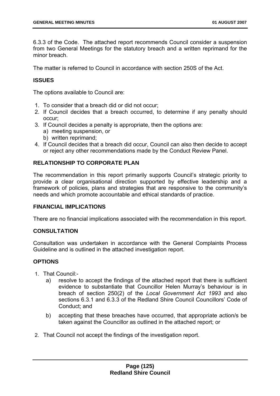6.3.3 of the Code. The attached report recommends Council consider a suspension from two General Meetings for the statutory breach and a written reprimand for the minor breach

The matter is referred to Council in accordance with section 250S of the Act.

# **ISSUES**

The options available to Council are:

- 1. To consider that a breach did or did not occur;
- 2. If Council decides that a breach occurred, to determine if any penalty should occur;
- 3. If Council decides a penalty is appropriate, then the options are:
	- a) meeting suspension, or
	- b) written reprimand;
- 4. If Council decides that a breach did occur, Council can also then decide to accept or reject any other recommendations made by the Conduct Review Panel.

# **RELATIONSHIP TO CORPORATE PLAN**

The recommendation in this report primarily supports Council's strategic priority to provide a clear organisational direction supported by effective leadership and a framework of policies, plans and strategies that are responsive to the community's needs and which promote accountable and ethical standards of practice.

### **FINANCIAL IMPLICATIONS**

There are no financial implications associated with the recommendation in this report.

### **CONSULTATION**

Consultation was undertaken in accordance with the General Complaints Process Guideline and is outlined in the attached investigation report.

# **OPTIONS**

- 1. That Council:
	- a) resolve to accept the findings of the attached report that there is sufficient evidence to substantiate that Councillor Helen Murray's behaviour is in breach of section 250(2) of the *Local Government Act 1993* and also sections 6.3.1 and 6.3.3 of the Redland Shire Council Councillors' Code of Conduct; and
	- b) accepting that these breaches have occurred, that appropriate action/s be taken against the Councillor as outlined in the attached report; or
- 2. That Council not accept the findings of the investigation report.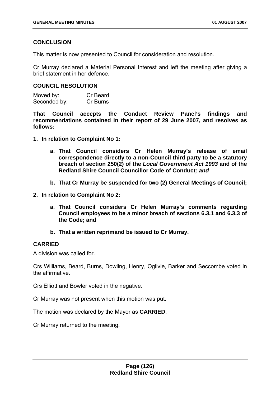# **CONCLUSION**

This matter is now presented to Council for consideration and resolution.

Cr Murray declared a Material Personal Interest and left the meeting after giving a brief statement in her defence.

## **COUNCIL RESOLUTION**

Moved by: Cr Beard Seconded by: Cr Burns

**That Council accepts the Conduct Review Panel's findings and recommendations contained in their report of 29 June 2007, and resolves as follows:** 

- **1. In relation to Complaint No 1:** 
	- **a. That Council considers Cr Helen Murray's release of email correspondence directly to a non-Council third party to be a statutory breach of section 250(2) of the** *Local Government Act 1993* **and of the Redland Shire Council Councillor Code of Conduct***; and*
	- **b. That Cr Murray be suspended for two (2) General Meetings of Council;**
- **2. In relation to Complaint No 2:** 
	- **a. That Council considers Cr Helen Murray's comments regarding Council employees to be a minor breach of sections 6.3.1 and 6.3.3 of the Code; and**
	- **b. That a written reprimand be issued to Cr Murray.**

### **CARRIED**

A division was called for.

Crs Williams, Beard, Burns, Dowling, Henry, Ogilvie, Barker and Seccombe voted in the affirmative.

Crs Elliott and Bowler voted in the negative.

Cr Murray was not present when this motion was put.

The motion was declared by the Mayor as **CARRIED**.

Cr Murray returned to the meeting.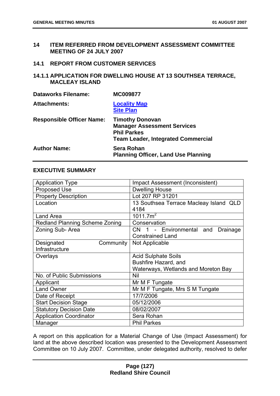## **14 ITEM REFERRED FROM DEVELOPMENT ASSESSMENT COMMITTEE MEETING OF 24 JULY 2007**

#### **14.1 REPORT FROM CUSTOMER SERVICES**

# **14.1.1 APPLICATION FOR DWELLING HOUSE AT 13 SOUTHSEA TERRACE, MACLEAY ISLAND**

| <b>Dataworks Filename:</b>       | <b>MC009877</b>                                                                                                                 |
|----------------------------------|---------------------------------------------------------------------------------------------------------------------------------|
| <b>Attachments:</b>              | <b>Locality Map</b><br><b>Site Plan</b>                                                                                         |
| <b>Responsible Officer Name:</b> | <b>Timothy Donovan</b><br><b>Manager Assessment Services</b><br><b>Phil Parkes</b><br><b>Team Leader, Integrated Commercial</b> |
| <b>Author Name:</b>              | <b>Sera Rohan</b><br><b>Planning Officer, Land Use Planning</b>                                                                 |

### **EXECUTIVE SUMMARY**

| <b>Application Type</b>               | <b>Impact Assessment (Inconsistent)</b> |
|---------------------------------------|-----------------------------------------|
| <b>Proposed Use</b>                   | <b>Dwelling House</b>                   |
| <b>Property Description</b>           | Lot 207 RP 31201                        |
| Location                              | 13 Southsea Terrace Macleay Island QLD  |
|                                       | 4184                                    |
| Land Area                             | 1011.7m <sup>2</sup>                    |
| <b>Redland Planning Scheme Zoning</b> | Conservation                            |
| Zoning Sub-Area                       | CN 1 - Environmental and<br>Drainage    |
|                                       | <b>Constrained Land</b>                 |
| Community<br>Designated               | Not Applicable                          |
| Infrastructure                        |                                         |
| Overlays                              | <b>Acid Sulphate Soils</b>              |
|                                       | Bushfire Hazard, and                    |
|                                       | Waterways, Wetlands and Moreton Bay     |
| No. of Public Submissions             | Nil                                     |
| Applicant                             | Mr M F Tungate                          |
| <b>Land Owner</b>                     | Mr M F Tungate, Mrs S M Tungate         |
| Date of Receipt                       | 17/7/2006                               |
| <b>Start Decision Stage</b>           | 05/12/2006                              |
| <b>Statutory Decision Date</b>        | 08/02/2007                              |
| <b>Application Coordinator</b>        | Sera Rohan                              |
| Manager                               | <b>Phil Parkes</b>                      |

A report on this application for a Material Change of Use (Impact Assessment) for land at the above described location was presented to the Development Assessment Committee on 10 July 2007. Committee, under delegated authority, resolved to defer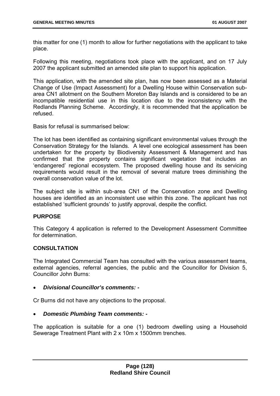this matter for one (1) month to allow for further negotiations with the applicant to take place.

Following this meeting, negotiations took place with the applicant, and on 17 July 2007 the applicant submitted an amended site plan to support his application.

This application, with the amended site plan, has now been assessed as a Material Change of Use (Impact Assessment) for a Dwelling House within Conservation subarea CN1 allotment on the Southern Moreton Bay Islands and is considered to be an incompatible residential use in this location due to the inconsistency with the Redlands Planning Scheme. Accordingly, it is recommended that the application be refused.

Basis for refusal is summarised below:

The lot has been identified as containing significant environmental values through the Conservation Strategy for the Islands. A level one ecological assessment has been undertaken for the property by Biodiversity Assessment & Management and has confirmed that the property contains significant vegetation that includes an 'endangered' regional ecosystem. The proposed dwelling house and its servicing requirements would result in the removal of several mature trees diminishing the overall conservation value of the lot.

The subject site is within sub-area CN1 of the Conservation zone and Dwelling houses are identified as an inconsistent use within this zone. The applicant has not established 'sufficient grounds' to justify approval, despite the conflict.

### **PURPOSE**

This Category 4 application is referred to the Development Assessment Committee for determination.

# **CONSULTATION**

The Integrated Commercial Team has consulted with the various assessment teams, external agencies, referral agencies, the public and the Councillor for Division 5, Councillor John Burns:

• *Divisional Councillor's comments: -* 

Cr Burns did not have any objections to the proposal.

• *Domestic Plumbing Team comments: -* 

The application is suitable for a one (1) bedroom dwelling using a Household Sewerage Treatment Plant with 2 x 10m x 1500mm trenches.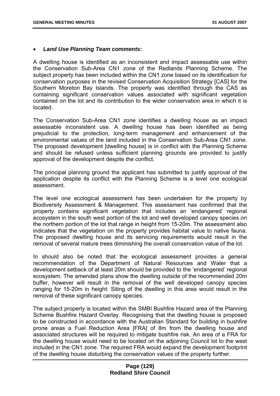#### • *Land Use Planning Team comments:*

A dwelling house is identified as an inconsistent and impact assessable use within the Conservation Sub-Area CN1 zone of the Redlands Planning Scheme. The subject property has been included within the CN1 zone based on its identification for conservation purposes in the revised Conservation Acquisition Strategy [CAS] for the Southern Moreton Bay Islands. The property was identified through the CAS as containing significant conservation values associated with significant vegetation contained on the lot and its contribution to the wider conservation area in which it is located.

The Conservation Sub-Area CN1 zone identifies a dwelling house as an impact assessable inconsistent use. A dwelling house has been identified as being prejudicial to the protection, long-term management and enhancement of the environmental values of the land included in the Conservation Sub-Area CN1 zone. The proposed development [dwelling house] is in conflict with the Planning Scheme and should be refused unless sufficient planning grounds are provided to justify approval of the development despite the conflict.

The principal planning ground the applicant has submitted to justify approval of the application despite its conflict with the Planning Scheme is a level one ecological assessment.

The level one ecological assessment has been undertaken for the property by Biodiversity Assessment & Management. This assessment has confirmed that the property contains significant vegetation that includes an 'endangered' regional ecosystem in the south west portion of the lot and well developed canopy species on the northern portion of the lot that range in height from 15-20m. The assessment also indicates that the vegetation on the property provides habitat value to native fauna. The proposed dwelling house and its servicing requirements would result in the removal of several mature trees diminishing the overall conservation value of the lot.

In should also be noted that the ecological assessment provides a general recommendation of the Department of Natural Resources and Water that a development setback of at least 20m should be provided to the 'endangered' regional ecosystem. The amended plans show the dwelling outside of the recommended 20m buffer, however will result in the removal of the well developed canopy species ranging for 15-20m in height. Siting of the dwelling in this area would result in the removal of these significant canopy species.

The subject property is located within the SMBI Bushfire Hazard area of the Planning Scheme Bushfire Hazard Overlay. Recognising that the dwelling house is proposed to be constructed in accordance with the Australian Standard for building in bushfire prone areas a Fuel Reduction Area [FRA] of 8m from the dwelling house and associated structures will be required to mitigate bushfire risk. An area of a FRA for the dwelling house would need to be located on the adjoining Council lot to the west included in the CN1 zone. The required FRA would expand the development footprint of the dwelling house disturbing the conservation values of the property further.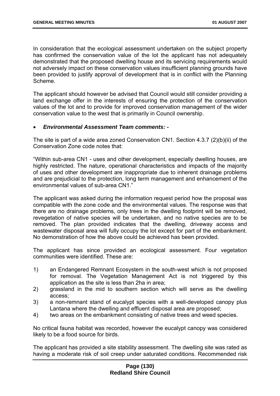In consideration that the ecological assessment undertaken on the subject property has confirmed the conservation value of the lot the applicant has not adequately demonstrated that the proposed dwelling house and its servicing requirements would not adversely impact on these conservation values insufficient planning grounds have been provided to justify approval of development that is in conflict with the Planning Scheme.

The applicant should however be advised that Council would still consider providing a land exchange offer in the interests of ensuring the protection of the conservation values of the lot and to provide for improved conservation management of the wider conservation value to the west that is primarily in Council ownership.

### • *Environmental Assessment Team comments: -*

The site is part of a wide area zoned Conservation CN1. Section 4.3.7 (2)(b)(ii) of the Conservation Zone code notes that:

"Within sub-area CN1 - uses and other development, especially dwelling houses, are highly restricted. The nature, operational characteristics and impacts of the majority of uses and other development are inappropriate due to inherent drainage problems and are prejudicial to the protection, long term management and enhancement of the environmental values of sub-area CN1."

The applicant was asked during the information request period how the proposal was compatible with the zone code and the environmental values. The response was that there are no drainage problems, only trees in the dwelling footprint will be removed, revegetation of native species will be undertaken, and no native species are to be removed. The plan provided indicates that the dwelling, driveway access and wastewater disposal area will fully occupy the lot except for part of the embankment. No demonstration of how the above could be achieved has been provided.

The applicant has since provided an ecological assessment. Four vegetation communities were identified. These are:

- 1) an Endangered Remnant Ecosystem in the south-west which is not proposed for removal. The Vegetation Management Act is not triggered by this application as the site is less than 2ha in area;
- 2) grassland in the mid to southern section which will serve as the dwelling access;
- 3) a non-remnant stand of eucalypt species with a well-developed canopy plus Lantana where the dwelling and effluent disposal area are proposed;
- 4) two areas on the embankment consisting of native trees and weed species.

No critical fauna habitat was recorded, however the eucalypt canopy was considered likely to be a food source for birds.

The applicant has provided a site stability assessment. The dwelling site was rated as having a moderate risk of soil creep under saturated conditions. Recommended risk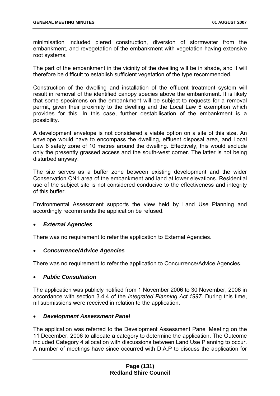minimisation included piered construction, diversion of stormwater from the embankment, and revegetation of the embankment with vegetation having extensive root systems.

The part of the embankment in the vicinity of the dwelling will be in shade, and it will therefore be difficult to establish sufficient vegetation of the type recommended.

Construction of the dwelling and installation of the effluent treatment system will result in removal of the identified canopy species above the embankment. It is likely that some specimens on the embankment will be subject to requests for a removal permit, given their proximity to the dwelling and the Local Law 6 exemption which provides for this. In this case, further destabilisation of the embankment is a possibility.

A development envelope is not considered a viable option on a site of this size. An envelope would have to encompass the dwelling, effluent disposal area, and Local Law 6 safety zone of 10 metres around the dwelling. Effectively, this would exclude only the presently grassed access and the south-west corner. The latter is not being disturbed anyway.

The site serves as a buffer zone between existing development and the wider Conservation CN1 area of the embankment and land at lower elevations. Residential use of the subject site is not considered conducive to the effectiveness and integrity of this buffer.

Environmental Assessment supports the view held by Land Use Planning and accordingly recommends the application be refused.

# • *External Agencies*

There was no requirement to refer the application to External Agencies.

### • *Concurrence/Advice Agencies*

There was no requirement to refer the application to Concurrence/Advice Agencies.

### • *Public Consultation*

The application was publicly notified from 1 November 2006 to 30 November, 2006 in accordance with section 3.4.4 of the *Integrated Planning Act 1997*. During this time, nil submissions were received in relation to the application.

### • *Development Assessment Panel*

The application was referred to the Development Assessment Panel Meeting on the 11 December, 2006 to allocate a category to determine the application. The Outcome included Category 4 allocation with discussions between Land Use Planning to occur. A number of meetings have since occurred with D.A.P to discuss the application for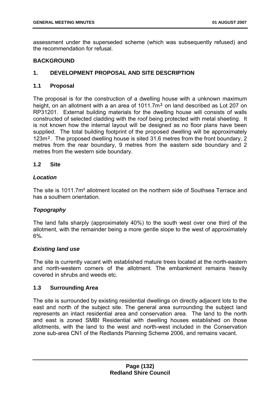assessment under the superseded scheme (which was subsequently refused) and the recommendation for refusal.

# **BACKGROUND**

# **1. DEVELOPMENT PROPOSAL AND SITE DESCRIPTION**

## **1.1 Proposal**

The proposal is for the construction of a dwelling house with a unknown maximum height, on an allotment with a an area of 1011.7m<sup>2</sup> on land described as Lot 207 on RP31201. External building materials for the dwelling house will consists of walls constructed of selected cladding with the roof being protected with metal sheeting. It is not known how the internal layout will be designed as no floor plans have been supplied. The total building footprint of the proposed dwelling will be approximately 123m<sup>2</sup>. The proposed dwelling house is sited 31.6 metres from the front boundary, 2 metres from the rear boundary, 9 metres from the eastern side boundary and 2 metres from the western side boundary.

## **1.2 Site**

## *Location*

The site is 1011.7m² allotment located on the northern side of Southsea Terrace and has a southern orientation.

# *Topography*

The land falls sharply (approximately 40%) to the south west over one third of the allotment, with the remainder being a more gentle slope to the west of approximately 6%.

### *Existing land use*

The site is currently vacant with established mature trees located at the north-eastern and north-western corners of the allotment. The embankment remains heavily covered in shrubs and weeds etc.

### **1.3 Surrounding Area**

The site is surrounded by existing residential dwellings on directly adjacent lots to the east and north of the subject site. The general area surrounding the subject land represents an intact residential area and conservation area. The land to the north and east is zoned SMBI Residential with dwelling houses established on those allotments, with the land to the west and north-west included in the Conservation zone sub-area CN1 of the Redlands Planning Scheme 2006, and remains vacant.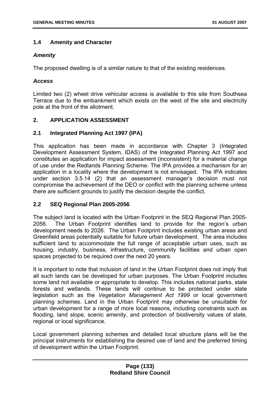## **1.4 Amenity and Character**

## *Amenity*

The proposed dwelling is of a similar nature to that of the existing residences.

## *Access*

Limited two (2) wheel drive vehicular access is available to this site from Southsea Terrace due to the embankment which exists on the west of the site and electricity pole at the front of the allotment.

# **2. APPLICATION ASSESSMENT**

## **2.1 Integrated Planning Act 1997 (IPA)**

This application has been made in accordance with Chapter 3 (Integrated Development Assessment System, IDAS) of the Integrated Planning Act 1997 and constitutes an application for impact assessment (inconsistent) for a material change of use under the Redlands Planning Scheme. The IPA provides a mechanism for an application in a locality where the development is not envisaged. The IPA indicates under section 3.5.14 (2) that an assessment manager's decision must not compromise the achievement of the DEO or conflict with the planning scheme unless there are sufficient grounds to justify the decision despite the conflict.

# **2.2 SEQ Regional Plan 2005-2056**

The subject land is located with the Urban Footprint in the SEQ Regional Plan 2005- 2056. The Urban Footprint identifies land to provide for the region's urban development needs to 2026. The Urban Footprint includes existing urban areas and Greenfield areas potentially suitable for future urban development. The area includes sufficient land to accommodate the full range of acceptable urban uses, such as housing, industry, business, infrastructure, community facilities and urban open spaces projected to be required over the next 20 years.

It is important to note that inclusion of land in the Urban Footprint does not imply that all such lands can be developed for urban purposes. The Urban Footprint includes some land not available or appropriate to develop. This includes national parks, state forests and wetlands. These lands will continue to be protected under state legislation such as the *Vegetation Management Act 1999* or local government planning schemes. Land in the Urban Footprint may otherwise be unsuitable for urban development for a range of more local reasons, including constraints such as flooding, land slope, scenic amenity, and protection of biodiversity values of state, regional or local significance.

Local government planning schemes and detailed local structure plans will be the principal instruments for establishing the desired use of land and the preferred timing of development within the Urban Footprint.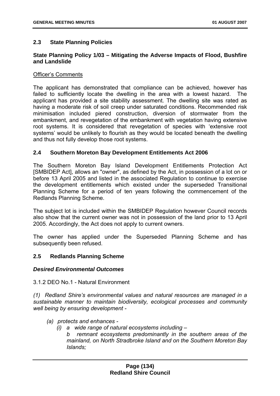## **2.3 State Planning Policies**

## **State Planning Policy 1/03 – Mitigating the Adverse Impacts of Flood, Bushfire and Landslide**

#### Officer's Comments

The applicant has demonstrated that compliance can be achieved, however has failed to sufficiently locate the dwelling in the area with a lowest hazard. The applicant has provided a site stability assessment. The dwelling site was rated as having a moderate risk of soil creep under saturated conditions. Recommended risk minimisation included piered construction, diversion of stormwater from the embankment, and revegetation of the embankment with vegetation having extensive root systems. It is considered that revegetation of species with 'extensive root systems' would be unlikely to flourish as they would be located beneath the dwelling and thus not fully develop those root systems.

### **2.4 Southern Moreton Bay Development Entitlements Act 2006**

The Southern Moreton Bay Island Development Entitlements Protection Act [SMBIDEP Act], allows an "owner", as defined by the Act, in possession of a lot on or before 13 April 2005 and listed in the associated Regulation to continue to exercise the development entitlements which existed under the superseded Transitional Planning Scheme for a period of ten years following the commencement of the Redlands Planning Scheme.

The subject lot is included within the SMBIDEP Regulation however Council records also show that the current owner was not in possession of the land prior to 13 April 2005. Accordingly, the Act does not apply to current owners.

The owner has applied under the Superseded Planning Scheme and has subsequently been refused.

### **2.5 Redlands Planning Scheme**

### *Desired Environmental Outcomes*

3.1.2 DEO No.1 - Natural Environment

*(1) Redland Shire's environmental values and natural resources are managed in a sustainable manner to maintain biodiversity, ecological processes and community well being by ensuring development -* 

- *(a) protects and enhances* 
	- *(i) a wide range of natural ecosystems including* 
		- *b remnant ecosystems predominantly in the southern areas of the mainland, on North Stradbroke Island and on the Southern Moreton Bay Islands;*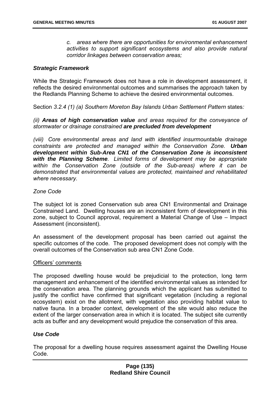*c. areas where there are opportunities for environmental enhancement activities to support significant ecosystems and also provide natural corridor linkages between conservation areas;* 

### *Strategic Framework*

While the Strategic Framework does not have a role in development assessment, it reflects the desired environmental outcomes and summarises the approach taken by the Redlands Planning Scheme to achieve the desired environmental outcomes.

Section *3.2.4 (1) (a) Southern Moreton Bay Islands Urban Settlement Pattern* states*:* 

*(ii) Areas of high conservation value and areas required for the conveyance of stormwater or drainage constrained are precluded from development*

*(viii) Core environmental areas and land with identified insurmountable drainage constraints are protected and managed within the Conservation Zone. Urban development within Sub-Area CN1 of the Conservation Zone is inconsistent with the Planning Scheme. Limited forms of development may be appropriate within the Conservation Zone (outside of the Sub-areas) where it can be demonstrated that environmental values are protected, maintained and rehabilitated where necessary.* 

#### *Zone Code*

The subject lot is zoned Conservation sub area CN1 Environmental and Drainage Constrained Land. Dwelling houses are an inconsistent form of development in this zone, subject to Council approval, requirement a Material Change of Use – Impact Assessment (inconsistent).

An assessment of the development proposal has been carried out against the specific outcomes of the code. The proposed development does not comply with the overall outcomes of the Conservation sub area CN1 Zone Code.

#### Officers' comments

The proposed dwelling house would be prejudicial to the protection, long term management and enhancement of the identified environmental values as intended for the conservation area. The planning grounds which the applicant has submitted to justify the conflict have confirmed that significant vegetation (including a regional ecosystem) exist on the allotment, with vegetation also providing habitat value to native fauna. In a broader context, development of the site would also reduce the extent of the larger conservation area in which it is located. The subject site currently acts as buffer and any development would prejudice the conservation of this area.

### *Use Code*

The proposal for a dwelling house requires assessment against the Dwelling House Code.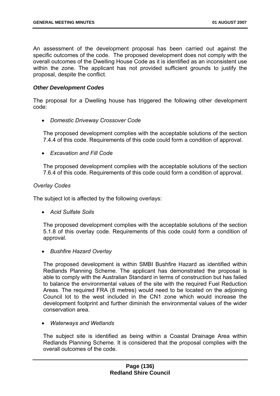An assessment of the development proposal has been carried out against the specific outcomes of the code. The proposed development does not comply with the overall outcomes of the Dwelling House Code as it is identified as an inconsistent use within the zone. The applicant has not provided sufficient grounds to justify the proposal, despite the conflict.

## *Other Development Codes*

The proposal for a Dwelling house has triggered the following other development code:

• *Domestic Driveway Crossover Code* 

The proposed development complies with the acceptable solutions of the section 7.4.4 of this code. Requirements of this code could form a condition of approval.

• *Excavation and Fill Code* 

The proposed development complies with the acceptable solutions of the section 7.6.4 of this code. Requirements of this code could form a condition of approval.

### *Overlay Codes*

The subject lot is affected by the following overlays:

• *Acid Sulfate Soils* 

The proposed development complies with the acceptable solutions of the section 5.1.8 of this overlay code. Requirements of this code could form a condition of approval.

• *Bushfire Hazard Overlay* 

The proposed development is within SMBI Bushfire Hazard as identified within Redlands Planning Scheme. The applicant has demonstrated the proposal is able to comply with the Australian Standard in terms of construction but has failed to balance the environmental values of the site with the required Fuel Reduction Areas. The required FRA (8 metres) would need to be located on the adjoining Council lot to the west included in the CN1 zone which would increase the development footprint and further diminish the environmental values of the wider conservation area.

• *Waterways and Wetlands* 

The subject site is identified as being within a Coastal Drainage Area within Redlands Planning Scheme. It is considered that the proposal complies with the overall outcomes of the code.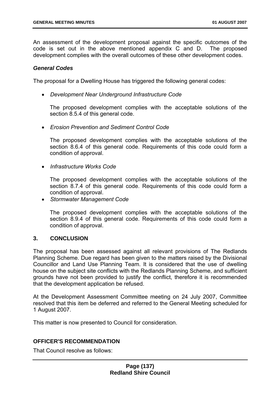An assessment of the development proposal against the specific outcomes of the code is set out in the above mentioned appendix C and D. The proposed development complies with the overall outcomes of these other development codes.

### *General Codes*

The proposal for a Dwelling House has triggered the following general codes:

• *Development Near Underground Infrastructure Code* 

The proposed development complies with the acceptable solutions of the section 8.5.4 of this general code.

• *Erosion Prevention and Sediment Control Code* 

The proposed development complies with the acceptable solutions of the section 8.6.4 of this general code. Requirements of this code could form a condition of approval.

• *Infrastructure Works Code* 

The proposed development complies with the acceptable solutions of the section 8.7.4 of this general code. Requirements of this code could form a condition of approval.

• *Stormwater Management Code* 

The proposed development complies with the acceptable solutions of the section 8.9.4 of this general code. Requirements of this code could form a condition of approval.

### **3. CONCLUSION**

The proposal has been assessed against all relevant provisions of The Redlands Planning Scheme. Due regard has been given to the matters raised by the Divisional Councillor and Land Use Planning Team. It is considered that the use of dwelling house on the subject site conflicts with the Redlands Planning Scheme, and sufficient grounds have not been provided to justify the conflict, therefore it is recommended that the development application be refused.

At the Development Assessment Committee meeting on 24 July 2007, Committee resolved that this item be deferred and referred to the General Meeting scheduled for 1 August 2007.

This matter is now presented to Council for consideration.

# **OFFICER'S RECOMMENDATION**

That Council resolve as follows: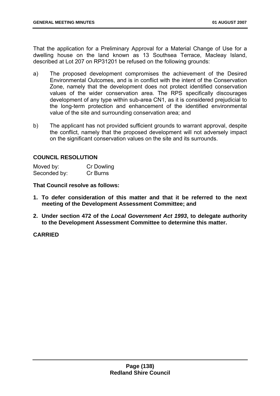That the application for a Preliminary Approval for a Material Change of Use for a dwelling house on the land known as 13 Southsea Terrace, Macleay Island, described at Lot 207 on RP31201 be refused on the following grounds:

- a) The proposed development compromises the achievement of the Desired Environmental Outcomes, and is in conflict with the intent of the Conservation Zone, namely that the development does not protect identified conservation values of the wider conservation area. The RPS specifically discourages development of any type within sub-area CN1, as it is considered prejudicial to the long-term protection and enhancement of the identified environmental value of the site and surrounding conservation area; and
- b) The applicant has not provided sufficient grounds to warrant approval, despite the conflict, namely that the proposed development will not adversely impact on the significant conservation values on the site and its surrounds.

## **COUNCIL RESOLUTION**

| Moved by:    | <b>Cr Dowling</b> |
|--------------|-------------------|
| Seconded by: | Cr Burns          |

**That Council resolve as follows:** 

- **1. To defer consideration of this matter and that it be referred to the next meeting of the Development Assessment Committee; and**
- **2. Under section 472 of the** *Local Government Act 1993***, to delegate authority to the Development Assessment Committee to determine this matter.**

# **CARRIED**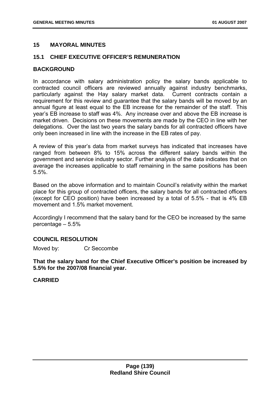## **15 MAYORAL MINUTES**

## **15.1 CHIEF EXECUTIVE OFFICER'S REMUNERATION**

#### **BACKGROUND**

In accordance with salary administration policy the salary bands applicable to contracted council officers are reviewed annually against industry benchmarks, particularly against the Hay salary market data. Current contracts contain a requirement for this review and guarantee that the salary bands will be moved by an annual figure at least equal to the EB increase for the remainder of the staff. This year's EB increase to staff was 4%. Any increase over and above the EB increase is market driven. Decisions on these movements are made by the CEO in line with her delegations. Over the last two years the salary bands for all contracted officers have only been increased in line with the increase in the EB rates of pay.

A review of this year's data from market surveys has indicated that increases have ranged from between 8% to 15% across the different salary bands within the government and service industry sector. Further analysis of the data indicates that on average the increases applicable to staff remaining in the same positions has been 5.5%.

Based on the above information and to maintain Council's relativity within the market place for this group of contracted officers, the salary bands for all contracted officers (except for CEO position) have been increased by a total of 5.5% - that is 4% EB movement and 1.5% market movement.

Accordingly I recommend that the salary band for the CEO be increased by the same percentage – 5.5%

### **COUNCIL RESOLUTION**

Moved by: Cr Seccombe

**That the salary band for the Chief Executive Officer's position be increased by 5.5% for the 2007/08 financial year.** 

### **CARRIED**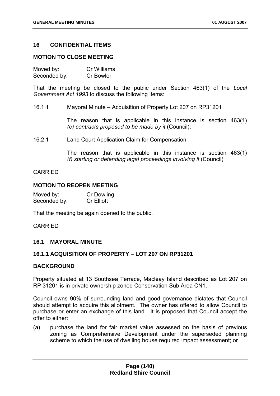### **16 CONFIDENTIAL ITEMS**

### **MOTION TO CLOSE MEETING**

| Moved by:    | Cr Williams      |
|--------------|------------------|
| Seconded by: | <b>Cr Bowler</b> |

That the meeting be closed to the public under Section 463(1) of the *Local Government Act 1993* to discuss the following items:

16.1.1 Mayoral Minute – Acquisition of Property Lot 207 on RP31201

The reason that is applicable in this instance is section 463(1) *(e) contracts proposed to be made by it* (Council);

16.2.1 Land Court Application Claim for Compensation

The reason that is applicable in this instance is section 463(1) *(f) starting or defending legal proceedings involving it* (Council)

### CARRIED

### **MOTION TO REOPEN MEETING**

| Moved by:    | <b>Cr Dowling</b> |
|--------------|-------------------|
| Seconded by: | <b>Cr Elliott</b> |

That the meeting be again opened to the public.

### CARRIED

### **16.1 MAYORAL MINUTE**

### **16.1.1 ACQUISITION OF PROPERTY – LOT 207 ON RP31201**

### **BACKGROUND**

Property situated at 13 Southsea Terrace, Macleay Island described as Lot 207 on RP 31201 is in private ownership zoned Conservation Sub Area CN1.

Council owns 90% of surrounding land and good governance dictates that Council should attempt to acquire this allotment. The owner has offered to allow Council to purchase or enter an exchange of this land. It is proposed that Council accept the offer to either:

(a) purchase the land for fair market value assessed on the basis of previous zoning as Comprehensive Development under the superseded planning scheme to which the use of dwelling house required impact assessment; or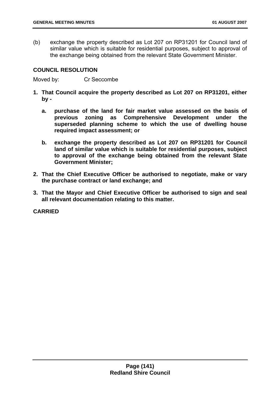(b) exchange the property described as Lot 207 on RP31201 for Council land of similar value which is suitable for residential purposes, subject to approval of the exchange being obtained from the relevant State Government Minister.

### **COUNCIL RESOLUTION**

Moved by: Cr Seccombe

- **1. That Council acquire the property described as Lot 207 on RP31201, either by** 
	- **a. purchase of the land for fair market value assessed on the basis of previous zoning as Comprehensive Development under the superseded planning scheme to which the use of dwelling house required impact assessment; or**
	- **b. exchange the property described as Lot 207 on RP31201 for Council land of similar value which is suitable for residential purposes, subject to approval of the exchange being obtained from the relevant State Government Minister;**
- **2. That the Chief Executive Officer be authorised to negotiate, make or vary the purchase contract or land exchange; and**
- **3. That the Mayor and Chief Executive Officer be authorised to sign and seal all relevant documentation relating to this matter.**

#### **CARRIED**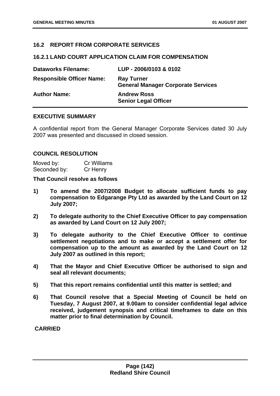## **16.2 REPORT FROM CORPORATE SERVICES**

#### **16.2.1 LAND COURT APPLICATION CLAIM FOR COMPENSATION**

| <b>Dataworks Filename:</b>       | LUP - 2006/0103 & 0102                                         |
|----------------------------------|----------------------------------------------------------------|
| <b>Responsible Officer Name:</b> | <b>Ray Turner</b><br><b>General Manager Corporate Services</b> |
| <b>Author Name:</b>              | <b>Andrew Ross</b><br><b>Senior Legal Officer</b>              |

## **EXECUTIVE SUMMARY**

A confidential report from the General Manager Corporate Services dated 30 July 2007 was presented and discussed in closed session.

### **COUNCIL RESOLUTION**

Moved by: Cr Williams Seconded by: Cr Henry

### **That Council resolve as follows**

- **1) To amend the 2007/2008 Budget to allocate sufficient funds to pay compensation to Edgarange Pty Ltd as awarded by the Land Court on 12 July 2007;**
- **2) To delegate authority to the Chief Executive Officer to pay compensation as awarded by Land Court on 12 July 2007;**
- **3) To delegate authority to the Chief Executive Officer to continue settlement negotiations and to make or accept a settlement offer for compensation up to the amount as awarded by the Land Court on 12 July 2007 as outlined in this report;**
- **4) That the Mayor and Chief Executive Officer be authorised to sign and seal all relevant documents;**
- **5) That this report remains confidential until this matter is settled; and**
- **6) That Council resolve that a Special Meeting of Council be held on Tuesday, 7 August 2007, at 9.00am to consider confidential legal advice received, judgement synopsis and critical timeframes to date on this matter prior to final determination by Council.**

 **CARRIED**